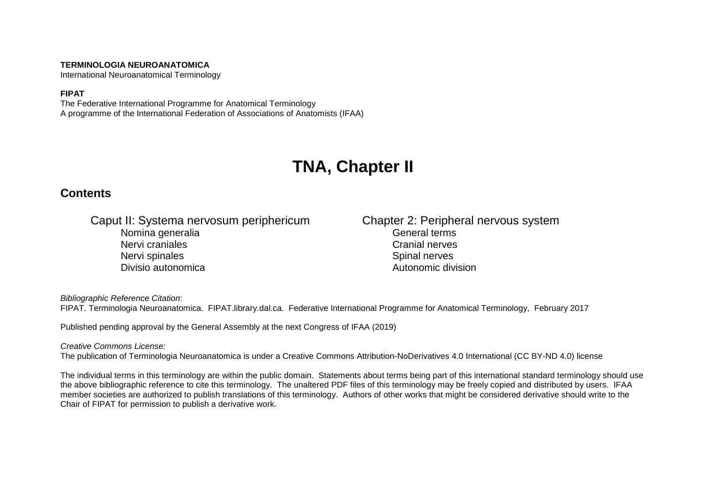#### **TERMINOLOGIA NEUROANATOMICA**

International Neuroanatomical Terminology

#### **FIPAT**

The Federative International Programme for Anatomical Terminology A programme of the International Federation of Associations of Anatomists (IFAA)

# **TNA, Chapter II**

### **Contents**

Caput II: Systema nervosum periphericum Chapter 2: Peripheral nervous system<br>Nomina generalia Nomina generalia Nervi craniales **New York 1989** Services and the Cranial nerves Nervi spinales **Nervi spinal nerves** Spinal nerves Divisio autonomica Autonomic division

*Bibliographic Reference Citation*: FIPAT. Terminologia Neuroanatomica. FIPAT.library.dal.ca. Federative International Programme for Anatomical Terminology, February 2017

Published pending approval by the General Assembly at the next Congress of IFAA (2019)

#### *Creative Commons License:*

The publication of Terminologia Neuroanatomica is under a Creative Commons Attribution-NoDerivatives 4.0 International (CC BY-ND 4.0) license

The individual terms in this terminology are within the public domain. Statements about terms being part of this international standard terminology should use the above bibliographic reference to cite this terminology. The unaltered PDF files of this terminology may be freely copied and distributed by users. IFAA member societies are authorized to publish translations of this terminology. Authors of other works that might be considered derivative should write to the Chair of FIPAT for permission to publish a derivative work.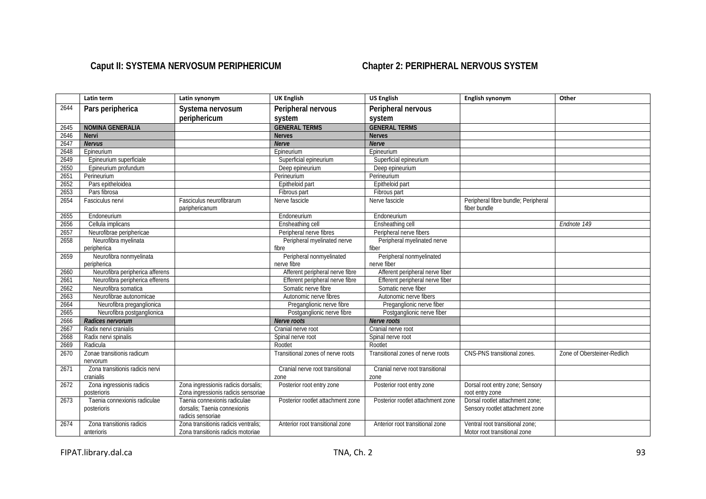## Caput II: SYSTEMA NERVOSUM PERIPHERICUM **Chapter 2: PERIPHERAL NERVOUS SYSTEM**

|      | Latin term                                  | Latin synonym                                                                     | <b>UK English</b>                 | <b>US English</b>                 | English synonym                                                    | Other                       |
|------|---------------------------------------------|-----------------------------------------------------------------------------------|-----------------------------------|-----------------------------------|--------------------------------------------------------------------|-----------------------------|
| 2644 | Pars peripherica                            | Systema nervosum                                                                  | Peripheral nervous                | Peripheral nervous                |                                                                    |                             |
|      |                                             | periphericum                                                                      | system                            | system                            |                                                                    |                             |
| 2645 | <b>NOMINA GENERALIA</b>                     |                                                                                   | <b>GENERAL TERMS</b>              | <b>GENERAL TERMS</b>              |                                                                    |                             |
| 2646 | <b>Nervi</b>                                |                                                                                   | <b>Nerves</b>                     | <b>Nerves</b>                     |                                                                    |                             |
| 2647 | <b>Nervus</b>                               |                                                                                   | <b>Nerve</b>                      | <b>Nerve</b>                      |                                                                    |                             |
| 2648 | Epineurium                                  |                                                                                   | Epineurium                        | Epineurium                        |                                                                    |                             |
| 2649 | Epineurium superficiale                     |                                                                                   | Superficial epineurium            | Superficial epineurium            |                                                                    |                             |
| 2650 | Epineurium profundum                        |                                                                                   | Deep epineurium                   | Deep epineurium                   |                                                                    |                             |
| 2651 | Perineurium                                 |                                                                                   | Perineurium                       | Perineurium                       |                                                                    |                             |
| 2652 | Pars epitheloidea                           |                                                                                   | Epitheloid part                   | Epitheloid part                   |                                                                    |                             |
| 2653 | Pars fibrosa                                |                                                                                   | Fibrous part                      | Fibrous part                      |                                                                    |                             |
| 2654 | Fasciculus nervi                            | Fasciculus neurofibrarum<br>pariphericanum                                        | Nerve fascicle                    | Nerve fascicle                    | Peripheral fibre bundle; Peripheral<br>fiber bundle                |                             |
| 2655 | Endoneurium                                 |                                                                                   | Endoneurium                       | Endoneurium                       |                                                                    |                             |
| 2656 | Cellula implicans                           |                                                                                   | Ensheathing cell                  | Ensheathing cell                  |                                                                    | Endnote 149                 |
| 2657 | Neurofibrae periphericae                    |                                                                                   | Peripheral nerve fibres           | Peripheral nerve fibers           |                                                                    |                             |
| 2658 | Neurofibra myelinata                        |                                                                                   | Peripheral myelinated nerve       | Peripheral myelinated nerve       |                                                                    |                             |
|      | peripherica                                 |                                                                                   | fibre                             | fiber                             |                                                                    |                             |
| 2659 | Neurofibra nonmyelinata                     |                                                                                   | Peripheral nonmyelinated          | Peripheral nonmyelinated          |                                                                    |                             |
|      | peripherica                                 |                                                                                   | nerve fibre                       | nerve fiber                       |                                                                    |                             |
| 2660 | Neurofibra peripherica afferens             |                                                                                   | Afferent peripheral nerve fibre   | Afferent peripheral nerve fiber   |                                                                    |                             |
| 2661 | Neurofibra peripherica efferens             |                                                                                   | Efferent peripheral nerve fibre   | Efferent peripheral nerve fiber   |                                                                    |                             |
| 2662 | Neurofibra somatica                         |                                                                                   | Somatic nerve fibre               | Somatic nerve fiber               |                                                                    |                             |
| 2663 | Neurofibrae autonomicae                     |                                                                                   | Autonomic nerve fibres            | Autonomic nerve fibers            |                                                                    |                             |
| 2664 | Neurofibra preganglionica                   |                                                                                   | Preganglionic nerve fibre         | Preganglionic nerve fiber         |                                                                    |                             |
| 2665 | Neurofibra postganglionica                  |                                                                                   | Postganglionic nerve fibre        | Postganglionic nerve fiber        |                                                                    |                             |
| 2666 | Radices nervorum                            |                                                                                   | Nerve roots                       | Nerve roots                       |                                                                    |                             |
| 2667 | Radix nervi cranialis                       |                                                                                   | Cranial nerve root                | Cranial nerve root                |                                                                    |                             |
| 2668 | Radix nervi spinalis                        |                                                                                   | Spinal nerve root                 | Spinal nerve root                 |                                                                    |                             |
| 2669 | Radicula                                    |                                                                                   | Rootlet                           | Rootlet                           |                                                                    |                             |
| 2670 | Zonae transitionis radicum<br>nervorum      |                                                                                   | Transitional zones of nerve roots | Transitional zones of nerve roots | CNS-PNS transitional zones.                                        | Zone of Obersteiner-Redlich |
| 2671 | Zona transitionis radicis nervi             |                                                                                   | Cranial nerve root transitional   | Cranial nerve root transitional   |                                                                    |                             |
|      | cranialis                                   |                                                                                   | zone                              | zone                              |                                                                    |                             |
| 2672 | Zona ingressionis radicis<br>posterioris    | Zona ingressionis radicis dorsalis;<br>Zona ingressionis radicis sensoriae        | Posterior root entry zone         | Posterior root entry zone         | Dorsal root entry zone; Sensory<br>root entry zone                 |                             |
| 2673 | Taenia connexionis radiculae<br>posterioris | Taenia connexionis radiculae<br>dorsalis; Taenia connexionis<br>radicis sensoriae | Posterior rootlet attachment zone | Posterior rootlet attachment zone | Dorsal rootlet attachment zone:<br>Sensory rootlet attachment zone |                             |
| 2674 | Zona transitionis radicis<br>anterioris     | Zona transitionis radicis ventralis;<br>Zona transitionis radicis motoriae        | Anterior root transitional zone   | Anterior root transitional zone   | Ventral root transitional zone:<br>Motor root transitional zone    |                             |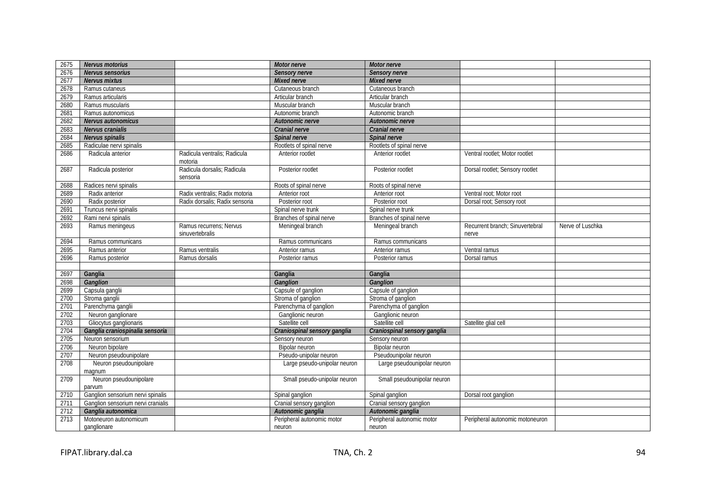| 2675 | Nervus motorius                    |                                            | Motor nerve                  | Motor nerve                  |                                          |                  |
|------|------------------------------------|--------------------------------------------|------------------------------|------------------------------|------------------------------------------|------------------|
| 2676 | Nervus sensorius                   |                                            | Sensory nerve                | Sensory nerve                |                                          |                  |
| 2677 | Nervus mixtus                      |                                            | Mixed nerve                  | <b>Mixed nerve</b>           |                                          |                  |
| 2678 | Ramus cutaneus                     |                                            | Cutaneous branch             | Cutaneous branch             |                                          |                  |
| 2679 | Ramus articularis                  |                                            | Articular branch             | Articular branch             |                                          |                  |
| 2680 | Ramus muscularis                   |                                            | Muscular branch              | Muscular branch              |                                          |                  |
| 2681 | Ramus autonomicus                  |                                            | Autonomic branch             | Autonomic branch             |                                          |                  |
| 2682 | Nervus autonomicus                 |                                            | Autonomic nerve              | Autonomic nerve              |                                          |                  |
| 2683 | Nervus cranialis                   |                                            | Cranial nerve                | Cranial nerve                |                                          |                  |
| 2684 | Nervus spinalis                    |                                            | Spinal nerve                 | Spinal nerve                 |                                          |                  |
| 2685 | Radiculae nervi spinalis           |                                            | Rootlets of spinal nerve     | Rootlets of spinal nerve     |                                          |                  |
| 2686 | Radicula anterior                  | Radicula ventralis: Radicula<br>motoria    | Anterior rootlet             | Anterior rootlet             | Ventral rootlet: Motor rootlet           |                  |
| 2687 | Radicula posterior                 | Radicula dorsalis; Radicula<br>sensoria    | Posterior rootlet            | Posterior rootlet            | Dorsal rootlet; Sensory rootlet          |                  |
| 2688 | Radices nervi spinalis             |                                            | Roots of spinal nerve        | Roots of spinal nerve        |                                          |                  |
| 2689 | Radix anterior                     | Radix ventralis; Radix motoria             | Anterior root                | Anterior root                | Ventral root; Motor root                 |                  |
| 2690 | Radix posterior                    | Radix dorsalis; Radix sensoria             | Posterior root               | Posterior root               | Dorsal root; Sensory root                |                  |
| 2691 | Truncus nervi spinalis             |                                            | Spinal nerve trunk           | Spinal nerve trunk           |                                          |                  |
| 2692 | Rami nervi spinalis                |                                            | Branches of spinal nerve     | Branches of spinal nerve     |                                          |                  |
| 2693 | Ramus meningeus                    | Ramus recurrens: Nervus<br>sinuvertebralis | Meningeal branch             | Meningeal branch             | Recurrent branch: Sinuvertebral<br>nerve | Nerve of Luschka |
| 2694 | Ramus communicans                  |                                            | Ramus communicans            | Ramus communicans            |                                          |                  |
| 2695 | Ramus anterior                     | Ramus ventralis                            | Anterior ramus               | Anterior ramus               | Ventral ramus                            |                  |
| 2696 | Ramus posterior                    | Ramus dorsalis                             | Posterior ramus              | Posterior ramus              | Dorsal ramus                             |                  |
|      |                                    |                                            |                              |                              |                                          |                  |
| 2697 | Ganglia                            |                                            | Ganglia                      | Ganglia                      |                                          |                  |
| 2698 | Ganglion                           |                                            | Ganglion                     | Ganglion                     |                                          |                  |
| 2699 | Capsula ganglii                    |                                            | Capsule of ganglion          | Capsule of ganglion          |                                          |                  |
| 2700 | Stroma ganglii                     |                                            | Stroma of ganglion           | Stroma of ganglion           |                                          |                  |
| 2701 | Parenchyma ganglii                 |                                            | Parenchyma of ganglion       | Parenchyma of ganglion       |                                          |                  |
| 2702 | Neuron ganglionare                 |                                            | Ganglionic neuron            | Ganglionic neuron            |                                          |                  |
| 2703 | Gliocytus ganglionaris             |                                            | Satellite cell               | Satellite cell               | Satellite glial cell                     |                  |
| 2704 | Ganglia craniospinalia sensoria    |                                            | Craniospinal sensory ganglia | Craniospinal sensory ganglia |                                          |                  |
| 2705 | Neuron sensorium                   |                                            | Sensory neuron               | Sensory neuron               |                                          |                  |
| 2706 | Neuron bipolare                    |                                            | Bipolar neuron               | Bipolar neuron               |                                          |                  |
| 2707 | Neuron pseudounipolare             |                                            | Pseudo-unipolar neuron       | Pseudounipolar neuron        |                                          |                  |
| 2708 | Neuron pseudounipolare             |                                            | Large pseudo-unipolar neuron | Large pseudounipolar neuron  |                                          |                  |
|      | magnum                             |                                            |                              |                              |                                          |                  |
| 2709 | Neuron pseudounipolare<br>parvum   |                                            | Small pseudo-unipolar neuron | Small pseudounipolar neuron  |                                          |                  |
| 2710 | Ganglion sensorium nervi spinalis  |                                            | Spinal ganglion              | Spinal ganglion              | Dorsal root ganglion                     |                  |
| 2711 | Ganglion sensorium nervi cranialis |                                            | Cranial sensory ganglion     | Cranial sensory ganglion     |                                          |                  |
| 2712 | Ganglia autonomica                 |                                            | Autonomic ganglia            | Autonomic ganglia            |                                          |                  |
| 2713 | Motoneuron autonomicum             |                                            | Peripheral autonomic motor   | Peripheral autonomic motor   | Peripheral autonomic motoneuron          |                  |
|      | ganglionare                        |                                            | neuron                       | neuron                       |                                          |                  |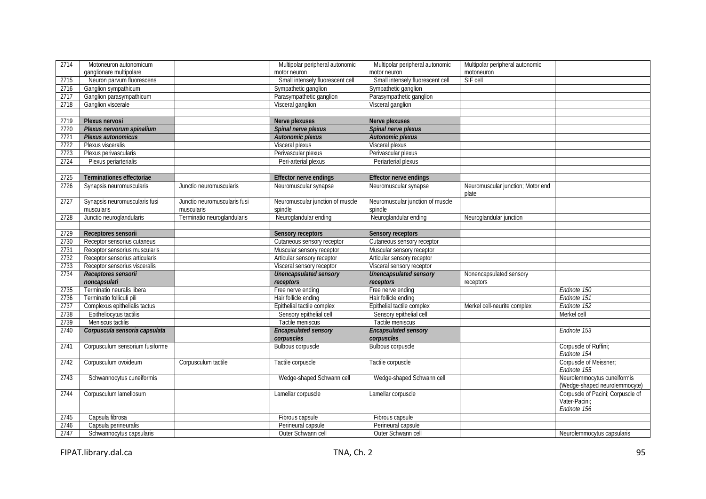| 2714 | Motoneuron autonomicum          |                              | Multipolar peripheral autonomic  | Multipolar peripheral autonomic  | Multipolar peripheral autonomic   |                                                                   |
|------|---------------------------------|------------------------------|----------------------------------|----------------------------------|-----------------------------------|-------------------------------------------------------------------|
|      | ganglionare multipolare         |                              | motor neuron                     | motor neuron                     | motoneuron                        |                                                                   |
| 2715 | Neuron parvum fluorescens       |                              | Small intensely fluorescent cell | Small intensely fluorescent cell | SIF cell                          |                                                                   |
| 2716 | Ganglion sympathicum            |                              | Sympathetic ganglion             | Sympathetic ganglion             |                                   |                                                                   |
| 2717 | Ganglion parasympathicum        |                              | Parasympathetic ganglion         | Parasympathetic ganglion         |                                   |                                                                   |
| 2718 | Ganglion viscerale              |                              | Visceral ganglion                | Visceral ganglion                |                                   |                                                                   |
|      |                                 |                              |                                  |                                  |                                   |                                                                   |
| 2719 | Plexus nervosi                  |                              | Nerve plexuses                   | Nerve plexuses                   |                                   |                                                                   |
| 2720 | Plexus nervorum spinalium       |                              | Spinal nerve plexus              | Spinal nerve plexus              |                                   |                                                                   |
| 2721 | Plexus autonomicus              |                              | Autonomic plexus                 | Autonomic plexus                 |                                   |                                                                   |
| 2722 | Plexus visceralis               |                              | Visceral plexus                  | Visceral plexus                  |                                   |                                                                   |
| 2723 | Plexus perivascularis           |                              | Perivascular plexus              | Perivascular plexus              |                                   |                                                                   |
| 2724 | Plexus periarterialis           |                              | Peri-arterial plexus             | Periarterial plexus              |                                   |                                                                   |
|      |                                 |                              |                                  |                                  |                                   |                                                                   |
| 2725 | Terminationes effectoriae       |                              | <b>Effector nerve endings</b>    | <b>Effector nerve endings</b>    |                                   |                                                                   |
| 2726 | Synapsis neuromuscularis        | Junctio neuromuscularis      | Neuromuscular synapse            | Neuromuscular synapse            | Neuromuscular junction; Motor end |                                                                   |
|      |                                 |                              |                                  |                                  | plate                             |                                                                   |
| 2727 | Synapsis neuromuscularis fusi   | Junctio neuromuscularis fusi | Neuromuscular junction of muscle | Neuromuscular junction of muscle |                                   |                                                                   |
|      | muscularis                      | muscularis                   | spindle                          | spindle                          |                                   |                                                                   |
| 2728 | Junctio neuroglandularis        | Terminatio neuroglandularis  | Neuroglandular ending            | Neuroglandular ending            | Neuroglandular junction           |                                                                   |
|      |                                 |                              |                                  |                                  |                                   |                                                                   |
| 2729 | Receptores sensorii             |                              | Sensory receptors                | Sensory receptors                |                                   |                                                                   |
| 2730 | Receptor sensorius cutaneus     |                              | Cutaneous sensory receptor       | Cutaneous sensory receptor       |                                   |                                                                   |
| 2731 | Receptor sensorius muscularis   |                              | Muscular sensory receptor        | Muscular sensory receptor        |                                   |                                                                   |
| 2732 | Receptor sensorius articularis  |                              | Articular sensory receptor       | Articular sensory receptor       |                                   |                                                                   |
| 2733 | Receptor sensorius visceralis   |                              | Visceral sensory receptor        | Visceral sensory receptor        |                                   |                                                                   |
| 2734 | Receptores sensorii             |                              | Unencapsulated sensory           | Unencapsulated sensory           | Nonencapsulated sensory           |                                                                   |
|      | noncapsulati                    |                              | receptors                        | receptors                        | receptors                         |                                                                   |
| 2735 | Terminatio neuralis libera      |                              | Free nerve ending                | Free nerve ending                |                                   | Endnote 150                                                       |
| 2736 | Terminatio folliculi pili       |                              | Hair follicle ending             | Hair follicle ending             |                                   | Endnote 151                                                       |
| 2737 | Complexus epithelialis tactus   |                              | Epithelial tactile complex       | Epithelial tactile complex       | Merkel cell-neurite complex       | Endnote 152                                                       |
| 2738 | Epitheliocytus tactilis         |                              | Sensory epithelial cell          | Sensory epithelial cell          |                                   | Merkel cell                                                       |
| 2739 | Meniscus tactilis               |                              | Tactile meniscus                 | Tactile meniscus                 |                                   |                                                                   |
| 2740 | Corpuscula sensoria capsulata   |                              | <b>Encapsulated sensory</b>      | <b>Encapsulated sensory</b>      |                                   | Endnote 153                                                       |
|      |                                 |                              | corpuscles                       | corpuscles                       |                                   |                                                                   |
| 2741 | Corpusculum sensorium fusiforme |                              | Bulbous corpuscle                | <b>Bulbous corpuscle</b>         |                                   | Corpuscle of Ruffini;<br>Endnote 154                              |
|      |                                 |                              |                                  |                                  |                                   |                                                                   |
| 2742 | Corpusculum ovoideum            | Corpusculum tactile          | Tactile corpuscle                | Tactile corpuscle                |                                   | Corpuscle of Meissner;<br>Endnote 155                             |
| 2743 | Schwannocytus cuneiformis       |                              | Wedge-shaped Schwann cell        | Wedge-shaped Schwann cell        |                                   | Neurolemmocytus cuneiformis<br>(Wedge-shaped neurolemmocyte)      |
| 2744 | Corpusculum lamellosum          |                              | Lamellar corpuscle               | Lamellar corpuscle               |                                   | Corpuscle of Pacini; Corpuscle of<br>Vater-Pacini:<br>Endnote 156 |
| 2745 | Capsula fibrosa                 |                              | Fibrous capsule                  | Fibrous capsule                  |                                   |                                                                   |
| 2746 | Capsula perineuralis            |                              | Perineural capsule               | Perineural capsule               |                                   |                                                                   |
| 2747 | Schwannocytus capsularis        |                              | Outer Schwann cell               | Outer Schwann cell               |                                   | Neurolemmocytus capsularis                                        |

FIPAT.library.dal.ca 3.1 and 2.1 and 2.1 and 2.1 and 2.1 and 2.1 and 2.1 and 2.1 and 2.1 and 2.1 and 2.1 and 2.1 and 2.1 and 2.1 and 2.1 and 2.1 and 2.1 and 2.1 and 2.1 and 2.1 and 2.1 and 2.1 and 2.1 and 2.1 and 2.1 and 2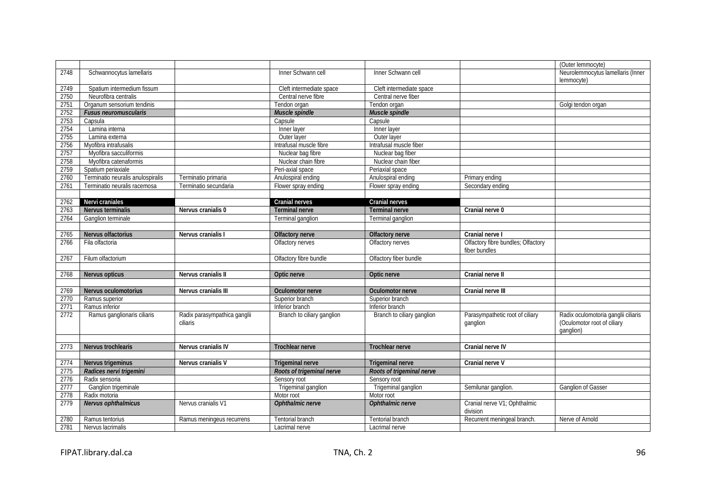|      |                                   |                                          |                            |                            |                                                     | (Outer lemmocyte)                                                               |
|------|-----------------------------------|------------------------------------------|----------------------------|----------------------------|-----------------------------------------------------|---------------------------------------------------------------------------------|
| 2748 | Schwannocytus lamellaris          |                                          | Inner Schwann cell         | Inner Schwann cell         |                                                     | Neurolemmocytus lamellaris (Inner                                               |
|      |                                   |                                          |                            |                            |                                                     | lemmocyte)                                                                      |
| 2749 | Spatium intermedium fissum        |                                          | Cleft intermediate space   | Cleft intermediate space   |                                                     |                                                                                 |
| 2750 | Neurofibra centralis              |                                          | Central nerve fibre        | Central nerve fiber        |                                                     |                                                                                 |
| 2751 | Organum sensorium tendinis        |                                          | Tendon organ               | Tendon organ               |                                                     | Golgi tendon organ                                                              |
| 2752 | <b>Fusus neuromuscularis</b>      |                                          | Muscle spindle             | Muscle spindle             |                                                     |                                                                                 |
| 2753 | Capsula                           |                                          | Capsule                    | Capsule                    |                                                     |                                                                                 |
| 2754 | Lamina interna                    |                                          | Inner layer                | Inner layer                |                                                     |                                                                                 |
| 2755 | Lamina externa                    |                                          | Outer laver                | Outer laver                |                                                     |                                                                                 |
| 2756 | Myofibra intrafusalis             |                                          | Intrafusal muscle fibre    | Intrafusal muscle fiber    |                                                     |                                                                                 |
| 2757 | Myofibra sacculiformis            |                                          | Nuclear bag fibre          | Nuclear bag fiber          |                                                     |                                                                                 |
| 2758 | Myofibra catenaformis             |                                          | Nuclear chain fibre        | Nuclear chain fiber        |                                                     |                                                                                 |
| 2759 | Spatium periaxiale                |                                          | Peri-axial space           | Periaxial space            |                                                     |                                                                                 |
| 2760 | Terminatio neuralis anulospiralis | Terminatio primaria                      | Anulospiral ending         | Anulospiral ending         | Primary ending                                      |                                                                                 |
| 2761 | Terminatio neuralis racemosa      | Terminatio secundaria                    | Flower spray ending        | Flower spray ending        | Secondary ending                                    |                                                                                 |
|      |                                   |                                          |                            |                            |                                                     |                                                                                 |
| 2762 | Nervi craniales                   |                                          | Cranial nerves             | Cranial nerves             |                                                     |                                                                                 |
| 2763 | Nervus terminalis                 | Nervus cranialis 0                       | <b>Terminal nerve</b>      | <b>Terminal nerve</b>      | Cranial nerve 0                                     |                                                                                 |
| 2764 | Ganglion terminale                |                                          | Terminal ganglion          | Terminal ganglion          |                                                     |                                                                                 |
|      |                                   |                                          |                            |                            |                                                     |                                                                                 |
| 2765 | Nervus olfactorius                | Nervus cranialis I                       | Olfactory nerve            | Olfactory nerve            | Cranial nerve I                                     |                                                                                 |
| 2766 | Fila olfactoria                   |                                          | Olfactory nerves           | Olfactory nerves           | Olfactory fibre bundles; Olfactory<br>fiber bundles |                                                                                 |
| 2767 | Filum olfactorium                 |                                          | Olfactory fibre bundle     | Olfactory fiber bundle     |                                                     |                                                                                 |
|      |                                   |                                          |                            |                            |                                                     |                                                                                 |
| 2768 | Nervus opticus                    | Nervus cranialis II                      | Optic nerve                | Optic nerve                | Cranial nerve II                                    |                                                                                 |
|      |                                   |                                          |                            |                            |                                                     |                                                                                 |
| 2769 | Nervus oculomotorius              | Nervus cranialis III                     | Oculomotor nerve           | Oculomotor nerve           | Cranial nerve III                                   |                                                                                 |
| 2770 | Ramus superior                    |                                          | Superior branch            | Superior branch            |                                                     |                                                                                 |
| 2771 | Ramus inferior                    |                                          | Inferior branch            | Inferior branch            |                                                     |                                                                                 |
| 2772 | Ramus ganglionaris ciliaris       | Radix parasympathica ganglii<br>ciliaris | Branch to ciliary ganglion | Branch to ciliary ganglion | Parasympathetic root of ciliary<br>ganglion         | Radix oculomotoria ganglii ciliaris<br>(Oculomotor root of ciliary<br>ganglion) |
|      |                                   |                                          |                            |                            |                                                     |                                                                                 |
| 2773 | Nervus trochlearis                | Nervus cranialis IV                      | <b>Trochlear nerve</b>     | <b>Trochlear nerve</b>     | Cranial nerve IV                                    |                                                                                 |
|      |                                   |                                          |                            |                            |                                                     |                                                                                 |
| 2774 | Nervus trigeminus                 | Nervus cranialis V                       | <b>Trigeminal nerve</b>    | <b>Trigeminal nerve</b>    | Cranial nerve V                                     |                                                                                 |
| 2775 | Radices nervi trigemini           |                                          | Roots of trigeminal nerve  | Roots of trigeminal nerve  |                                                     |                                                                                 |
| 2776 | Radix sensoria                    |                                          | Sensory root               | Sensory root               |                                                     |                                                                                 |
| 2777 | Ganglion trigeminale              |                                          | Trigeminal ganglion        | Trigeminal ganglion        | Semilunar ganglion.                                 | <b>Ganglion of Gasser</b>                                                       |
| 2778 | Radix motoria                     |                                          | Motor root                 | Motor root                 |                                                     |                                                                                 |
| 2779 | Nervus ophthalmicus               | Nervus cranialis V1                      | Ophthalmic nerve           | Ophthalmic nerve           | Cranial nerve V1; Ophthalmic<br>division            |                                                                                 |
| 2780 | Ramus tentorius                   | Ramus meningeus recurrens                | Tentorial branch           | Tentorial branch           | Recurrent meningeal branch.                         | Nerve of Arnold                                                                 |
| 2781 | Nervus lacrimalis                 |                                          | Lacrimal nerve             | Lacrimal nerve             |                                                     |                                                                                 |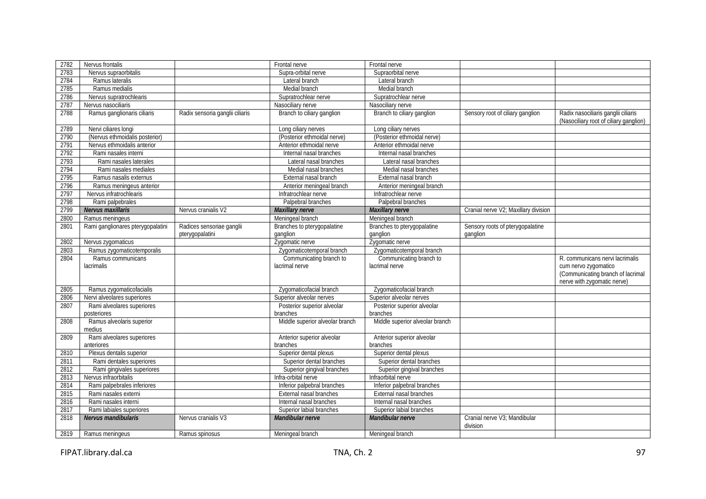| 2783<br>Nervus supraorbitalis<br>Supra-orbital nerve<br>Supraorbital nerve<br>2784<br>Ramus lateralis<br>Lateral branch<br>Lateral branch<br>2785<br>Ramus medialis<br>Medial branch<br>Medial branch<br>2786<br>Nervus supratrochlearis<br>Supratrochlear nerve<br>Supratrochlear nerve<br>2787<br>Nervus nasociliaris<br>Nasociliary nerve<br>Nasociliary nerve<br>2788<br>Branch to ciliary ganglion<br>Radix nasociliaris ganglii ciliaris<br>Ramus ganglionaris ciliaris<br>Radix sensoria ganglii ciliaris<br>Branch to ciliary ganglion<br>Sensory root of ciliary ganglion<br>(Nasociliary root of ciliary ganglion)<br>2789<br>Nervi ciliares longi<br>Long ciliary nerves<br>Long ciliary nerves<br>(Posterior ethmoidal nerve)<br>(Posterior ethmoidal nerve)<br>(Nervus ethmoidalis posterior)<br>2790<br>Nervus ethmoidalis anterior<br>2791<br>Anterior ethmoidal nerve<br>Anterior ethmoidal nerve<br>2792<br>Rami nasales interni<br>Internal nasal branches<br>Internal nasal branches<br>2793<br>Rami nasales laterales<br>Lateral nasal branches<br>Lateral nasal branches<br>2794<br>Medial nasal branches<br>Rami nasales mediales<br>Medial nasal branches<br>2795<br>Ramus nasalis externus<br>External nasal branch<br>External nasal branch<br>2796<br>Ramus meningeus anterior<br>Anterior meningeal branch<br>Anterior meningeal branch<br>2797<br>Nervus infratrochlearis<br>Infratrochlear nerve<br>Infratrochlear nerve<br>2798<br>Rami palpebrales<br>Palpebral branches<br>Palpebral branches<br>2799<br>Nervus maxillaris<br>Nervus cranialis V2<br><b>Maxillary nerve</b><br>Cranial nerve V2; Maxillary division<br>Maxillary nerve<br>2800<br>Ramus meningeus<br>Meningeal branch<br>Meningeal branch<br>Radices sensoriae ganglii<br>Sensory roots of pterygopalatine<br>2801<br>Rami ganglionares pterygopalatini<br>Branches to pterygopalatine<br>Branches to pterygopalatine<br>pterygopalatini<br>ganglion<br>ganglion<br>ganglion<br>Nervus zygomaticus<br>Zygomatic nerve<br>Zygomatic nerve<br>2802<br>Ramus zygomaticotemporalis<br>Zygomaticotemporal branch<br>2803<br>Zygomaticotemporal branch<br>Ramus communicans<br>Communicating branch to<br>Communicating branch to<br>2804<br>R. communicans nervi lacrimalis<br>lacrimal nerve<br>cum nervo zygomatico<br><b>lacrimalis</b><br>lacrimal nerve<br>(Communicating branch of lacrimal<br>nerve with zygomatic nerve)<br>Ramus zygomaticofacialis<br>Zygomaticofacial branch<br>Zygomaticofacial branch<br>2805<br>Superior alveolar nerves<br>2806<br>Nervi alveolares superiores<br>Superior alveolar nerves<br>Rami alveolares superiores<br>Posterior superior alveolar<br>2807<br>Posterior superior alveolar<br>branches<br>branches<br>posteriores<br>Middle superior alveolar branch<br>Ramus alveolaris superior<br>Middle superior alveolar branch<br>2808<br>medius<br>Rami alveolares superiores<br>2809<br>Anterior superior alveolar<br>Anterior superior alveolar<br>branches<br>branches<br>anteriores<br>Plexus dentalis superior<br>Superior dental plexus<br>Superior dental plexus<br>2810<br>Rami dentales superiores<br>Superior dental branches<br>Superior dental branches<br>2811<br>Superior gingival branches<br>2812<br>Rami gingivales superiores<br>Superior gingival branches<br>Nervus infraorbitalis<br>2813<br>Infra-orbital nerve<br>Infraorbital nerve<br>2814<br>Rami palpebrales inferiores<br>Inferior palpebral branches<br>Inferior palpebral branches<br>Rami nasales externi<br>External nasal branches<br>2815<br>External nasal branches<br>Rami nasales interni<br>Internal nasal branches<br>Internal nasal branches<br>2816<br>2817<br>Rami labiales superiores<br>Superior labial branches<br>Superior labial branches<br><b>Nervus mandibularis</b><br>Nervus cranialis V3<br>Mandibular nerve<br>Mandibular nerve<br>Cranial nerve V3; Mandibular<br>2818<br>division<br>2819<br>Meningeal branch<br>Ramus meningeus<br>Ramus spinosus | 2782 | Nervus frontalis | Frontal nerve | Frontal nerve    |  |
|-------------------------------------------------------------------------------------------------------------------------------------------------------------------------------------------------------------------------------------------------------------------------------------------------------------------------------------------------------------------------------------------------------------------------------------------------------------------------------------------------------------------------------------------------------------------------------------------------------------------------------------------------------------------------------------------------------------------------------------------------------------------------------------------------------------------------------------------------------------------------------------------------------------------------------------------------------------------------------------------------------------------------------------------------------------------------------------------------------------------------------------------------------------------------------------------------------------------------------------------------------------------------------------------------------------------------------------------------------------------------------------------------------------------------------------------------------------------------------------------------------------------------------------------------------------------------------------------------------------------------------------------------------------------------------------------------------------------------------------------------------------------------------------------------------------------------------------------------------------------------------------------------------------------------------------------------------------------------------------------------------------------------------------------------------------------------------------------------------------------------------------------------------------------------------------------------------------------------------------------------------------------------------------------------------------------------------------------------------------------------------------------------------------------------------------------------------------------------------------------------------------------------------------------------------------------------------------------------------------------------------------------------------------------------------------------------------------------------------------------------------------------------------------------------------------------------------------------------------------------------------------------------------------------------------------------------------------------------------------------------------------------------------------------------------------------------------------------------------------------------------------------------------------------------------------------------------------------------------------------------------------------------------------------------------------------------------------------------------------------------------------------------------------------------------------------------------------------------------------------------------------------------------------------------------------------------------------------------------------------------------------------------------------------------------------------------------------------------------------------------------------------------------------------------------------------------------------------------------------------------------------------------------------------------------------------------------------------------------------------------|------|------------------|---------------|------------------|--|
|                                                                                                                                                                                                                                                                                                                                                                                                                                                                                                                                                                                                                                                                                                                                                                                                                                                                                                                                                                                                                                                                                                                                                                                                                                                                                                                                                                                                                                                                                                                                                                                                                                                                                                                                                                                                                                                                                                                                                                                                                                                                                                                                                                                                                                                                                                                                                                                                                                                                                                                                                                                                                                                                                                                                                                                                                                                                                                                                                                                                                                                                                                                                                                                                                                                                                                                                                                                                                                                                                                                                                                                                                                                                                                                                                                                                                                                                                                                                                                                                 |      |                  |               |                  |  |
|                                                                                                                                                                                                                                                                                                                                                                                                                                                                                                                                                                                                                                                                                                                                                                                                                                                                                                                                                                                                                                                                                                                                                                                                                                                                                                                                                                                                                                                                                                                                                                                                                                                                                                                                                                                                                                                                                                                                                                                                                                                                                                                                                                                                                                                                                                                                                                                                                                                                                                                                                                                                                                                                                                                                                                                                                                                                                                                                                                                                                                                                                                                                                                                                                                                                                                                                                                                                                                                                                                                                                                                                                                                                                                                                                                                                                                                                                                                                                                                                 |      |                  |               |                  |  |
|                                                                                                                                                                                                                                                                                                                                                                                                                                                                                                                                                                                                                                                                                                                                                                                                                                                                                                                                                                                                                                                                                                                                                                                                                                                                                                                                                                                                                                                                                                                                                                                                                                                                                                                                                                                                                                                                                                                                                                                                                                                                                                                                                                                                                                                                                                                                                                                                                                                                                                                                                                                                                                                                                                                                                                                                                                                                                                                                                                                                                                                                                                                                                                                                                                                                                                                                                                                                                                                                                                                                                                                                                                                                                                                                                                                                                                                                                                                                                                                                 |      |                  |               |                  |  |
|                                                                                                                                                                                                                                                                                                                                                                                                                                                                                                                                                                                                                                                                                                                                                                                                                                                                                                                                                                                                                                                                                                                                                                                                                                                                                                                                                                                                                                                                                                                                                                                                                                                                                                                                                                                                                                                                                                                                                                                                                                                                                                                                                                                                                                                                                                                                                                                                                                                                                                                                                                                                                                                                                                                                                                                                                                                                                                                                                                                                                                                                                                                                                                                                                                                                                                                                                                                                                                                                                                                                                                                                                                                                                                                                                                                                                                                                                                                                                                                                 |      |                  |               |                  |  |
|                                                                                                                                                                                                                                                                                                                                                                                                                                                                                                                                                                                                                                                                                                                                                                                                                                                                                                                                                                                                                                                                                                                                                                                                                                                                                                                                                                                                                                                                                                                                                                                                                                                                                                                                                                                                                                                                                                                                                                                                                                                                                                                                                                                                                                                                                                                                                                                                                                                                                                                                                                                                                                                                                                                                                                                                                                                                                                                                                                                                                                                                                                                                                                                                                                                                                                                                                                                                                                                                                                                                                                                                                                                                                                                                                                                                                                                                                                                                                                                                 |      |                  |               |                  |  |
|                                                                                                                                                                                                                                                                                                                                                                                                                                                                                                                                                                                                                                                                                                                                                                                                                                                                                                                                                                                                                                                                                                                                                                                                                                                                                                                                                                                                                                                                                                                                                                                                                                                                                                                                                                                                                                                                                                                                                                                                                                                                                                                                                                                                                                                                                                                                                                                                                                                                                                                                                                                                                                                                                                                                                                                                                                                                                                                                                                                                                                                                                                                                                                                                                                                                                                                                                                                                                                                                                                                                                                                                                                                                                                                                                                                                                                                                                                                                                                                                 |      |                  |               |                  |  |
|                                                                                                                                                                                                                                                                                                                                                                                                                                                                                                                                                                                                                                                                                                                                                                                                                                                                                                                                                                                                                                                                                                                                                                                                                                                                                                                                                                                                                                                                                                                                                                                                                                                                                                                                                                                                                                                                                                                                                                                                                                                                                                                                                                                                                                                                                                                                                                                                                                                                                                                                                                                                                                                                                                                                                                                                                                                                                                                                                                                                                                                                                                                                                                                                                                                                                                                                                                                                                                                                                                                                                                                                                                                                                                                                                                                                                                                                                                                                                                                                 |      |                  |               |                  |  |
|                                                                                                                                                                                                                                                                                                                                                                                                                                                                                                                                                                                                                                                                                                                                                                                                                                                                                                                                                                                                                                                                                                                                                                                                                                                                                                                                                                                                                                                                                                                                                                                                                                                                                                                                                                                                                                                                                                                                                                                                                                                                                                                                                                                                                                                                                                                                                                                                                                                                                                                                                                                                                                                                                                                                                                                                                                                                                                                                                                                                                                                                                                                                                                                                                                                                                                                                                                                                                                                                                                                                                                                                                                                                                                                                                                                                                                                                                                                                                                                                 |      |                  |               |                  |  |
|                                                                                                                                                                                                                                                                                                                                                                                                                                                                                                                                                                                                                                                                                                                                                                                                                                                                                                                                                                                                                                                                                                                                                                                                                                                                                                                                                                                                                                                                                                                                                                                                                                                                                                                                                                                                                                                                                                                                                                                                                                                                                                                                                                                                                                                                                                                                                                                                                                                                                                                                                                                                                                                                                                                                                                                                                                                                                                                                                                                                                                                                                                                                                                                                                                                                                                                                                                                                                                                                                                                                                                                                                                                                                                                                                                                                                                                                                                                                                                                                 |      |                  |               |                  |  |
|                                                                                                                                                                                                                                                                                                                                                                                                                                                                                                                                                                                                                                                                                                                                                                                                                                                                                                                                                                                                                                                                                                                                                                                                                                                                                                                                                                                                                                                                                                                                                                                                                                                                                                                                                                                                                                                                                                                                                                                                                                                                                                                                                                                                                                                                                                                                                                                                                                                                                                                                                                                                                                                                                                                                                                                                                                                                                                                                                                                                                                                                                                                                                                                                                                                                                                                                                                                                                                                                                                                                                                                                                                                                                                                                                                                                                                                                                                                                                                                                 |      |                  |               |                  |  |
|                                                                                                                                                                                                                                                                                                                                                                                                                                                                                                                                                                                                                                                                                                                                                                                                                                                                                                                                                                                                                                                                                                                                                                                                                                                                                                                                                                                                                                                                                                                                                                                                                                                                                                                                                                                                                                                                                                                                                                                                                                                                                                                                                                                                                                                                                                                                                                                                                                                                                                                                                                                                                                                                                                                                                                                                                                                                                                                                                                                                                                                                                                                                                                                                                                                                                                                                                                                                                                                                                                                                                                                                                                                                                                                                                                                                                                                                                                                                                                                                 |      |                  |               |                  |  |
|                                                                                                                                                                                                                                                                                                                                                                                                                                                                                                                                                                                                                                                                                                                                                                                                                                                                                                                                                                                                                                                                                                                                                                                                                                                                                                                                                                                                                                                                                                                                                                                                                                                                                                                                                                                                                                                                                                                                                                                                                                                                                                                                                                                                                                                                                                                                                                                                                                                                                                                                                                                                                                                                                                                                                                                                                                                                                                                                                                                                                                                                                                                                                                                                                                                                                                                                                                                                                                                                                                                                                                                                                                                                                                                                                                                                                                                                                                                                                                                                 |      |                  |               |                  |  |
|                                                                                                                                                                                                                                                                                                                                                                                                                                                                                                                                                                                                                                                                                                                                                                                                                                                                                                                                                                                                                                                                                                                                                                                                                                                                                                                                                                                                                                                                                                                                                                                                                                                                                                                                                                                                                                                                                                                                                                                                                                                                                                                                                                                                                                                                                                                                                                                                                                                                                                                                                                                                                                                                                                                                                                                                                                                                                                                                                                                                                                                                                                                                                                                                                                                                                                                                                                                                                                                                                                                                                                                                                                                                                                                                                                                                                                                                                                                                                                                                 |      |                  |               |                  |  |
|                                                                                                                                                                                                                                                                                                                                                                                                                                                                                                                                                                                                                                                                                                                                                                                                                                                                                                                                                                                                                                                                                                                                                                                                                                                                                                                                                                                                                                                                                                                                                                                                                                                                                                                                                                                                                                                                                                                                                                                                                                                                                                                                                                                                                                                                                                                                                                                                                                                                                                                                                                                                                                                                                                                                                                                                                                                                                                                                                                                                                                                                                                                                                                                                                                                                                                                                                                                                                                                                                                                                                                                                                                                                                                                                                                                                                                                                                                                                                                                                 |      |                  |               |                  |  |
|                                                                                                                                                                                                                                                                                                                                                                                                                                                                                                                                                                                                                                                                                                                                                                                                                                                                                                                                                                                                                                                                                                                                                                                                                                                                                                                                                                                                                                                                                                                                                                                                                                                                                                                                                                                                                                                                                                                                                                                                                                                                                                                                                                                                                                                                                                                                                                                                                                                                                                                                                                                                                                                                                                                                                                                                                                                                                                                                                                                                                                                                                                                                                                                                                                                                                                                                                                                                                                                                                                                                                                                                                                                                                                                                                                                                                                                                                                                                                                                                 |      |                  |               |                  |  |
|                                                                                                                                                                                                                                                                                                                                                                                                                                                                                                                                                                                                                                                                                                                                                                                                                                                                                                                                                                                                                                                                                                                                                                                                                                                                                                                                                                                                                                                                                                                                                                                                                                                                                                                                                                                                                                                                                                                                                                                                                                                                                                                                                                                                                                                                                                                                                                                                                                                                                                                                                                                                                                                                                                                                                                                                                                                                                                                                                                                                                                                                                                                                                                                                                                                                                                                                                                                                                                                                                                                                                                                                                                                                                                                                                                                                                                                                                                                                                                                                 |      |                  |               |                  |  |
|                                                                                                                                                                                                                                                                                                                                                                                                                                                                                                                                                                                                                                                                                                                                                                                                                                                                                                                                                                                                                                                                                                                                                                                                                                                                                                                                                                                                                                                                                                                                                                                                                                                                                                                                                                                                                                                                                                                                                                                                                                                                                                                                                                                                                                                                                                                                                                                                                                                                                                                                                                                                                                                                                                                                                                                                                                                                                                                                                                                                                                                                                                                                                                                                                                                                                                                                                                                                                                                                                                                                                                                                                                                                                                                                                                                                                                                                                                                                                                                                 |      |                  |               |                  |  |
|                                                                                                                                                                                                                                                                                                                                                                                                                                                                                                                                                                                                                                                                                                                                                                                                                                                                                                                                                                                                                                                                                                                                                                                                                                                                                                                                                                                                                                                                                                                                                                                                                                                                                                                                                                                                                                                                                                                                                                                                                                                                                                                                                                                                                                                                                                                                                                                                                                                                                                                                                                                                                                                                                                                                                                                                                                                                                                                                                                                                                                                                                                                                                                                                                                                                                                                                                                                                                                                                                                                                                                                                                                                                                                                                                                                                                                                                                                                                                                                                 |      |                  |               |                  |  |
|                                                                                                                                                                                                                                                                                                                                                                                                                                                                                                                                                                                                                                                                                                                                                                                                                                                                                                                                                                                                                                                                                                                                                                                                                                                                                                                                                                                                                                                                                                                                                                                                                                                                                                                                                                                                                                                                                                                                                                                                                                                                                                                                                                                                                                                                                                                                                                                                                                                                                                                                                                                                                                                                                                                                                                                                                                                                                                                                                                                                                                                                                                                                                                                                                                                                                                                                                                                                                                                                                                                                                                                                                                                                                                                                                                                                                                                                                                                                                                                                 |      |                  |               |                  |  |
|                                                                                                                                                                                                                                                                                                                                                                                                                                                                                                                                                                                                                                                                                                                                                                                                                                                                                                                                                                                                                                                                                                                                                                                                                                                                                                                                                                                                                                                                                                                                                                                                                                                                                                                                                                                                                                                                                                                                                                                                                                                                                                                                                                                                                                                                                                                                                                                                                                                                                                                                                                                                                                                                                                                                                                                                                                                                                                                                                                                                                                                                                                                                                                                                                                                                                                                                                                                                                                                                                                                                                                                                                                                                                                                                                                                                                                                                                                                                                                                                 |      |                  |               |                  |  |
|                                                                                                                                                                                                                                                                                                                                                                                                                                                                                                                                                                                                                                                                                                                                                                                                                                                                                                                                                                                                                                                                                                                                                                                                                                                                                                                                                                                                                                                                                                                                                                                                                                                                                                                                                                                                                                                                                                                                                                                                                                                                                                                                                                                                                                                                                                                                                                                                                                                                                                                                                                                                                                                                                                                                                                                                                                                                                                                                                                                                                                                                                                                                                                                                                                                                                                                                                                                                                                                                                                                                                                                                                                                                                                                                                                                                                                                                                                                                                                                                 |      |                  |               |                  |  |
|                                                                                                                                                                                                                                                                                                                                                                                                                                                                                                                                                                                                                                                                                                                                                                                                                                                                                                                                                                                                                                                                                                                                                                                                                                                                                                                                                                                                                                                                                                                                                                                                                                                                                                                                                                                                                                                                                                                                                                                                                                                                                                                                                                                                                                                                                                                                                                                                                                                                                                                                                                                                                                                                                                                                                                                                                                                                                                                                                                                                                                                                                                                                                                                                                                                                                                                                                                                                                                                                                                                                                                                                                                                                                                                                                                                                                                                                                                                                                                                                 |      |                  |               |                  |  |
|                                                                                                                                                                                                                                                                                                                                                                                                                                                                                                                                                                                                                                                                                                                                                                                                                                                                                                                                                                                                                                                                                                                                                                                                                                                                                                                                                                                                                                                                                                                                                                                                                                                                                                                                                                                                                                                                                                                                                                                                                                                                                                                                                                                                                                                                                                                                                                                                                                                                                                                                                                                                                                                                                                                                                                                                                                                                                                                                                                                                                                                                                                                                                                                                                                                                                                                                                                                                                                                                                                                                                                                                                                                                                                                                                                                                                                                                                                                                                                                                 |      |                  |               |                  |  |
|                                                                                                                                                                                                                                                                                                                                                                                                                                                                                                                                                                                                                                                                                                                                                                                                                                                                                                                                                                                                                                                                                                                                                                                                                                                                                                                                                                                                                                                                                                                                                                                                                                                                                                                                                                                                                                                                                                                                                                                                                                                                                                                                                                                                                                                                                                                                                                                                                                                                                                                                                                                                                                                                                                                                                                                                                                                                                                                                                                                                                                                                                                                                                                                                                                                                                                                                                                                                                                                                                                                                                                                                                                                                                                                                                                                                                                                                                                                                                                                                 |      |                  |               |                  |  |
|                                                                                                                                                                                                                                                                                                                                                                                                                                                                                                                                                                                                                                                                                                                                                                                                                                                                                                                                                                                                                                                                                                                                                                                                                                                                                                                                                                                                                                                                                                                                                                                                                                                                                                                                                                                                                                                                                                                                                                                                                                                                                                                                                                                                                                                                                                                                                                                                                                                                                                                                                                                                                                                                                                                                                                                                                                                                                                                                                                                                                                                                                                                                                                                                                                                                                                                                                                                                                                                                                                                                                                                                                                                                                                                                                                                                                                                                                                                                                                                                 |      |                  |               |                  |  |
|                                                                                                                                                                                                                                                                                                                                                                                                                                                                                                                                                                                                                                                                                                                                                                                                                                                                                                                                                                                                                                                                                                                                                                                                                                                                                                                                                                                                                                                                                                                                                                                                                                                                                                                                                                                                                                                                                                                                                                                                                                                                                                                                                                                                                                                                                                                                                                                                                                                                                                                                                                                                                                                                                                                                                                                                                                                                                                                                                                                                                                                                                                                                                                                                                                                                                                                                                                                                                                                                                                                                                                                                                                                                                                                                                                                                                                                                                                                                                                                                 |      |                  |               |                  |  |
|                                                                                                                                                                                                                                                                                                                                                                                                                                                                                                                                                                                                                                                                                                                                                                                                                                                                                                                                                                                                                                                                                                                                                                                                                                                                                                                                                                                                                                                                                                                                                                                                                                                                                                                                                                                                                                                                                                                                                                                                                                                                                                                                                                                                                                                                                                                                                                                                                                                                                                                                                                                                                                                                                                                                                                                                                                                                                                                                                                                                                                                                                                                                                                                                                                                                                                                                                                                                                                                                                                                                                                                                                                                                                                                                                                                                                                                                                                                                                                                                 |      |                  |               |                  |  |
|                                                                                                                                                                                                                                                                                                                                                                                                                                                                                                                                                                                                                                                                                                                                                                                                                                                                                                                                                                                                                                                                                                                                                                                                                                                                                                                                                                                                                                                                                                                                                                                                                                                                                                                                                                                                                                                                                                                                                                                                                                                                                                                                                                                                                                                                                                                                                                                                                                                                                                                                                                                                                                                                                                                                                                                                                                                                                                                                                                                                                                                                                                                                                                                                                                                                                                                                                                                                                                                                                                                                                                                                                                                                                                                                                                                                                                                                                                                                                                                                 |      |                  |               |                  |  |
|                                                                                                                                                                                                                                                                                                                                                                                                                                                                                                                                                                                                                                                                                                                                                                                                                                                                                                                                                                                                                                                                                                                                                                                                                                                                                                                                                                                                                                                                                                                                                                                                                                                                                                                                                                                                                                                                                                                                                                                                                                                                                                                                                                                                                                                                                                                                                                                                                                                                                                                                                                                                                                                                                                                                                                                                                                                                                                                                                                                                                                                                                                                                                                                                                                                                                                                                                                                                                                                                                                                                                                                                                                                                                                                                                                                                                                                                                                                                                                                                 |      |                  |               |                  |  |
|                                                                                                                                                                                                                                                                                                                                                                                                                                                                                                                                                                                                                                                                                                                                                                                                                                                                                                                                                                                                                                                                                                                                                                                                                                                                                                                                                                                                                                                                                                                                                                                                                                                                                                                                                                                                                                                                                                                                                                                                                                                                                                                                                                                                                                                                                                                                                                                                                                                                                                                                                                                                                                                                                                                                                                                                                                                                                                                                                                                                                                                                                                                                                                                                                                                                                                                                                                                                                                                                                                                                                                                                                                                                                                                                                                                                                                                                                                                                                                                                 |      |                  |               |                  |  |
|                                                                                                                                                                                                                                                                                                                                                                                                                                                                                                                                                                                                                                                                                                                                                                                                                                                                                                                                                                                                                                                                                                                                                                                                                                                                                                                                                                                                                                                                                                                                                                                                                                                                                                                                                                                                                                                                                                                                                                                                                                                                                                                                                                                                                                                                                                                                                                                                                                                                                                                                                                                                                                                                                                                                                                                                                                                                                                                                                                                                                                                                                                                                                                                                                                                                                                                                                                                                                                                                                                                                                                                                                                                                                                                                                                                                                                                                                                                                                                                                 |      |                  |               |                  |  |
|                                                                                                                                                                                                                                                                                                                                                                                                                                                                                                                                                                                                                                                                                                                                                                                                                                                                                                                                                                                                                                                                                                                                                                                                                                                                                                                                                                                                                                                                                                                                                                                                                                                                                                                                                                                                                                                                                                                                                                                                                                                                                                                                                                                                                                                                                                                                                                                                                                                                                                                                                                                                                                                                                                                                                                                                                                                                                                                                                                                                                                                                                                                                                                                                                                                                                                                                                                                                                                                                                                                                                                                                                                                                                                                                                                                                                                                                                                                                                                                                 |      |                  |               |                  |  |
|                                                                                                                                                                                                                                                                                                                                                                                                                                                                                                                                                                                                                                                                                                                                                                                                                                                                                                                                                                                                                                                                                                                                                                                                                                                                                                                                                                                                                                                                                                                                                                                                                                                                                                                                                                                                                                                                                                                                                                                                                                                                                                                                                                                                                                                                                                                                                                                                                                                                                                                                                                                                                                                                                                                                                                                                                                                                                                                                                                                                                                                                                                                                                                                                                                                                                                                                                                                                                                                                                                                                                                                                                                                                                                                                                                                                                                                                                                                                                                                                 |      |                  |               |                  |  |
|                                                                                                                                                                                                                                                                                                                                                                                                                                                                                                                                                                                                                                                                                                                                                                                                                                                                                                                                                                                                                                                                                                                                                                                                                                                                                                                                                                                                                                                                                                                                                                                                                                                                                                                                                                                                                                                                                                                                                                                                                                                                                                                                                                                                                                                                                                                                                                                                                                                                                                                                                                                                                                                                                                                                                                                                                                                                                                                                                                                                                                                                                                                                                                                                                                                                                                                                                                                                                                                                                                                                                                                                                                                                                                                                                                                                                                                                                                                                                                                                 |      |                  |               |                  |  |
|                                                                                                                                                                                                                                                                                                                                                                                                                                                                                                                                                                                                                                                                                                                                                                                                                                                                                                                                                                                                                                                                                                                                                                                                                                                                                                                                                                                                                                                                                                                                                                                                                                                                                                                                                                                                                                                                                                                                                                                                                                                                                                                                                                                                                                                                                                                                                                                                                                                                                                                                                                                                                                                                                                                                                                                                                                                                                                                                                                                                                                                                                                                                                                                                                                                                                                                                                                                                                                                                                                                                                                                                                                                                                                                                                                                                                                                                                                                                                                                                 |      |                  |               |                  |  |
|                                                                                                                                                                                                                                                                                                                                                                                                                                                                                                                                                                                                                                                                                                                                                                                                                                                                                                                                                                                                                                                                                                                                                                                                                                                                                                                                                                                                                                                                                                                                                                                                                                                                                                                                                                                                                                                                                                                                                                                                                                                                                                                                                                                                                                                                                                                                                                                                                                                                                                                                                                                                                                                                                                                                                                                                                                                                                                                                                                                                                                                                                                                                                                                                                                                                                                                                                                                                                                                                                                                                                                                                                                                                                                                                                                                                                                                                                                                                                                                                 |      |                  |               |                  |  |
|                                                                                                                                                                                                                                                                                                                                                                                                                                                                                                                                                                                                                                                                                                                                                                                                                                                                                                                                                                                                                                                                                                                                                                                                                                                                                                                                                                                                                                                                                                                                                                                                                                                                                                                                                                                                                                                                                                                                                                                                                                                                                                                                                                                                                                                                                                                                                                                                                                                                                                                                                                                                                                                                                                                                                                                                                                                                                                                                                                                                                                                                                                                                                                                                                                                                                                                                                                                                                                                                                                                                                                                                                                                                                                                                                                                                                                                                                                                                                                                                 |      |                  |               |                  |  |
|                                                                                                                                                                                                                                                                                                                                                                                                                                                                                                                                                                                                                                                                                                                                                                                                                                                                                                                                                                                                                                                                                                                                                                                                                                                                                                                                                                                                                                                                                                                                                                                                                                                                                                                                                                                                                                                                                                                                                                                                                                                                                                                                                                                                                                                                                                                                                                                                                                                                                                                                                                                                                                                                                                                                                                                                                                                                                                                                                                                                                                                                                                                                                                                                                                                                                                                                                                                                                                                                                                                                                                                                                                                                                                                                                                                                                                                                                                                                                                                                 |      |                  |               | Meningeal branch |  |

FIPAT.library.dal.ca 6.1 Compared to the control of the TNA, Ch. 2 6.1 Compared to the control of the control of the control of the control of the control of the control of the control of the control of the control of the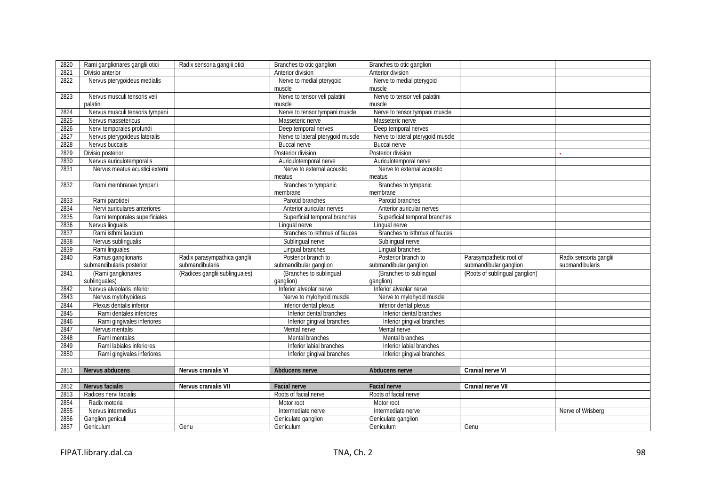| 2820 | Rami ganglionares ganglii otici | Radix sensoria ganglii otici   | Branches to otic ganglion         | Branches to otic ganglion         |                                |                        |
|------|---------------------------------|--------------------------------|-----------------------------------|-----------------------------------|--------------------------------|------------------------|
| 2821 | Divisio anterior                |                                | Anterior division                 | Anterior division                 |                                |                        |
| 2822 | Nervus pterygoideus medialis    |                                | Nerve to medial pterygoid         | Nerve to medial pterygoid         |                                |                        |
|      |                                 |                                | muscle                            | muscle                            |                                |                        |
| 2823 | Nervus musculi tensoris veli    |                                | Nerve to tensor veli palatini     | Nerve to tensor veli palatini     |                                |                        |
|      | palatini                        |                                | muscle                            | muscle                            |                                |                        |
| 2824 | Nervus musculi tensoris tympani |                                | Nerve to tensor tympani muscle    | Nerve to tensor tympani muscle    |                                |                        |
| 2825 | Nervus massetericus             |                                | Masseteric nerve                  | Masseteric nerve                  |                                |                        |
| 2826 | Nervi temporales profundi       |                                | Deep temporal nerves              | Deep temporal nerves              |                                |                        |
| 2827 | Nervus pterygoideus lateralis   |                                | Nerve to lateral pterygoid muscle | Nerve to lateral pterygoid muscle |                                |                        |
| 2828 | Nervus buccalis                 |                                | <b>Buccal nerve</b>               | <b>Buccal nerve</b>               |                                |                        |
| 2829 | Divisio posterior               |                                | Posterior division                | Posterior division                |                                |                        |
| 2830 | Nervus auriculotemporalis       |                                | Auriculotemporal nerve            | Auriculotemporal nerve            |                                |                        |
| 2831 | Nervus meatus acustici externi  |                                | Nerve to external acoustic        | Nerve to external acoustic        |                                |                        |
|      |                                 |                                | meatus                            | meatus                            |                                |                        |
| 2832 | Rami membranae tympani          |                                | Branches to tympanic              | Branches to tympanic              |                                |                        |
|      |                                 |                                | membrane                          | membrane                          |                                |                        |
| 2833 | Rami parotidei                  |                                | Parotid branches                  | Parotid branches                  |                                |                        |
| 2834 | Nervi auriculares anteriores    |                                | Anterior auricular nerves         | Anterior auricular nerves         |                                |                        |
| 2835 | Rami temporales superficiales   |                                | Superficial temporal branches     | Superficial temporal branches     |                                |                        |
| 2836 | Nervus lingualis                |                                | Lingual nerve                     | Lingual nerve                     |                                |                        |
| 2837 | Rami isthmi faucium             |                                | Branches to isthmus of fauces     | Branches to isthmus of fauces     |                                |                        |
| 2838 | Nervus sublingualis             |                                | Sublingual nerve                  | Sublingual nerve                  |                                |                        |
| 2839 | Rami linguales                  |                                | Lingual branches                  | Lingual branches                  |                                |                        |
| 2840 | Ramus ganglionaris              | Radix parasympathica ganglii   | Posterior branch to               | Posterior branch to               | Parasympathetic root of        | Radix sensoria ganglii |
|      | submandibularis posterior       | submandibularis                | submandibular ganglion            | submandibular ganglion            | submandibular ganglion         | submandibularis        |
| 2841 | (Rami ganglionares              | (Radices ganglii sublinguales) | (Branches to sublingual           | (Branches to sublingual           | (Roots of sublingual ganglion) |                        |
|      | sublinguales)                   |                                | qanglion)                         | ganglion)                         |                                |                        |
| 2842 | Nervus alveolaris inferior      |                                | Inferior alveolar nerve           | Inferior alveolar nerve           |                                |                        |
| 2843 | Nervus mylohyoideus             |                                | Nerve to mylohyoid muscle         | Nerve to mylohyoid muscle         |                                |                        |
| 2844 | Plexus dentalis inferior        |                                | Inferior dental plexus            | Inferior dental plexus            |                                |                        |
| 2845 | Rami dentales inferiores        |                                | Inferior dental branches          | Inferior dental branches          |                                |                        |
| 2846 | Rami gingivales inferiores      |                                | Inferior gingival branches        | Inferior gingival branches        |                                |                        |
| 2847 | Nervus mentalis                 |                                | Mental nerve                      | Mental nerve                      |                                |                        |
| 2848 | Rami mentales                   |                                | Mental branches                   | Mental branches                   |                                |                        |
| 2849 | Rami labiales inferiores        |                                | Inferior labial branches          | Inferior labial branches          |                                |                        |
| 2850 | Rami gingivales inferiores      |                                | Inferior gingival branches        | Inferior gingival branches        |                                |                        |
|      |                                 |                                |                                   |                                   |                                |                        |
| 2851 | Nervus abducens                 | Nervus cranialis VI            | Abducens nerve                    | Abducens nerve                    | Cranial nerve VI               |                        |
|      |                                 |                                |                                   |                                   |                                |                        |
| 2852 | Nervus facialis                 | Nervus cranialis VII           | <b>Facial nerve</b>               | <b>Facial nerve</b>               | Cranial nerve VII              |                        |
| 2853 | Radices nervi facialis          |                                | Roots of facial nerve             | Roots of facial nerve             |                                |                        |
| 2854 | Radix motoria                   |                                | Motor root                        | Motor root                        |                                |                        |
| 2855 | Nervus intermedius              |                                | Intermediate nerve                | Intermediate nerve                |                                | Nerve of Wrisberg      |
| 2856 | Ganglion geniculi               |                                | Geniculate ganglion               | Geniculate ganglion               |                                |                        |
| 2857 | Geniculum                       | Genu                           | Geniculum                         | Geniculum                         | Genu                           |                        |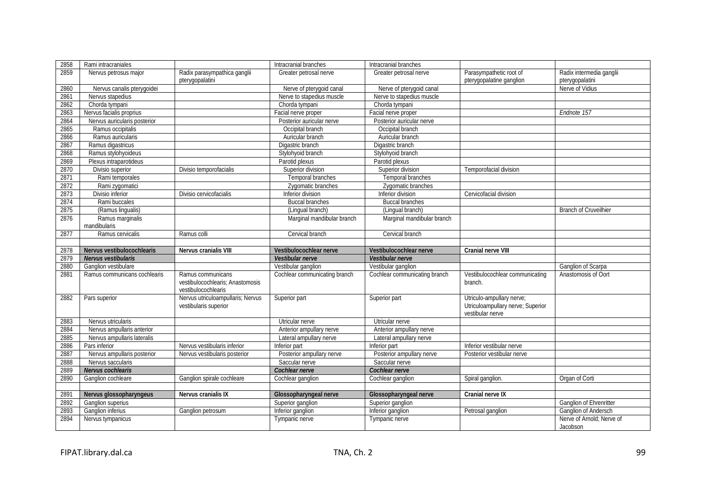| 2858 | Rami intracraniales          |                                                                              | Intracranial branches         | Intracranial branches         |                                                                                    |                              |
|------|------------------------------|------------------------------------------------------------------------------|-------------------------------|-------------------------------|------------------------------------------------------------------------------------|------------------------------|
| 2859 | Nervus petrosus major        | Radix parasympathica ganglii                                                 | Greater petrosal nerve        | Greater petrosal nerve        | Parasympathetic root of                                                            | Radix intermedia ganglii     |
|      |                              | pterygopalatini                                                              |                               |                               | pterygopalatine ganglion                                                           | pterygopalatini              |
| 2860 | Nervus canalis pterygoidei   |                                                                              | Nerve of pterygoid canal      | Nerve of pterygoid canal      |                                                                                    | Nerve of Vidius              |
| 2861 | Nervus stapedius             |                                                                              | Nerve to stapedius muscle     | Nerve to stapedius muscle     |                                                                                    |                              |
| 2862 | Chorda tympani               |                                                                              | Chorda tympani                | Chorda tympani                |                                                                                    |                              |
| 2863 | Nervus facialis proprius     |                                                                              | Facial nerve proper           | Facial nerve proper           |                                                                                    | Endnote 157                  |
| 2864 | Nervus auricularis posterior |                                                                              | Posterior auricular nerve     | Posterior auricular nerve     |                                                                                    |                              |
| 2865 | Ramus occipitalis            |                                                                              | Occipital branch              | Occipital branch              |                                                                                    |                              |
| 2866 | Ramus auricularis            |                                                                              | Auricular branch              | Auricular branch              |                                                                                    |                              |
| 2867 | Ramus digastricus            |                                                                              | Digastric branch              | Digastric branch              |                                                                                    |                              |
| 2868 | Ramus stylohyoideus          |                                                                              | Stylohyoid branch             | Stylohyoid branch             |                                                                                    |                              |
| 2869 | Plexus intraparotideus       |                                                                              | Parotid plexus                | Parotid plexus                |                                                                                    |                              |
| 2870 | Divisio superior             | Divisio temporofacialis                                                      | Superior division             | Superior division             | Temporofacial division                                                             |                              |
| 2871 | Rami temporales              |                                                                              | Temporal branches             | Temporal branches             |                                                                                    |                              |
| 2872 | Rami zygomatici              |                                                                              | Zygomatic branches            | Zygomatic branches            |                                                                                    |                              |
| 2873 | Divisio inferior             | Divisio cervicofacialis                                                      | Inferior division             | Inferior division             | Cervicofacial division                                                             |                              |
| 2874 | Rami buccales                |                                                                              | <b>Buccal branches</b>        | <b>Buccal branches</b>        |                                                                                    |                              |
| 2875 | (Ramus lingualis)            |                                                                              | (Lingual branch)              | (Lingual branch)              |                                                                                    | <b>Branch of Cruveilhier</b> |
| 2876 | Ramus marginalis             |                                                                              | Marginal mandibular branch    | Marginal mandibular branch    |                                                                                    |                              |
|      | mandibularis                 |                                                                              |                               |                               |                                                                                    |                              |
| 2877 | Ramus cervicalis             | Ramus colli                                                                  | Cervical branch               | Cervical branch               |                                                                                    |                              |
|      |                              |                                                                              |                               |                               |                                                                                    |                              |
|      |                              |                                                                              |                               |                               |                                                                                    |                              |
| 2878 | Nervus vestibulocochlearis   | Nervus cranialis VIII                                                        | Vestibulocochlear nerve       | Vestibulocochlear nerve       | Cranial nerve VIII                                                                 |                              |
| 2879 | Nervus vestibularis          |                                                                              | Vestibular nerve              | Vestibular nerve              |                                                                                    |                              |
| 2880 | Ganglion vestibulare         |                                                                              | Vestibular ganglion           | Vestibular ganglion           |                                                                                    | Ganglion of Scarpa           |
| 2881 | Ramus communicans cochlearis | Ramus communicans<br>vestibulocochlearis; Anastomosis<br>vestibulocochlearis | Cochlear communicating branch | Cochlear communicating branch | Vestibulocochlear communicating<br>branch.                                         | Anastomosis of Oort          |
| 2882 | Pars superior                | Nervus utriculoampullaris; Nervus<br>vestibularis superior                   | Superior part                 | Superior part                 | Utriculo-ampullary nerve;<br>Utriculoampullary nerve; Superior<br>vestibular nerve |                              |
| 2883 | Nervus utricularis           |                                                                              | Utricular nerve               | Utricular nerve               |                                                                                    |                              |
| 2884 | Nervus ampullaris anterior   |                                                                              | Anterior ampullary nerve      | Anterior ampullary nerve      |                                                                                    |                              |
| 2885 | Nervus ampullaris lateralis  |                                                                              | Lateral ampullary nerve       | Lateral ampullary nerve       |                                                                                    |                              |
| 2886 | Pars inferior                | Nervus vestibularis inferior                                                 | Inferior part                 | Inferior part                 | Inferior vestibular nerve                                                          |                              |
| 2887 | Nervus ampullaris posterior  | Nervus vestibularis posterior                                                | Posterior ampullary nerve     | Posterior ampullary nerve     | Posterior vestibular nerve                                                         |                              |
| 2888 | Nervus saccularis            |                                                                              | Saccular nerve                | Saccular nerve                |                                                                                    |                              |
| 2889 | Nervus cochlearis            |                                                                              | Cochlear nerve                | Cochlear nerve                |                                                                                    |                              |
| 2890 | Ganglion cochleare           | Ganglion spirale cochleare                                                   | Cochlear ganglion             | Cochlear ganglion             | Spiral ganglion.                                                                   | Organ of Corti               |
|      |                              |                                                                              |                               |                               |                                                                                    |                              |
| 2891 | Nervus glossopharyngeus      | Nervus cranialis IX                                                          | Glossopharyngeal nerve        | Glossopharyngeal nerve        | <b>Cranial nerve IX</b>                                                            |                              |
| 2892 | Ganglion superius            |                                                                              | Superior ganglion             | Superior ganglion             |                                                                                    | Ganglion of Ehrenritter      |
| 2893 | <b>Ganglion inferius</b>     |                                                                              | Inferior ganglion             | Inferior ganglion             | Petrosal ganglion                                                                  | Ganglion of Andersch         |
| 2894 | Nervus tympanicus            | Ganglion petrosum                                                            | Tympanic nerve                | Tympanic nerve                |                                                                                    | Nerve of Arnold; Nerve of    |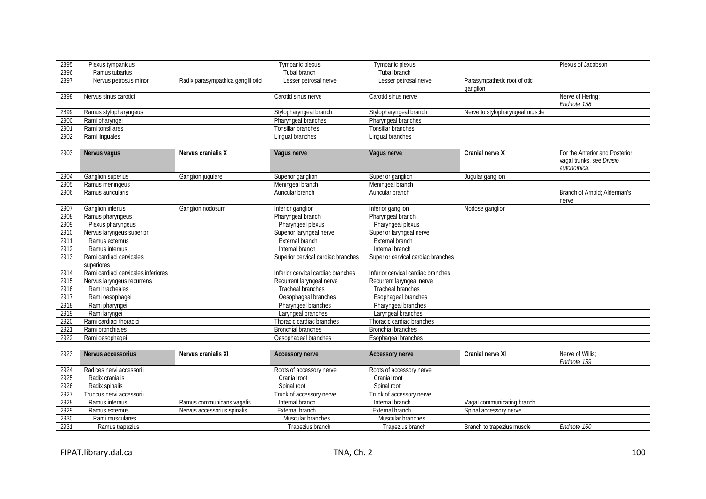| 2895 | Plexus tympanicus                      |                                    | Tympanic plexus                    | Tympanic plexus                    |                                          | Plexus of Jacobson                                                         |
|------|----------------------------------------|------------------------------------|------------------------------------|------------------------------------|------------------------------------------|----------------------------------------------------------------------------|
| 2896 | Ramus tubarius                         |                                    | Tubal branch                       | Tubal branch                       |                                          |                                                                            |
| 2897 | Nervus petrosus minor                  | Radix parasympathica ganglii otici | Lesser petrosal nerve              | Lesser petrosal nerve              | Parasympathetic root of otic<br>ganglion |                                                                            |
| 2898 | Nervus sinus carotici                  |                                    | Carotid sinus nerve                | Carotid sinus nerve                |                                          | Nerve of Hering;<br>Endnote 158                                            |
| 2899 | Ramus stylopharyngeus                  |                                    | Stylopharyngeal branch             | Stylopharyngeal branch             | Nerve to stylopharyngeal muscle          |                                                                            |
| 2900 | Rami pharyngei                         |                                    | Pharyngeal branches                | Pharyngeal branches                |                                          |                                                                            |
| 2901 | Rami tonsillares                       |                                    | Tonsillar branches                 | Tonsillar branches                 |                                          |                                                                            |
| 2902 | Rami linguales                         |                                    | Lingual branches                   | Lingual branches                   |                                          |                                                                            |
|      |                                        |                                    |                                    |                                    |                                          |                                                                            |
| 2903 | Nervus vagus                           | Nervus cranialis X                 | Vagus nerve                        | Vagus nerve                        | Cranial nerve X                          | For the Anterior and Posterior<br>vagal trunks, see Divisio<br>autonomica. |
| 2904 | Ganglion superius                      | Ganglion jugulare                  | Superior ganglion                  | Superior ganglion                  | Jugular ganglion                         |                                                                            |
| 2905 | Ramus meningeus                        |                                    | Meningeal branch                   | Meningeal branch                   |                                          |                                                                            |
| 2906 | Ramus auricularis                      |                                    | Auricular branch                   | Auricular branch                   |                                          | Branch of Arnold: Alderman's<br>nerve                                      |
| 2907 | Ganglion inferius                      | Ganglion nodosum                   | Inferior ganglion                  | Inferior ganglion                  | Nodose ganglion                          |                                                                            |
| 2908 | Ramus pharyngeus                       |                                    | Pharyngeal branch                  | Pharyngeal branch                  |                                          |                                                                            |
| 2909 | Plexus pharyngeus                      |                                    | Pharyngeal plexus                  | Pharyngeal plexus                  |                                          |                                                                            |
| 2910 | Nervus laryngeus superior              |                                    | Superior laryngeal nerve           | Superior laryngeal nerve           |                                          |                                                                            |
| 2911 | Ramus externus                         |                                    | External branch                    | External branch                    |                                          |                                                                            |
| 2912 | Ramus internus                         |                                    | Internal branch                    | Internal branch                    |                                          |                                                                            |
| 2913 | Rami cardiaci cervicales<br>superiores |                                    | Superior cervical cardiac branches | Superior cervical cardiac branches |                                          |                                                                            |
| 2914 | Rami cardiaci cervicales inferiores    |                                    | Inferior cervical cardiac branches | Inferior cervical cardiac branches |                                          |                                                                            |
| 2915 | Nervus laryngeus recurrens             |                                    | Recurrent laryngeal nerve          | Recurrent laryngeal nerve          |                                          |                                                                            |
| 2916 | Rami tracheales                        |                                    | <b>Tracheal branches</b>           | <b>Tracheal branches</b>           |                                          |                                                                            |
| 2917 | Rami oesophagei                        |                                    | Oesophageal branches               | Esophageal branches                |                                          |                                                                            |
| 2918 | Rami pharyngei                         |                                    | Pharyngeal branches                | Pharyngeal branches                |                                          |                                                                            |
| 2919 | Rami laryngei                          |                                    | Laryngeal branches                 | Laryngeal branches                 |                                          |                                                                            |
| 2920 | Rami cardiaci thoracici                |                                    | Thoracic cardiac branches          | Thoracic cardiac branches          |                                          |                                                                            |
| 2921 | Rami bronchiales                       |                                    | <b>Bronchial branches</b>          | <b>Bronchial branches</b>          |                                          |                                                                            |
| 2922 | Rami oesophagei                        |                                    | Oesophageal branches               | Esophageal branches                |                                          |                                                                            |
|      |                                        |                                    |                                    |                                    |                                          |                                                                            |
| 2923 | Nervus accessorius                     | Nervus cranialis XI                | <b>Accessory nerve</b>             | <b>Accessory nerve</b>             | Cranial nerve XI                         | Nerve of Willis;<br>Endnote 159                                            |
| 2924 | Radices nervi accessorii               |                                    | Roots of accessory nerve           | Roots of accessory nerve           |                                          |                                                                            |
| 2925 | Radix cranialis                        |                                    | Cranial root                       | Cranial root                       |                                          |                                                                            |
| 2926 | Radix spinalis                         |                                    | Spinal root                        | Spinal root                        |                                          |                                                                            |
| 2927 | Truncus nervi accessorii               |                                    | Trunk of accessory nerve           | Trunk of accessory nerve           |                                          |                                                                            |
| 2928 | Ramus internus                         | Ramus communicans vagalis          | Internal branch                    | Internal branch                    | Vagal communicating branch               |                                                                            |
| 2929 | Ramus externus                         | Nervus accessorius spinalis        | <b>External branch</b>             | External branch                    | Spinal accessory nerve                   |                                                                            |
| 2930 | Rami musculares                        |                                    | Muscular branches                  | Muscular branches                  |                                          |                                                                            |
| 2931 | Ramus trapezius                        |                                    | Trapezius branch                   | Trapezius branch                   | Branch to trapezius muscle               | Endnote 160                                                                |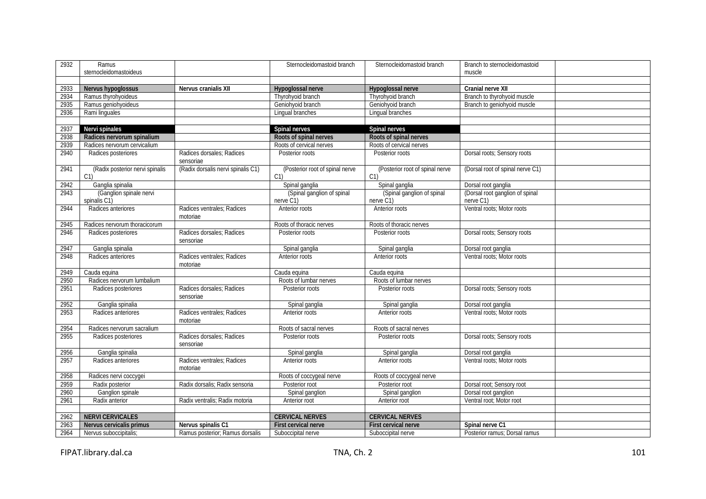| 2932 | Ramus                                   |                                        | Sternocleidomastoid branch              | Sternocleidomastoid branch                        | Branch to sternocleidomastoid                |  |
|------|-----------------------------------------|----------------------------------------|-----------------------------------------|---------------------------------------------------|----------------------------------------------|--|
|      | sternocleidomastoideus                  |                                        |                                         |                                                   | muscle                                       |  |
|      |                                         |                                        |                                         |                                                   |                                              |  |
| 2933 | Nervus hypoglossus                      | Nervus cranialis XII                   | Hypoglossal nerve                       | Hypoglossal nerve                                 | Cranial nerve XII                            |  |
| 2934 | Ramus thyrohyoideus                     |                                        | Thyrohyoid branch                       | Thyrohyoid branch                                 | Branch to thyrohyoid muscle                  |  |
| 2935 | Ramus geniohyoideus                     |                                        | Geniohyoid branch                       | Geniohyoid branch                                 | Branch to geniohyoid muscle                  |  |
| 2936 | Rami linguales                          |                                        | Lingual branches                        | Lingual branches                                  |                                              |  |
|      |                                         |                                        |                                         |                                                   |                                              |  |
| 2937 | Nervi spinales                          |                                        | Spinal nerves                           | Spinal nerves                                     |                                              |  |
| 2938 | Radices nervorum spinalium              |                                        | Roots of spinal nerves                  | Roots of spinal nerves                            |                                              |  |
| 2939 | Radices nervorum cervicalium            |                                        | Roots of cervical nerves                | Roots of cervical nerves                          |                                              |  |
| 2940 | Radices posteriores                     | Radices dorsales; Radices<br>sensoriae | Posterior roots                         | Posterior roots                                   | Dorsal roots; Sensory roots                  |  |
| 2941 | (Radix posterior nervi spinalis<br>C1   | (Radix dorsalis nervi spinalis C1)     | (Posterior root of spinal nerve<br>C1   | (Posterior root of spinal nerve<br>C <sub>1</sub> | (Dorsal root of spinal nerve C1)             |  |
| 2942 | Ganglia spinalia                        |                                        | Spinal ganglia                          | Spinal ganglia                                    | Dorsal root ganglia                          |  |
| 2943 | (Ganglion spinale nervi<br>spinalis C1) |                                        | (Spinal ganglion of spinal<br>nerve C1) | (Spinal ganglion of spinal<br>nerve C1)           | (Dorsal root ganglion of spinal<br>nerve C1) |  |
| 2944 | Radices anteriores                      | Radices ventrales; Radices<br>motoriae | Anterior roots                          | Anterior roots                                    | Ventral roots; Motor roots                   |  |
| 2945 | Radices nervorum thoracicorum           |                                        | Roots of thoracic nerves                | Roots of thoracic nerves                          |                                              |  |
| 2946 | Radices posteriores                     | Radices dorsales: Radices<br>sensoriae | Posterior roots                         | Posterior roots                                   | Dorsal roots; Sensory roots                  |  |
| 2947 | Ganglia spinalia                        |                                        | Spinal ganglia                          | Spinal ganglia                                    | Dorsal root ganglia                          |  |
| 2948 | Radices anteriores                      | Radices ventrales; Radices<br>motoriae | Anterior roots                          | Anterior roots                                    | Ventral roots; Motor roots                   |  |
| 2949 | Cauda equina                            |                                        | Cauda equina                            | Cauda equina                                      |                                              |  |
| 2950 | Radices nervorum lumbalium              |                                        | Roots of lumbar nerves                  | Roots of lumbar nerves                            |                                              |  |
| 2951 | Radices posteriores                     | Radices dorsales; Radices<br>sensoriae | Posterior roots                         | Posterior roots                                   | Dorsal roots; Sensory roots                  |  |
| 2952 | Ganglia spinalia                        |                                        | Spinal ganglia                          | Spinal ganglia                                    | Dorsal root ganglia                          |  |
| 2953 | Radices anteriores                      | Radices ventrales; Radices<br>motoriae | Anterior roots                          | Anterior roots                                    | Ventral roots: Motor roots                   |  |
| 2954 | Radices nervorum sacralium              |                                        | Roots of sacral nerves                  | Roots of sacral nerves                            |                                              |  |
| 2955 | Radices posteriores                     | Radices dorsales; Radices<br>sensoriae | Posterior roots                         | Posterior roots                                   | Dorsal roots; Sensory roots                  |  |
| 2956 | Ganglia spinalia                        |                                        | Spinal ganglia                          | Spinal ganglia                                    | Dorsal root ganglia                          |  |
| 2957 | Radices anteriores                      | Radices ventrales; Radices<br>motoriae | Anterior roots                          | Anterior roots                                    | Ventral roots: Motor roots                   |  |
| 2958 | Radices nervi coccygei                  |                                        | Roots of coccygeal nerve                | Roots of coccygeal nerve                          |                                              |  |
| 2959 | Radix posterior                         | Radix dorsalis; Radix sensoria         | Posterior root                          | Posterior root                                    | Dorsal root; Sensory root                    |  |
| 2960 | Ganglion spinale                        |                                        | Spinal ganglion                         | Spinal ganglion                                   | Dorsal root ganglion                         |  |
| 2961 | Radix anterior                          | Radix ventralis; Radix motoria         | Anterior root                           | Anterior root                                     | Ventral root; Motor root                     |  |
|      |                                         |                                        |                                         |                                                   |                                              |  |
| 2962 | <b>NERVI CERVICALES</b>                 |                                        | <b>CERVICAL NERVES</b>                  | <b>CERVICAL NERVES</b>                            |                                              |  |
| 2963 | Nervus cervicalis primus                | Nervus spinalis C1                     | First cervical nerve                    | <b>First cervical nerve</b>                       | Spinal nerve C1                              |  |
| 2964 | Nervus suboccipitalis;                  | Ramus posterior; Ramus dorsalis        | Suboccipital nerve                      | Suboccipital nerve                                | Posterior ramus: Dorsal ramus                |  |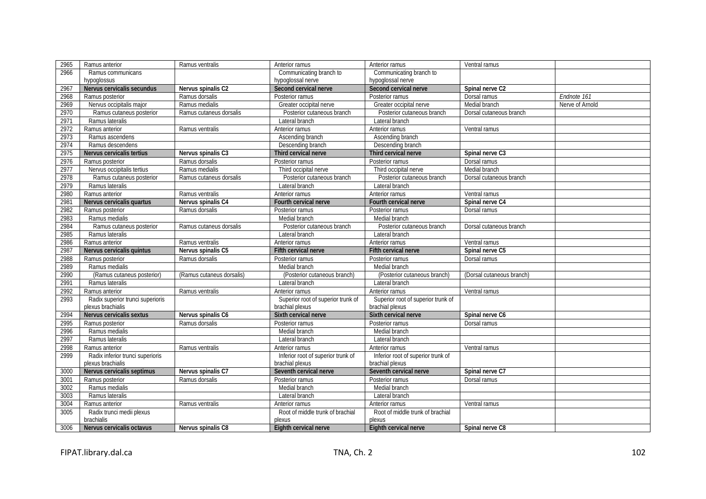| 2965 | Ramus anterior                   | Ramus ventralis           | Anterior ramus                     | Anterior ramus                                       | Ventral ramus               |                 |
|------|----------------------------------|---------------------------|------------------------------------|------------------------------------------------------|-----------------------------|-----------------|
| 2966 | Ramus communicans                |                           | Communicating branch to            | Communicating branch to                              |                             |                 |
|      | hypoglossus                      |                           | hypoglossal nerve                  | hypoglossal nerve                                    |                             |                 |
| 2967 | Nervus cervicalis secundus       | Nervus spinalis C2        | Second cervical nerve              | Second cervical nerve                                | Spinal nerve C <sub>2</sub> |                 |
| 2968 | Ramus posterior                  | Ramus dorsalis            | Posterior ramus                    | Posterior ramus                                      | Dorsal ramus                | Endnote 161     |
| 2969 | Nervus occipitalis major         | Ramus medialis            | Greater occipital nerve            | Greater occipital nerve                              | Medial branch               | Nerve of Arnold |
| 2970 | Ramus cutaneus posterior         | Ramus cutaneus dorsalis   | Posterior cutaneous branch         | Posterior cutaneous branch                           | Dorsal cutaneous branch     |                 |
| 2971 | Ramus lateralis                  |                           | Lateral branch                     | Lateral branch                                       |                             |                 |
| 2972 | Ramus anterior                   | Ramus ventralis           | Anterior ramus                     | Anterior ramus                                       | Ventral ramus               |                 |
| 2973 | Ramus ascendens                  |                           | Ascending branch                   | Ascending branch                                     |                             |                 |
| 2974 | Ramus descendens                 |                           | Descending branch                  | Descending branch                                    |                             |                 |
| 2975 | Nervus cervicalis tertius        | Nervus spinalis C3        | Third cervical nerve               | Third cervical nerve                                 | Spinal nerve C3             |                 |
| 2976 | Ramus posterior                  | Ramus dorsalis            | Posterior ramus                    | Posterior ramus                                      | Dorsal ramus                |                 |
| 2977 | Nervus occipitalis tertius       | Ramus medialis            | Third occipital nerve              | Third occipital nerve                                | Medial branch               |                 |
| 2978 | Ramus cutaneus posterior         | Ramus cutaneus dorsalis   | Posterior cutaneous branch         | Posterior cutaneous branch                           | Dorsal cutaneous branch     |                 |
| 2979 | Ramus lateralis                  |                           | Lateral branch                     | Lateral branch                                       |                             |                 |
| 2980 | Ramus anterior                   | Ramus ventralis           | Anterior ramus                     | Anterior ramus                                       | Ventral ramus               |                 |
| 2981 | Nervus cervicalis quartus        | Nervus spinalis C4        | Fourth cervical nerve              | Fourth cervical nerve                                | Spinal nerve C4             |                 |
| 2982 | Ramus posterior                  | Ramus dorsalis            | Posterior ramus                    | Posterior ramus                                      | Dorsal ramus                |                 |
| 2983 | Ramus medialis                   |                           | Medial branch                      | Medial branch                                        |                             |                 |
| 2984 | Ramus cutaneus posterior         | Ramus cutaneus dorsalis   | Posterior cutaneous branch         | Posterior cutaneous branch                           | Dorsal cutaneous branch     |                 |
| 2985 | Ramus lateralis                  |                           | Lateral branch                     | Lateral branch                                       |                             |                 |
| 2986 | Ramus anterior                   | Ramus ventralis           | Anterior ramus                     | Anterior ramus                                       | Ventral ramus               |                 |
|      |                                  |                           |                                    |                                                      |                             |                 |
| 2987 | Nervus cervicalis quintus        | Nervus spinalis C5        | Fifth cervical nerve               | Fifth cervical nerve                                 | Spinal nerve C5             |                 |
| 2988 | Ramus posterior                  | Ramus dorsalis            | Posterior ramus                    | Posterior ramus                                      | Dorsal ramus                |                 |
| 2989 | Ramus medialis                   |                           | Medial branch                      | Medial branch                                        |                             |                 |
| 2990 | (Ramus cutaneus posterior)       | (Ramus cutaneus dorsalis) | (Posterior cutaneous branch)       | (Posterior cutaneous branch)                         | (Dorsal cutaneous branch)   |                 |
| 2991 | Ramus lateralis                  |                           | Lateral branch                     | Lateral branch                                       |                             |                 |
| 2992 | Ramus anterior                   | Ramus ventralis           | Anterior ramus                     |                                                      |                             |                 |
| 2993 | Radix superior trunci superioris |                           | Superior root of superior trunk of | Anterior ramus<br>Superior root of superior trunk of | Ventral ramus               |                 |
|      | plexus brachialis                |                           | brachial plexus                    | brachial plexus                                      |                             |                 |
| 2994 | Nervus cervicalis sextus         | Nervus spinalis C6        | Sixth cervical nerve               | Sixth cervical nerve                                 | Spinal nerve C6             |                 |
| 2995 | Ramus posterior                  | Ramus dorsalis            | Posterior ramus                    | Posterior ramus                                      | Dorsal ramus                |                 |
| 2996 | Ramus medialis                   |                           | Medial branch                      | Medial branch                                        |                             |                 |
| 2997 | Ramus lateralis                  |                           | Lateral branch                     | Lateral branch                                       |                             |                 |
| 2998 | Ramus anterior                   | Ramus ventralis           | Anterior ramus                     | Anterior ramus                                       | Ventral ramus               |                 |
| 2999 | Radix inferior trunci superioris |                           | Inferior root of superior trunk of | Inferior root of superior trunk of                   |                             |                 |
|      | plexus brachialis                |                           | brachial plexus                    | brachial plexus                                      |                             |                 |
| 3000 | Nervus cervicalis septimus       | Nervus spinalis C7        | Seventh cervical nerve             | Seventh cervical nerve                               | Spinal nerve C7             |                 |
| 3001 | Ramus posterior                  | Ramus dorsalis            | Posterior ramus                    | Posterior ramus                                      | Dorsal ramus                |                 |
| 3002 | Ramus medialis                   |                           | Medial branch                      | Medial branch                                        |                             |                 |
| 3003 | Ramus lateralis                  |                           | Lateral branch                     | Lateral branch                                       |                             |                 |
| 3004 | Ramus anterior                   | Ramus ventralis           | Anterior ramus                     | Anterior ramus                                       | Ventral ramus               |                 |
| 3005 | Radix trunci medii plexus        |                           | Root of middle trunk of brachial   | Root of middle trunk of brachial                     |                             |                 |
|      | brachialis                       |                           | plexus                             | plexus                                               |                             |                 |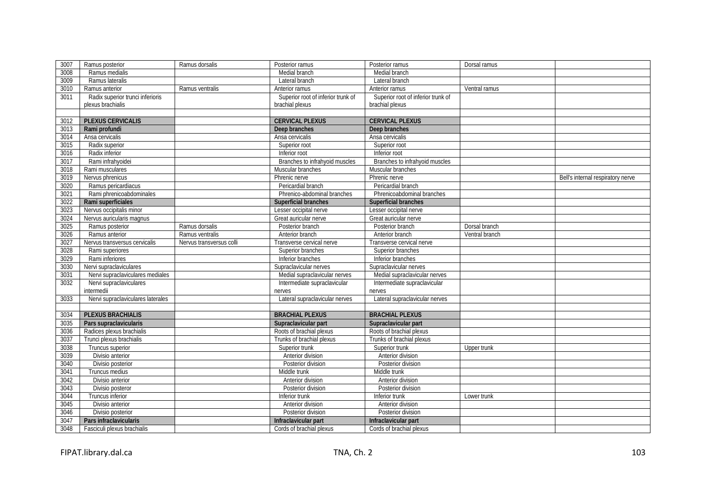| 3007 | Ramus posterior                   | Ramus dorsalis           | Posterior ramus                    | Posterior ramus                    | Dorsal ramus   |                                   |
|------|-----------------------------------|--------------------------|------------------------------------|------------------------------------|----------------|-----------------------------------|
| 3008 | Ramus medialis                    |                          | Medial branch                      | Medial branch                      |                |                                   |
| 3009 | Ramus lateralis                   |                          | Lateral branch                     | Lateral branch                     |                |                                   |
| 3010 | Ramus anterior                    | Ramus ventralis          | Anterior ramus                     | Anterior ramus                     | Ventral ramus  |                                   |
| 3011 | Radix superior trunci inferioris  |                          | Superior root of inferior trunk of | Superior root of inferior trunk of |                |                                   |
|      | plexus brachialis                 |                          | brachial plexus                    | brachial plexus                    |                |                                   |
|      |                                   |                          |                                    |                                    |                |                                   |
| 3012 | <b>PLEXUS CERVICALIS</b>          |                          | <b>CERVICAL PLEXUS</b>             | <b>CERVICAL PLEXUS</b>             |                |                                   |
| 3013 | Rami profundi                     |                          | Deep branches                      | Deep branches                      |                |                                   |
| 3014 | Ansa cervicalis                   |                          | Ansa cervicalis                    | Ansa cervicalis                    |                |                                   |
| 3015 | Radix superior                    |                          | Superior root                      | Superior root                      |                |                                   |
| 3016 | Radix inferior                    |                          | Inferior root                      | Inferior root                      |                |                                   |
| 3017 | Rami infrahyoidei                 |                          | Branches to infrahyoid muscles     | Branches to infrahyoid muscles     |                |                                   |
| 3018 | Rami musculares                   |                          | Muscular branches                  | Muscular branches                  |                |                                   |
| 3019 | Nervus phrenicus                  |                          | Phrenic nerve                      | Phrenic nerve                      |                | Bell's internal respiratory nerve |
| 3020 | Ramus pericardiacus               |                          | Pericardial branch                 | Pericardial branch                 |                |                                   |
| 3021 | Rami phrenicoabdominales          |                          | Phrenico-abdominal branches        | Phrenicoabdominal branches         |                |                                   |
| 3022 | Rami superficiales                |                          | Superficial branches               | Superficial branches               |                |                                   |
| 3023 | Nervus occipitalis minor          |                          | Lesser occipital nerve             | Lesser occipital nerve             |                |                                   |
| 3024 | Nervus auricularis magnus         |                          | Great auricular nerve              | Great auricular nerve              |                |                                   |
| 3025 | Ramus posterior                   | Ramus dorsalis           | Posterior branch                   | Posterior branch                   | Dorsal branch  |                                   |
| 3026 | Ramus anterior                    | Ramus ventralis          | Anterior branch                    | Anterior branch                    | Ventral branch |                                   |
| 3027 | Nervus transversus cervicalis     | Nervus transversus colli | Transverse cervical nerve          | Transverse cervical nerve          |                |                                   |
| 3028 | Rami superiores                   |                          | Superior branches                  | Superior branches                  |                |                                   |
| 3029 | Rami inferiores                   |                          | Inferior branches                  | Inferior branches                  |                |                                   |
| 3030 | Nervi supraclaviculares           |                          | Supraclavicular nerves             | Supraclavicular nerves             |                |                                   |
| 3031 | Nervi supraclaviculares mediales  |                          | Medial supraclavicular nerves      | Medial supraclavicular nerves      |                |                                   |
| 3032 | Nervi supraclaviculares           |                          | Intermediate supraclavicular       | Intermediate supraclavicular       |                |                                   |
|      | intermedii                        |                          | nerves                             | nerves                             |                |                                   |
| 3033 | Nervi supraclaviculares laterales |                          | Lateral supraclavicular nerves     | Lateral supraclavicular nerves     |                |                                   |
|      |                                   |                          |                                    |                                    |                |                                   |
| 3034 | <b>PLEXUS BRACHIALIS</b>          |                          | <b>BRACHIAL PLEXUS</b>             | <b>BRACHIAL PLEXUS</b>             |                |                                   |
| 3035 | Pars supraclavicularis            |                          | Supraclavicular part               | Supraclavicular part               |                |                                   |
| 3036 | Radices plexus brachialis         |                          | Roots of brachial plexus           | Roots of brachial plexus           |                |                                   |
| 3037 | Trunci plexus brachialis          |                          | Trunks of brachial plexus          | Trunks of brachial plexus          |                |                                   |
| 3038 | Truncus superior                  |                          | Superior trunk                     | Superior trunk                     | Upper trunk    |                                   |
| 3039 | Divisio anterior                  |                          | Anterior division                  | Anterior division                  |                |                                   |
| 3040 | Divisio posterior                 |                          | Posterior division                 | Posterior division                 |                |                                   |
| 3041 | <b>Truncus medius</b>             |                          | Middle trunk                       | Middle trunk                       |                |                                   |
| 3042 | Divisio anterior                  |                          | Anterior division                  | Anterior division                  |                |                                   |
| 3043 | Divisio posteror                  |                          | Posterior division                 | Posterior division                 |                |                                   |
| 3044 | Truncus inferior                  |                          | Inferior trunk                     | Inferior trunk                     | Lower trunk    |                                   |
| 3045 | Divisio anterior                  |                          | Anterior division                  | Anterior division                  |                |                                   |
| 3046 | Divisio posterior                 |                          | Posterior division                 | Posterior division                 |                |                                   |
| 3047 | Pars infraclavicularis            |                          | Infraclavicular part               | Infraclavicular part               |                |                                   |
| 3048 | Fasciculi plexus brachialis       |                          | Cords of brachial plexus           | Cords of brachial plexus           |                |                                   |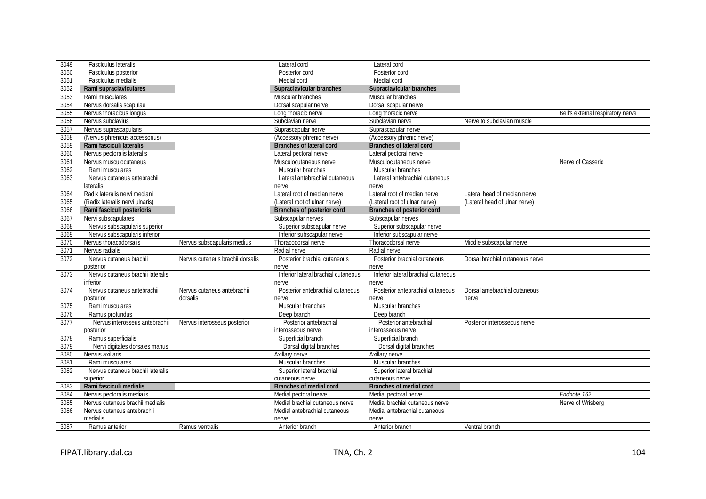| 3049 | Fasciculus lateralis              |                                  | Lateral cord                        | Lateral cord                        |                                 |                                   |
|------|-----------------------------------|----------------------------------|-------------------------------------|-------------------------------------|---------------------------------|-----------------------------------|
| 3050 | Fasciculus posterior              |                                  | Posterior cord                      | Posterior cord                      |                                 |                                   |
| 3051 | Fasciculus medialis               |                                  | Medial cord                         | Medial cord                         |                                 |                                   |
| 3052 | Rami supraclaviculares            |                                  | Supraclavicular branches            | Supraclavicular branches            |                                 |                                   |
| 3053 | Rami musculares                   |                                  | Muscular branches                   | Muscular branches                   |                                 |                                   |
| 3054 | Nervus dorsalis scapulae          |                                  | Dorsal scapular nerve               | Dorsal scapular nerve               |                                 |                                   |
| 3055 | Nervus thoracicus longus          |                                  | Long thoracic nerve                 | Long thoracic nerve                 |                                 | Bell's external respiratory nerve |
| 3056 | Nervus subclavius                 |                                  | Subclavian nerve                    | Subclavian nerve                    | Nerve to subclavian muscle      |                                   |
| 3057 | Nervus suprascapularis            |                                  | Suprascapular nerve                 | Suprascapular nerve                 |                                 |                                   |
| 3058 | (Nervus phrenicus accessorius)    |                                  | (Accessory phrenic nerve)           | (Accessory phrenic nerve)           |                                 |                                   |
| 3059 | Rami fasciculi lateralis          |                                  | <b>Branches of lateral cord</b>     | <b>Branches of lateral cord</b>     |                                 |                                   |
| 3060 | Nervus pectoralis lateralis       |                                  | Lateral pectoral nerve              | Lateral pectoral nerve              |                                 |                                   |
| 3061 | Nervus musculocutaneus            |                                  | Musculocutaneous nerve              | Musculocutaneous nerve              |                                 | Nerve of Casserio                 |
| 3062 | Rami musculares                   |                                  | Muscular branches                   | Muscular branches                   |                                 |                                   |
| 3063 | Nervus cutaneus antebrachii       |                                  | Lateral antebrachial cutaneous      | Lateral antebrachial cutaneous      |                                 |                                   |
|      | lateralis                         |                                  | nerve                               | nerve                               |                                 |                                   |
| 3064 | Radix lateralis nervi mediani     |                                  | Lateral root of median nerve        | Lateral root of median nerve        | Lateral head of median nerve    |                                   |
| 3065 | (Radix lateralis nervi ulnaris)   |                                  | (Lateral root of ulnar nerve)       | (Lateral root of ulnar nerve)       | (Lateral head of ulnar nerve)   |                                   |
| 3066 | Rami fasciculi posterioris        |                                  | Branches of posterior cord          | Branches of posterior cord          |                                 |                                   |
| 3067 | Nervi subscapulares               |                                  | Subscapular nerves                  | Subscapular nerves                  |                                 |                                   |
| 3068 | Nervus subscapularis superior     |                                  | Superior subscapular nerve          | Superior subscapular nerve          |                                 |                                   |
| 3069 | Nervus subscapularis inferior     |                                  | Inferior subscapular nerve          | Inferior subscapular nerve          |                                 |                                   |
| 3070 | Nervus thoracodorsalis            | Nervus subscapularis medius      | Thoracodorsal nerve                 | Thoracodorsal nerve                 | Middle subscapular nerve        |                                   |
| 3071 | Nervus radialis                   |                                  | Radial nerve                        | Radial nerve                        |                                 |                                   |
| 3072 | Nervus cutaneus brachii           | Nervus cutaneus brachii dorsalis | Posterior brachial cutaneous        | Posterior brachial cutaneous        | Dorsal brachial cutaneous nerve |                                   |
|      | posterior                         |                                  | nerve                               | nerve                               |                                 |                                   |
| 3073 | Nervus cutaneus brachii lateralis |                                  | Inferior lateral brachial cutaneous | Inferior lateral brachial cutaneous |                                 |                                   |
|      | inferior                          |                                  | nerve                               | nerve                               |                                 |                                   |
| 3074 | Nervus cutaneus antebrachii       | Nervus cutaneus antebrachii      | Posterior antebrachial cutaneous    | Posterior antebrachial cutaneous    | Dorsal antebrachial cutaneous   |                                   |
|      | posterior                         | dorsalis                         | nerve                               | nerve                               | nerve                           |                                   |
| 3075 | Rami musculares                   |                                  | Muscular branches                   | Muscular branches                   |                                 |                                   |
| 3076 | Ramus profundus                   |                                  | Deep branch                         | Deep branch                         |                                 |                                   |
| 3077 | Nervus interosseus antebrachii    | Nervus interosseus posterior     | Posterior antebrachial              | Posterior antebrachial              | Posterior interosseous nerve    |                                   |
|      | posterior                         |                                  | interosseous nerve                  | interosseous nerve                  |                                 |                                   |
| 3078 | Ramus superficialis               |                                  | Superficial branch                  | Superficial branch                  |                                 |                                   |
| 3079 | Nervi digitales dorsales manus    |                                  | Dorsal digital branches             | Dorsal digital branches             |                                 |                                   |
| 3080 | Nervus axillaris                  |                                  | Axillary nerve                      | Axillary nerve                      |                                 |                                   |
| 3081 | Rami musculares                   |                                  | Muscular branches                   | Muscular branches                   |                                 |                                   |
| 3082 | Nervus cutaneus brachii lateralis |                                  | Superior lateral brachial           | Superior lateral brachial           |                                 |                                   |
|      | superior                          |                                  | cutaneous nerve                     | cutaneous nerve                     |                                 |                                   |
| 3083 | Rami fasciculi medialis           |                                  | Branches of medial cord             | Branches of medial cord             |                                 |                                   |
| 3084 | Nervus pectoralis medialis        |                                  | Medial pectoral nerve               | Medial pectoral nerve               |                                 | Endnote 162                       |
| 3085 | Nervus cutaneus brachii medialis  |                                  | Medial brachial cutaneous nerve     | Medial brachial cutaneous nerve     |                                 | Nerve of Wrisberg                 |
| 3086 | Nervus cutaneus antebrachii       |                                  | Medial antebrachial cutaneous       | Medial antebrachial cutaneous       |                                 |                                   |
|      | medialis                          |                                  | nerve                               | nerve                               |                                 |                                   |
| 3087 | Ramus anterior                    | Ramus ventralis                  | Anterior branch                     | Anterior branch                     | Ventral branch                  |                                   |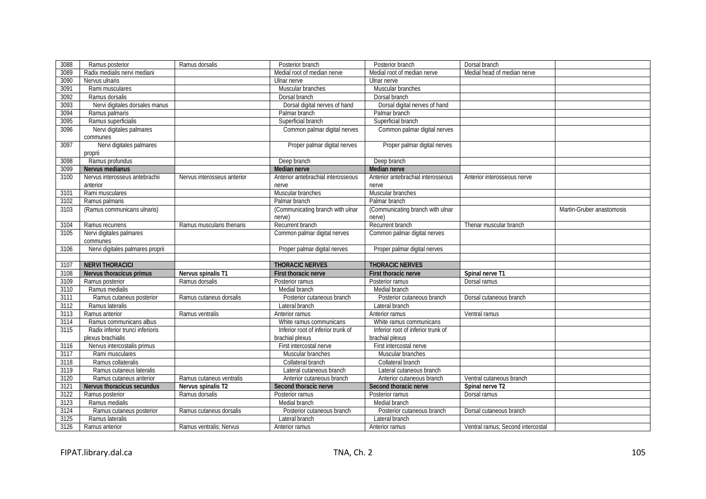| 3088 | Ramus posterior                  | Ramus dorsalis              | Posterior branch                   | Posterior branch                   | Dorsal branch                     |                           |
|------|----------------------------------|-----------------------------|------------------------------------|------------------------------------|-----------------------------------|---------------------------|
| 3089 | Radix medialis nervi mediani     |                             | Medial root of median nerve        | Medial root of median nerve        | Medial head of median nerve       |                           |
| 3090 | Nervus ulnaris                   |                             | Ulnar nerve                        | Ulnar nerve                        |                                   |                           |
| 3091 | Rami musculares                  |                             | Muscular branches                  | Muscular branches                  |                                   |                           |
| 3092 | Ramus dorsalis                   |                             | Dorsal branch                      | Dorsal branch                      |                                   |                           |
| 3093 | Nervi digitales dorsales manus   |                             | Dorsal digital nerves of hand      | Dorsal digital nerves of hand      |                                   |                           |
| 3094 | Ramus palmaris                   |                             | Palmar branch                      | Palmar branch                      |                                   |                           |
| 3095 | Ramus superficialis              |                             | Superficial branch                 | Superficial branch                 |                                   |                           |
| 3096 | Nervi digitales palmares         |                             | Common palmar digital nerves       | Common palmar digital nerves       |                                   |                           |
|      | communes                         |                             |                                    |                                    |                                   |                           |
| 3097 | Nervi digitales palmares         |                             | Proper palmar digital nerves       | Proper palmar digital nerves       |                                   |                           |
|      | proprii                          |                             |                                    |                                    |                                   |                           |
| 3098 | Ramus profundus                  |                             | Deep branch                        | Deep branch                        |                                   |                           |
| 3099 | Nervus medianus                  |                             | <b>Median nerve</b>                | Median nerve                       |                                   |                           |
| 3100 | Nervus interosseus antebrachii   | Nervus interosseus anterior | Anterior antebrachial interosseous | Anterior antebrachial interosseous | Anterior interosseous nerve       |                           |
|      | anterior                         |                             | nerve                              | nerve                              |                                   |                           |
| 3101 | Rami musculares                  |                             | Muscular branches                  | Muscular branches                  |                                   |                           |
| 3102 | Ramus palmaris                   |                             | Palmar branch                      | Palmar branch                      |                                   |                           |
| 3103 | (Ramus communicans ulnaris)      |                             | (Communicating branch with ulnar   | (Communicating branch with ulnar   |                                   | Martin-Gruber anastomosis |
|      |                                  |                             | nerve)                             | nerve)                             |                                   |                           |
| 3104 | Ramus recurrens                  | Ramus muscularis thenaris   | Recurrent branch                   | Recurrent branch                   | Thenar muscular branch            |                           |
| 3105 | Nervi digitales palmares         |                             | Common palmar digital nerves       | Common palmar digital nerves       |                                   |                           |
|      | communes                         |                             |                                    |                                    |                                   |                           |
| 3106 | Nervi digitales palmares proprii |                             | Proper palmar digital nerves       | Proper palmar digital nerves       |                                   |                           |
|      |                                  |                             |                                    |                                    |                                   |                           |
| 3107 | <b>NERVI THORACICI</b>           |                             | <b>THORACIC NERVES</b>             | <b>THORACIC NERVES</b>             |                                   |                           |
| 3108 | Nervus thoracicus primus         | Nervus spinalis T1          | First thoracic nerve               | First thoracic nerve               | Spinal nerve T1                   |                           |
| 3109 | Ramus posterior                  | Ramus dorsalis              | Posterior ramus                    | Posterior ramus                    | Dorsal ramus                      |                           |
| 3110 | Ramus medialis                   |                             | Medial branch                      | Medial branch                      |                                   |                           |
| 3111 | Ramus cutaneus posterior         | Ramus cutaneus dorsalis     | Posterior cutaneous branch         | Posterior cutaneous branch         | Dorsal cutaneous branch           |                           |
| 3112 | Ramus lateralis                  |                             | Lateral branch                     | Lateral branch                     |                                   |                           |
| 3113 | Ramus anterior                   | Ramus ventralis             | Anterior ramus                     | Anterior ramus                     | Ventral ramus                     |                           |
| 3114 | Ramus communicans albus          |                             | White ramus communicans            | White ramus communicans            |                                   |                           |
| 3115 | Radix inferior trunci inferioris |                             | Inferior root of inferior trunk of | Inferior root of inferior trunk of |                                   |                           |
|      | plexus brachialis                |                             | brachial plexus                    | brachial plexus                    |                                   |                           |
| 3116 | Nervus intercostalis primus      |                             | First intercostal nerve            | First intercostal nerve            |                                   |                           |
| 3117 | Rami musculares                  |                             | Muscular branches                  | Muscular branches                  |                                   |                           |
| 3118 | Ramus collateralis               |                             | Collateral branch                  | Collateral branch                  |                                   |                           |
| 3119 | Ramus cutaneus lateralis         |                             | Lateral cutaneous branch           | Lateral cutaneous branch           |                                   |                           |
| 3120 | Ramus cutaneus anterior          | Ramus cutaneus ventralis    | Anterior cutaneous branch          | Anterior cutaneous branch          | Ventral cutaneous branch          |                           |
| 3121 | Nervus thoracicus secundus       | Nervus spinalis T2          | Second thoracic nerve              | Second thoracic nerve              | Spinal nerve T2                   |                           |
| 3122 | Ramus posterior                  | Ramus dorsalis              | Posterior ramus                    | Posterior ramus                    | Dorsal ramus                      |                           |
| 3123 | Ramus medialis                   |                             | Medial branch                      | Medial branch                      |                                   |                           |
| 3124 | Ramus cutaneus posterior         | Ramus cutaneus dorsalis     | Posterior cutaneous branch         | Posterior cutaneous branch         | Dorsal cutaneous branch           |                           |
| 3125 | Ramus lateralis                  |                             | Lateral branch                     | Lateral branch                     |                                   |                           |
| 3126 | Ramus anterior                   | Ramus ventralis; Nervus     | Anterior ramus                     | Anterior ramus                     | Ventral ramus; Second intercostal |                           |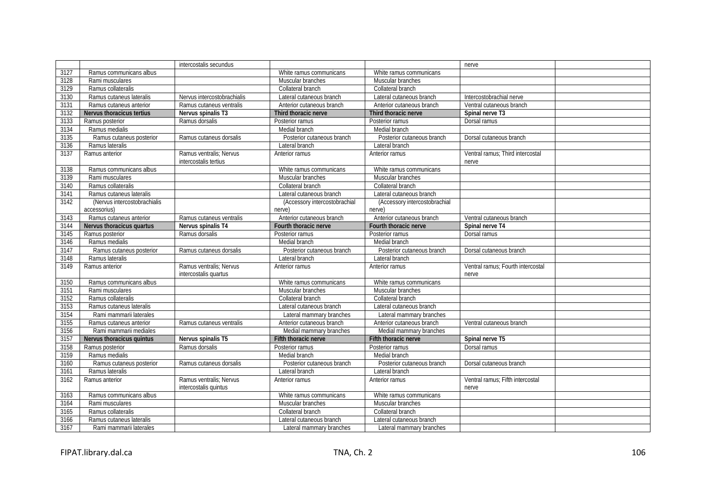|      |                              | intercostalis secundus                           |                               |                               | nerve                                      |  |
|------|------------------------------|--------------------------------------------------|-------------------------------|-------------------------------|--------------------------------------------|--|
| 3127 | Ramus communicans albus      |                                                  | White ramus communicans       | White ramus communicans       |                                            |  |
| 3128 | Rami musculares              |                                                  | Muscular branches             | Muscular branches             |                                            |  |
| 3129 | Ramus collateralis           |                                                  | Collateral branch             | Collateral branch             |                                            |  |
| 3130 | Ramus cutaneus lateralis     | Nervus intercostobrachialis                      | Lateral cutaneous branch      | Lateral cutaneous branch      | Intercostobrachial nerve                   |  |
| 3131 | Ramus cutaneus anterior      | Ramus cutaneus ventralis                         | Anterior cutaneous branch     | Anterior cutaneous branch     | Ventral cutaneous branch                   |  |
| 3132 | Nervus thoracicus tertius    | Nervus spinalis T3                               | Third thoracic nerve          | Third thoracic nerve          | Spinal nerve T3                            |  |
| 3133 | Ramus posterior              | Ramus dorsalis                                   | Posterior ramus               | Posterior ramus               | Dorsal ramus                               |  |
| 3134 | Ramus medialis               |                                                  | Medial branch                 | Medial branch                 |                                            |  |
| 3135 | Ramus cutaneus posterior     | Ramus cutaneus dorsalis                          | Posterior cutaneous branch    | Posterior cutaneous branch    | Dorsal cutaneous branch                    |  |
| 3136 | Ramus lateralis              |                                                  | Lateral branch                | Lateral branch                |                                            |  |
| 3137 | Ramus anterior               | Ramus ventralis; Nervus<br>intercostalis tertius | Anterior ramus                | Anterior ramus                | Ventral ramus; Third intercostal<br>nerve  |  |
| 3138 | Ramus communicans albus      |                                                  | White ramus communicans       | White ramus communicans       |                                            |  |
| 3139 | Rami musculares              |                                                  | Muscular branches             | Muscular branches             |                                            |  |
| 3140 | Ramus collateralis           |                                                  | Collateral branch             | Collateral branch             |                                            |  |
| 3141 | Ramus cutaneus lateralis     |                                                  | Lateral cutaneous branch      | Lateral cutaneous branch      |                                            |  |
| 3142 | (Nervus intercostobrachialis |                                                  | (Accessory intercostobrachial | (Accessory intercostobrachial |                                            |  |
|      | accessorius)                 |                                                  | nerve)                        | nerve)                        |                                            |  |
| 3143 | Ramus cutaneus anterior      | Ramus cutaneus ventralis                         | Anterior cutaneous branch     | Anterior cutaneous branch     | Ventral cutaneous branch                   |  |
| 3144 | Nervus thoracicus quartus    | Nervus spinalis T4                               | Fourth thoracic nerve         | Fourth thoracic nerve         | Spinal nerve T4                            |  |
| 3145 | Ramus posterior              | Ramus dorsalis                                   | Posterior ramus               | Posterior ramus               | Dorsal ramus                               |  |
| 3146 | Ramus medialis               |                                                  | Medial branch                 | Medial branch                 |                                            |  |
| 3147 | Ramus cutaneus posterior     | Ramus cutaneus dorsalis                          | Posterior cutaneous branch    | Posterior cutaneous branch    | Dorsal cutaneous branch                    |  |
| 3148 | Ramus lateralis              |                                                  | Lateral branch                | Lateral branch                |                                            |  |
| 3149 | Ramus anterior               | Ramus ventralis; Nervus<br>intercostalis quartus | Anterior ramus                | Anterior ramus                | Ventral ramus: Fourth intercostal<br>nerve |  |
| 3150 | Ramus communicans albus      |                                                  | White ramus communicans       | White ramus communicans       |                                            |  |
| 3151 | Rami musculares              |                                                  | Muscular branches             | Muscular branches             |                                            |  |
| 3152 | Ramus collateralis           |                                                  | Collateral branch             | Collateral branch             |                                            |  |
| 3153 | Ramus cutaneus lateralis     |                                                  | Lateral cutaneous branch      | Lateral cutaneous branch      |                                            |  |
| 3154 | Rami mammarii laterales      |                                                  | Lateral mammary branches      | Lateral mammary branches      |                                            |  |
| 3155 | Ramus cutaneus anterior      | Ramus cutaneus ventralis                         | Anterior cutaneous branch     | Anterior cutaneous branch     | Ventral cutaneous branch                   |  |
| 3156 | Rami mammarii mediales       |                                                  | Medial mammary branches       | Medial mammary branches       |                                            |  |
| 3157 | Nervus thoracicus quintus    | Nervus spinalis T5                               | Fifth thoracic nerve          | Fifth thoracic nerve          | Spinal nerve T5                            |  |
| 3158 | Ramus posterior              | Ramus dorsalis                                   | Posterior ramus               | Posterior ramus               | Dorsal ramus                               |  |
| 3159 | Ramus medialis               |                                                  | Medial branch                 | Medial branch                 |                                            |  |
| 3160 | Ramus cutaneus posterior     | Ramus cutaneus dorsalis                          | Posterior cutaneous branch    | Posterior cutaneous branch    | Dorsal cutaneous branch                    |  |
| 3161 | Ramus lateralis              |                                                  | Lateral branch                | Lateral branch                |                                            |  |
| 3162 | Ramus anterior               | Ramus ventralis: Nervus<br>intercostalis quintus | Anterior ramus                | Anterior ramus                | Ventral ramus: Fifth intercostal<br>nerve  |  |
| 3163 | Ramus communicans albus      |                                                  | White ramus communicans       | White ramus communicans       |                                            |  |
| 3164 | Rami musculares              |                                                  | Muscular branches             | Muscular branches             |                                            |  |
| 3165 | Ramus collateralis           |                                                  | Collateral branch             | Collateral branch             |                                            |  |
| 3166 | Ramus cutaneus lateralis     |                                                  | Lateral cutaneous branch      | Lateral cutaneous branch      |                                            |  |
| 3167 | Rami mammarii laterales      |                                                  | Lateral mammary branches      | Lateral mammary branches      |                                            |  |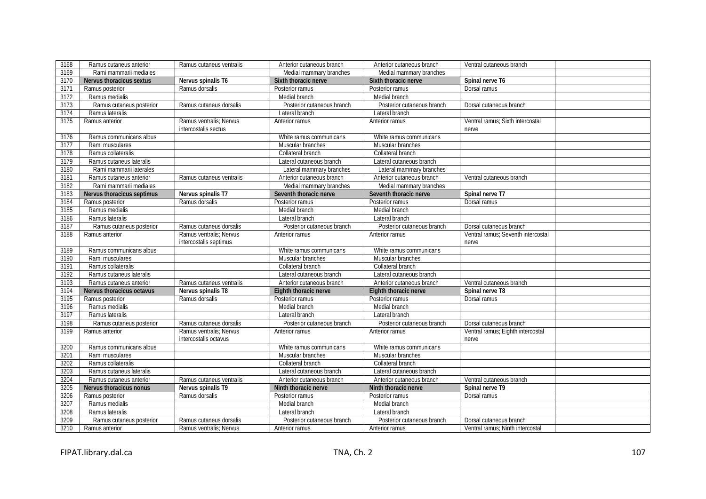| 3168 | Ramus cutaneus anterior    | Ramus cutaneus ventralis                          | Anterior cutaneous branch  | Anterior cutaneous branch  | Ventral cutaneous branch                    |
|------|----------------------------|---------------------------------------------------|----------------------------|----------------------------|---------------------------------------------|
| 3169 | Rami mammarii mediales     |                                                   | Medial mammary branches    | Medial mammary branches    |                                             |
| 3170 | Nervus thoracicus sextus   | Nervus spinalis T6                                | Sixth thoracic nerve       | Sixth thoracic nerve       | Spinal nerve T6                             |
| 3171 | Ramus posterior            | Ramus dorsalis                                    | Posterior ramus            | Posterior ramus            | Dorsal ramus                                |
| 3172 | Ramus medialis             |                                                   | Medial branch              | Medial branch              |                                             |
| 3173 | Ramus cutaneus posterior   | Ramus cutaneus dorsalis                           | Posterior cutaneous branch | Posterior cutaneous branch | Dorsal cutaneous branch                     |
| 3174 | Ramus lateralis            |                                                   | Lateral branch             | Lateral branch             |                                             |
| 3175 | Ramus anterior             | Ramus ventralis: Nervus<br>intercostalis sectus   | Anterior ramus             | Anterior ramus             | Ventral ramus; Sixth intercostal<br>nerve   |
| 3176 | Ramus communicans albus    |                                                   | White ramus communicans    | White ramus communicans    |                                             |
| 3177 | Rami musculares            |                                                   | Muscular branches          | Muscular branches          |                                             |
| 3178 | Ramus collateralis         |                                                   | Collateral branch          | Collateral branch          |                                             |
| 3179 | Ramus cutaneus lateralis   |                                                   | Lateral cutaneous branch   | Lateral cutaneous branch   |                                             |
| 3180 | Rami mammarii laterales    |                                                   | Lateral mammary branches   | Lateral mammary branches   |                                             |
| 3181 | Ramus cutaneus anterior    | Ramus cutaneus ventralis                          | Anterior cutaneous branch  | Anterior cutaneous branch  | Ventral cutaneous branch                    |
| 3182 | Rami mammarii mediales     |                                                   | Medial mammary branches    | Medial mammary branches    |                                             |
| 3183 | Nervus thoracicus septimus | Nervus spinalis T7                                | Seventh thoracic nerve     | Seventh thoracic nerve     | Spinal nerve T7                             |
| 3184 | Ramus posterior            | Ramus dorsalis                                    | Posterior ramus            | Posterior ramus            | Dorsal ramus                                |
| 3185 | Ramus medialis             |                                                   | Medial branch              | Medial branch              |                                             |
| 3186 | Ramus lateralis            |                                                   | Lateral branch             | Lateral branch             |                                             |
| 3187 | Ramus cutaneus posterior   | Ramus cutaneus dorsalis                           | Posterior cutaneous branch | Posterior cutaneous branch | Dorsal cutaneous branch                     |
| 3188 | Ramus anterior             | Ramus ventralis; Nervus<br>intercostalis septimus | Anterior ramus             | Anterior ramus             | Ventral ramus; Seventh intercostal<br>nerve |
| 3189 | Ramus communicans albus    |                                                   | White ramus communicans    | White ramus communicans    |                                             |
| 3190 | Rami musculares            |                                                   | Muscular branches          | Muscular branches          |                                             |
| 3191 | Ramus collateralis         |                                                   | Collateral branch          | Collateral branch          |                                             |
| 3192 | Ramus cutaneus lateralis   |                                                   | Lateral cutaneous branch   | Lateral cutaneous branch   |                                             |
| 3193 | Ramus cutaneus anterior    | Ramus cutaneus ventralis                          | Anterior cutaneous branch  | Anterior cutaneous branch  | Ventral cutaneous branch                    |
| 3194 | Nervus thoracicus octavus  | Nervus spinalis T8                                | Eighth thoracic nerve      | Eighth thoracic nerve      | Spinal nerve T8                             |
| 3195 | Ramus posterior            | Ramus dorsalis                                    | Posterior ramus            | Posterior ramus            | Dorsal ramus                                |
| 3196 | Ramus medialis             |                                                   | Medial branch              | Medial branch              |                                             |
| 3197 | Ramus lateralis            |                                                   | Lateral branch             | Lateral branch             |                                             |
| 3198 | Ramus cutaneus posterior   | Ramus cutaneus dorsalis                           | Posterior cutaneous branch | Posterior cutaneous branch | Dorsal cutaneous branch                     |
| 3199 | Ramus anterior             | Ramus ventralis: Nervus<br>intercostalis octavus  | Anterior ramus             | Anterior ramus             | Ventral ramus; Eighth intercostal<br>nerve  |
| 3200 | Ramus communicans albus    |                                                   | White ramus communicans    | White ramus communicans    |                                             |
| 3201 | Rami musculares            |                                                   | Muscular branches          | Muscular branches          |                                             |
| 3202 | Ramus collateralis         |                                                   | Collateral branch          | Collateral branch          |                                             |
| 3203 | Ramus cutaneus lateralis   |                                                   | Lateral cutaneous branch   | Lateral cutaneous branch   |                                             |
| 3204 | Ramus cutaneus anterior    | Ramus cutaneus ventralis                          | Anterior cutaneous branch  | Anterior cutaneous branch  | Ventral cutaneous branch                    |
| 3205 | Nervus thoracicus nonus    | Nervus spinalis T9                                | Ninth thoracic nerve       | Ninth thoracic nerve       | Spinal nerve T9                             |
| 3206 | Ramus posterior            | Ramus dorsalis                                    | Posterior ramus            | Posterior ramus            | Dorsal ramus                                |
| 3207 | Ramus medialis             |                                                   | Medial branch              | Medial branch              |                                             |
| 3208 | Ramus lateralis            |                                                   | Lateral branch             | Lateral branch             |                                             |
| 3209 | Ramus cutaneus posterior   | Ramus cutaneus dorsalis                           | Posterior cutaneous branch | Posterior cutaneous branch | Dorsal cutaneous branch                     |
| 3210 | Ramus anterior             | Ramus ventralis; Nervus                           | Anterior ramus             | Anterior ramus             | Ventral ramus; Ninth intercostal            |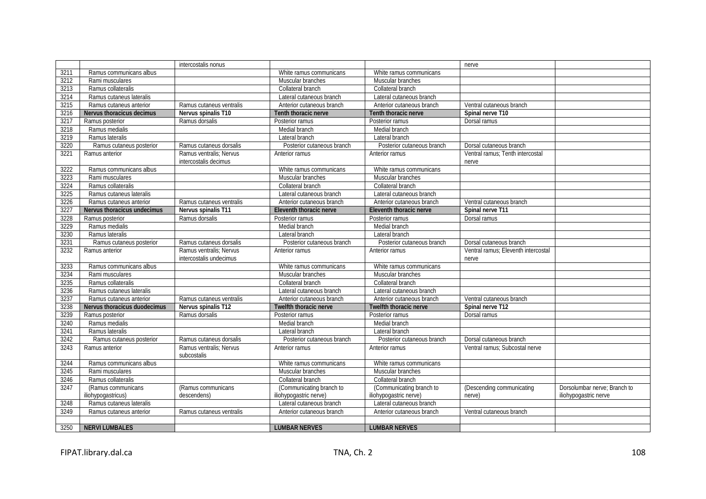|      |                              | intercostalis nonus                    |                            |                            | nerve                               |                              |
|------|------------------------------|----------------------------------------|----------------------------|----------------------------|-------------------------------------|------------------------------|
| 3211 | Ramus communicans albus      |                                        | White ramus communicans    | White ramus communicans    |                                     |                              |
| 3212 | Rami musculares              |                                        | Muscular branches          | Muscular branches          |                                     |                              |
| 3213 | Ramus collateralis           |                                        | Collateral branch          | Collateral branch          |                                     |                              |
| 3214 | Ramus cutaneus lateralis     |                                        | Lateral cutaneous branch   | Lateral cutaneous branch   |                                     |                              |
| 3215 | Ramus cutaneus anterior      | Ramus cutaneus ventralis               | Anterior cutaneous branch  | Anterior cutaneous branch  | Ventral cutaneous branch            |                              |
| 3216 | Nervus thoracicus decimus    | Nervus spinalis T10                    | Tenth thoracic nerve       | Tenth thoracic nerve       | Spinal nerve T10                    |                              |
| 3217 | Ramus posterior              | Ramus dorsalis                         | Posterior ramus            | Posterior ramus            | Dorsal ramus                        |                              |
| 3218 | Ramus medialis               |                                        | Medial branch              | Medial branch              |                                     |                              |
| 3219 | Ramus lateralis              |                                        | Lateral branch             | Lateral branch             |                                     |                              |
| 3220 | Ramus cutaneus posterior     | Ramus cutaneus dorsalis                | Posterior cutaneous branch | Posterior cutaneous branch | Dorsal cutaneous branch             |                              |
| 3221 | Ramus anterior               | Ramus ventralis: Nervus                | Anterior ramus             | Anterior ramus             | Ventral ramus; Tenth intercostal    |                              |
|      |                              | intercostalis decimus                  |                            |                            | nerve                               |                              |
| 3222 | Ramus communicans albus      |                                        | White ramus communicans    | White ramus communicans    |                                     |                              |
| 3223 | Rami musculares              |                                        | Muscular branches          | Muscular branches          |                                     |                              |
| 3224 | Ramus collateralis           |                                        | Collateral branch          | Collateral branch          |                                     |                              |
| 3225 | Ramus cutaneus lateralis     |                                        | Lateral cutaneous branch   | Lateral cutaneous branch   |                                     |                              |
| 3226 | Ramus cutaneus anterior      | Ramus cutaneus ventralis               | Anterior cutaneous branch  | Anterior cutaneous branch  | Ventral cutaneous branch            |                              |
| 3227 | Nervus thoracicus undecimus  | Nervus spinalis T11                    | Eleventh thoracic nerve    | Eleventh thoracic nerve    | Spinal nerve T11                    |                              |
| 3228 | Ramus posterior              | Ramus dorsalis                         | Posterior ramus            | Posterior ramus            | Dorsal ramus                        |                              |
| 3229 | Ramus medialis               |                                        | Medial branch              | Medial branch              |                                     |                              |
| 3230 | Ramus lateralis              |                                        | Lateral branch             | Lateral branch             |                                     |                              |
| 3231 | Ramus cutaneus posterior     | Ramus cutaneus dorsalis                | Posterior cutaneous branch | Posterior cutaneous branch | Dorsal cutaneous branch             |                              |
| 3232 | Ramus anterior               | Ramus ventralis; Nervus                | Anterior ramus             | Anterior ramus             | Ventral ramus; Eleventh intercostal |                              |
|      |                              | intercostalis undecimus                |                            |                            | nerve                               |                              |
| 3233 | Ramus communicans albus      |                                        | White ramus communicans    | White ramus communicans    |                                     |                              |
| 3234 | Rami musculares              |                                        | Muscular branches          | Muscular branches          |                                     |                              |
| 3235 | Ramus collateralis           |                                        | Collateral branch          | Collateral branch          |                                     |                              |
| 3236 | Ramus cutaneus lateralis     |                                        | Lateral cutaneous branch   | Lateral cutaneous branch   |                                     |                              |
| 3237 | Ramus cutaneus anterior      | Ramus cutaneus ventralis               | Anterior cutaneous branch  | Anterior cutaneous branch  | Ventral cutaneous branch            |                              |
| 3238 | Nervus thoracicus duodecimus | Nervus spinalis T12                    | Twelfth thoracic nerve     | Twelfth thoracic nerve     | Spinal nerve T12                    |                              |
| 3239 | Ramus posterior              | Ramus dorsalis                         | Posterior ramus            | Posterior ramus            | Dorsal ramus                        |                              |
| 3240 | Ramus medialis               |                                        | Medial branch              | Medial branch              |                                     |                              |
| 3241 | Ramus lateralis              |                                        | Lateral branch             | Lateral branch             |                                     |                              |
| 3242 | Ramus cutaneus posterior     | Ramus cutaneus dorsalis                | Posterior cutaneous branch | Posterior cutaneous branch | Dorsal cutaneous branch             |                              |
| 3243 | Ramus anterior               | Ramus ventralis: Nervus<br>subcostalis | Anterior ramus             | Anterior ramus             | Ventral ramus: Subcostal nerve      |                              |
| 3244 | Ramus communicans albus      |                                        | White ramus communicans    | White ramus communicans    |                                     |                              |
| 3245 | Rami musculares              |                                        | Muscular branches          | Muscular branches          |                                     |                              |
| 3246 | Ramus collateralis           |                                        | Collateral branch          | Collateral branch          |                                     |                              |
| 3247 | (Ramus communicans           | (Ramus communicans                     | (Communicating branch to   | (Communicating branch to   | (Descending communicating           | Dorsolumbar nerve: Branch to |
|      | iliohypogastricus)           | descendens)                            | iliohypogastric nerve)     | iliohypogastric nerve)     | nerve)                              | iliohypogastric nerve        |
| 3248 | Ramus cutaneus lateralis     |                                        | Lateral cutaneous branch   | Lateral cutaneous branch   |                                     |                              |
| 3249 | Ramus cutaneus anterior      | Ramus cutaneus ventralis               | Anterior cutaneous branch  | Anterior cutaneous branch  | Ventral cutaneous branch            |                              |
|      |                              |                                        |                            |                            |                                     |                              |
| 3250 | <b>NERVI LUMBALES</b>        |                                        | <b>LUMBAR NERVES</b>       | <b>LUMBAR NERVES</b>       |                                     |                              |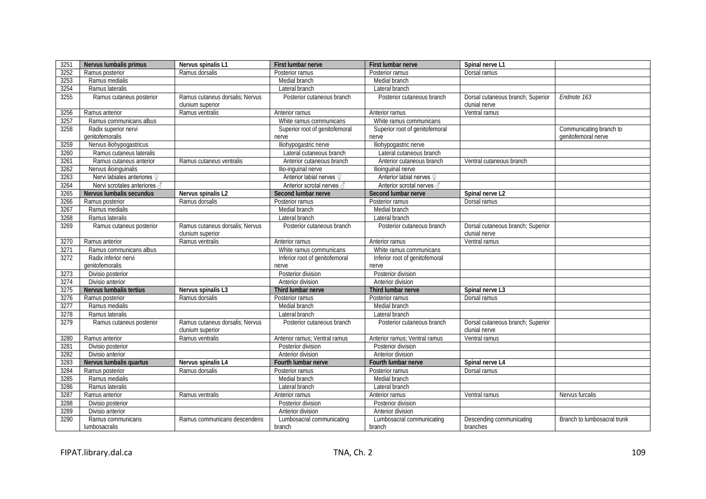| 3251 | Nervus lumbalis primus                  | Nervus spinalis L1                                  | First lumbar nerve                      | First lumbar nerve                      | Spinal nerve L1                                    |                                                |
|------|-----------------------------------------|-----------------------------------------------------|-----------------------------------------|-----------------------------------------|----------------------------------------------------|------------------------------------------------|
| 3252 | Ramus posterior                         | Ramus dorsalis                                      | Posterior ramus                         | Posterior ramus                         | Dorsal ramus                                       |                                                |
| 3253 | Ramus medialis                          |                                                     | Medial branch                           | Medial branch                           |                                                    |                                                |
| 3254 | Ramus lateralis                         |                                                     | Lateral branch                          | Lateral branch                          |                                                    |                                                |
| 3255 | Ramus cutaneus posterior                | Ramus cutaneus dorsalis; Nervus<br>clunium superior | Posterior cutaneous branch              | Posterior cutaneous branch              | Dorsal cutaneous branch; Superior<br>clunial nerve | Endnote 163                                    |
| 3256 | Ramus anterior                          | Ramus ventralis                                     | Anterior ramus                          | Anterior ramus                          | Ventral ramus                                      |                                                |
| 3257 | Ramus communicans albus                 |                                                     | White ramus communicans                 | White ramus communicans                 |                                                    |                                                |
| 3258 | Radix superior nervi<br>qenitofemoralis |                                                     | Superior root of genitofemoral<br>nerve | Superior root of genitofemoral<br>nerve |                                                    | Communicating branch to<br>genitofemoral nerve |
| 3259 | Nervus iliohypogastricus                |                                                     | lliohypogastric nerve                   | Iliohypogastric nerve                   |                                                    |                                                |
| 3260 | Ramus cutaneus lateralis                |                                                     | Lateral cutaneous branch                | Lateral cutaneous branch                |                                                    |                                                |
| 3261 | Ramus cutaneus anterior                 | Ramus cutaneus ventralis                            | Anterior cutaneous branch               | Anterior cutaneous branch               | Ventral cutaneous branch                           |                                                |
| 3262 | Nervus ilioinguinalis                   |                                                     | Ilio-inguinal nerve                     | Ilioinguinal nerve                      |                                                    |                                                |
| 3263 | Nervi labiales anteriores ?             |                                                     | Anterior labial nerves ?                | Anterior labial nerves ?                |                                                    |                                                |
| 3264 | Nervi scrotales anteriores 3            |                                                     | Anterior scrotal nerves                 | Anterior scrotal nerves                 |                                                    |                                                |
| 3265 | Nervus lumbalis secundus                | Nervus spinalis L2                                  | Second lumbar nerve                     | Second lumbar nerve                     | Spinal nerve L2                                    |                                                |
| 3266 | Ramus posterior                         | Ramus dorsalis                                      | Posterior ramus                         | Posterior ramus                         | Dorsal ramus                                       |                                                |
| 3267 | Ramus medialis                          |                                                     | Medial branch                           | Medial branch                           |                                                    |                                                |
| 3268 | Ramus lateralis                         |                                                     | Lateral branch                          | Lateral branch                          |                                                    |                                                |
| 3269 | Ramus cutaneus posterior                | Ramus cutaneus dorsalis; Nervus                     | Posterior cutaneous branch              | Posterior cutaneous branch              | Dorsal cutaneous branch; Superior                  |                                                |
|      |                                         | clunium superior                                    |                                         |                                         | clunial nerve                                      |                                                |
| 3270 | Ramus anterior                          | Ramus ventralis                                     | Anterior ramus                          | Anterior ramus                          | Ventral ramus                                      |                                                |
| 3271 | Ramus communicans albus                 |                                                     | White ramus communicans                 | White ramus communicans                 |                                                    |                                                |
| 3272 | Radix inferior nervi                    |                                                     | Inferior root of genitofemoral          | Inferior root of genitofemoral          |                                                    |                                                |
|      | genitofemoralis                         |                                                     | nerve                                   | nerve                                   |                                                    |                                                |
| 3273 | Divisio posterior                       |                                                     | Posterior division                      | Posterior division                      |                                                    |                                                |
| 3274 | Divisio anterior                        |                                                     | Anterior division                       | Anterior division                       |                                                    |                                                |
| 3275 | Nervus lumbalis tertius                 | Nervus spinalis L3                                  | Third lumbar nerve                      | Third lumbar nerve                      | Spinal nerve L3                                    |                                                |
| 3276 | Ramus posterior                         | Ramus dorsalis                                      | Posterior ramus                         | Posterior ramus                         | Dorsal ramus                                       |                                                |
| 3277 | Ramus medialis                          |                                                     | Medial branch                           | Medial branch                           |                                                    |                                                |
| 3278 | Ramus lateralis                         |                                                     | Lateral branch                          | Lateral branch                          |                                                    |                                                |
| 3279 | Ramus cutaneus posterior                | Ramus cutaneus dorsalis; Nervus<br>clunium superior | Posterior cutaneous branch              | Posterior cutaneous branch              | Dorsal cutaneous branch; Superior<br>clunial nerve |                                                |
| 3280 | Ramus anterior                          | Ramus ventralis                                     | Anterior ramus; Ventral ramus           | Anterior ramus; Ventral ramus           | Ventral ramus                                      |                                                |
| 3281 | Divisio posterior                       |                                                     | Posterior division                      | Posterior division                      |                                                    |                                                |
| 3282 | Divisio anterior                        |                                                     | Anterior division                       | Anterior division                       |                                                    |                                                |
| 3283 | Nervus lumbalis quartus                 | Nervus spinalis L4                                  | Fourth lumbar nerve                     | Fourth lumbar nerve                     | Spinal nerve L4                                    |                                                |
| 3284 | Ramus posterior                         | Ramus dorsalis                                      | Posterior ramus                         | Posterior ramus                         | Dorsal ramus                                       |                                                |
| 3285 | Ramus medialis                          |                                                     | Medial branch                           | Medial branch                           |                                                    |                                                |
| 3286 | Ramus lateralis                         |                                                     | Lateral branch                          | Lateral branch                          |                                                    |                                                |
| 3287 | Ramus anterior                          | Ramus ventralis                                     | Anterior ramus                          | Anterior ramus                          | Ventral ramus                                      | Nervus furcalis                                |
| 3288 | Divisio posterior                       |                                                     | Posterior division                      | Posterior division                      |                                                    |                                                |
| 3289 | Divisio anterior                        |                                                     | Anterior division                       | Anterior division                       |                                                    |                                                |
| 3290 | Ramus communicans                       | Ramus communicans descendens                        | Lumbosacral communicating               | Lumbosacral communicating               | Descending communicating                           | Branch to lumbosacral trunk                    |
|      | lumbosacralis                           |                                                     | branch                                  | branch                                  | branches                                           |                                                |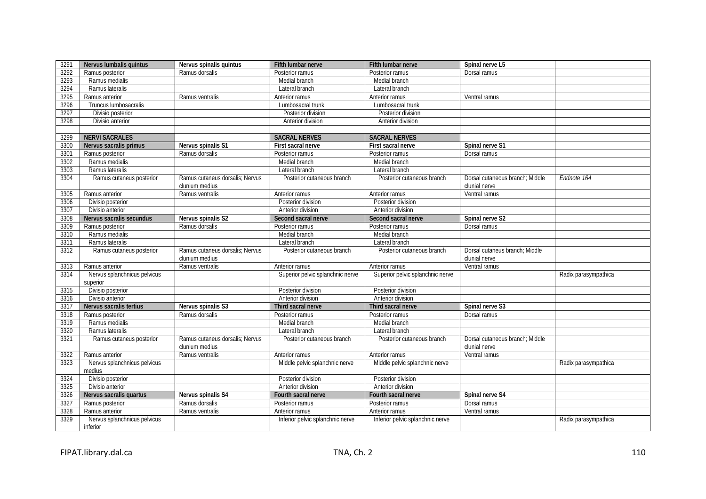| 3291 | Nervus lumbalis quintus      | Nervus spinalis quintus                           | Fifth lumbar nerve               | <b>Fifth lumbar nerve</b>        | Spinal nerve L5                                  |                      |
|------|------------------------------|---------------------------------------------------|----------------------------------|----------------------------------|--------------------------------------------------|----------------------|
| 3292 | Ramus posterior              | Ramus dorsalis                                    | Posterior ramus                  | Posterior ramus                  | Dorsal ramus                                     |                      |
| 3293 | Ramus medialis               |                                                   | Medial branch                    | Medial branch                    |                                                  |                      |
| 3294 | Ramus lateralis              |                                                   | Lateral branch                   | Lateral branch                   |                                                  |                      |
| 3295 | Ramus anterior               | Ramus ventralis                                   | Anterior ramus                   | Anterior ramus                   | Ventral ramus                                    |                      |
| 3296 | Truncus lumbosacralis        |                                                   | Lumbosacral trunk                | Lumbosacral trunk                |                                                  |                      |
| 3297 | Divisio posterior            |                                                   | Posterior division               | Posterior division               |                                                  |                      |
| 3298 | Divisio anterior             |                                                   | Anterior division                | Anterior division                |                                                  |                      |
|      |                              |                                                   |                                  |                                  |                                                  |                      |
| 3299 | <b>NERVI SACRALES</b>        |                                                   | <b>SACRAL NERVES</b>             | <b>SACRAL NERVES</b>             |                                                  |                      |
| 3300 | Nervus sacralis primus       | Nervus spinalis S1                                | First sacral nerve               | First sacral nerve               | Spinal nerve S1                                  |                      |
| 3301 | Ramus posterior              | Ramus dorsalis                                    | Posterior ramus                  | Posterior ramus                  | Dorsal ramus                                     |                      |
| 3302 | Ramus medialis               |                                                   | Medial branch                    | Medial branch                    |                                                  |                      |
| 3303 | Ramus lateralis              |                                                   | Lateral branch                   | Lateral branch                   |                                                  |                      |
| 3304 | Ramus cutaneus posterior     | Ramus cutaneus dorsalis; Nervus                   | Posterior cutaneous branch       | Posterior cutaneous branch       | Dorsal cutaneous branch; Middle                  | Endnote 164          |
|      |                              | clunium medius                                    |                                  |                                  | clunial nerve                                    |                      |
| 3305 | Ramus anterior               | Ramus ventralis                                   | Anterior ramus                   | Anterior ramus                   | Ventral ramus                                    |                      |
| 3306 | Divisio posterior            |                                                   | Posterior division               | Posterior division               |                                                  |                      |
| 3307 | Divisio anterior             |                                                   | Anterior division                | Anterior division                |                                                  |                      |
| 3308 | Nervus sacralis secundus     | Nervus spinalis S2                                | Second sacral nerve              | Second sacral nerve              | Spinal nerve S2                                  |                      |
| 3309 | Ramus posterior              | Ramus dorsalis                                    | Posterior ramus                  | Posterior ramus                  | Dorsal ramus                                     |                      |
| 3310 | Ramus medialis               |                                                   | Medial branch                    | Medial branch                    |                                                  |                      |
| 3311 | Ramus lateralis              |                                                   | Lateral branch                   | Lateral branch                   |                                                  |                      |
| 3312 | Ramus cutaneus posterior     | Ramus cutaneus dorsalis: Nervus<br>clunium medius | Posterior cutaneous branch       | Posterior cutaneous branch       | Dorsal cutaneus branch: Middle<br>clunial nerve  |                      |
| 3313 | Ramus anterior               | Ramus ventralis                                   | Anterior ramus                   | Anterior ramus                   | Ventral ramus                                    |                      |
| 3314 | Nervus splanchnicus pelvicus |                                                   | Superior pelvic splanchnic nerve | Superior pelvic splanchnic nerve |                                                  | Radix parasympathica |
|      | superior                     |                                                   |                                  |                                  |                                                  |                      |
| 3315 | Divisio posterior            |                                                   | Posterior division               | Posterior division               |                                                  |                      |
| 3316 | Divisio anterior             |                                                   | Anterior division                | Anterior division                |                                                  |                      |
| 3317 | Nervus sacralis tertius      | Nervus spinalis S3                                | Third sacral nerve               | Third sacral nerve               | Spinal nerve S3                                  |                      |
| 3318 | Ramus posterior              | Ramus dorsalis                                    | Posterior ramus                  | Posterior ramus                  | Dorsal ramus                                     |                      |
| 3319 | Ramus medialis               |                                                   | Medial branch                    | Medial branch                    |                                                  |                      |
| 3320 | Ramus lateralis              |                                                   | Lateral branch                   | Lateral branch                   |                                                  |                      |
| 3321 | Ramus cutaneus posterior     | Ramus cutaneus dorsalis: Nervus<br>clunium medius | Posterior cutaneous branch       | Posterior cutaneous branch       | Dorsal cutaneous branch: Middle<br>clunial nerve |                      |
| 3322 | Ramus anterior               | Ramus ventralis                                   | Anterior ramus                   | Anterior ramus                   | Ventral ramus                                    |                      |
| 3323 | Nervus splanchnicus pelvicus |                                                   | Middle pelvic splanchnic nerve   | Middle pelvic splanchnic nerve   |                                                  | Radix parasympathica |
|      | medius                       |                                                   |                                  |                                  |                                                  |                      |
| 3324 | Divisio posterior            |                                                   | Posterior division               | Posterior division               |                                                  |                      |
| 3325 | Divisio anterior             |                                                   | Anterior division                | Anterior division                |                                                  |                      |
| 3326 | Nervus sacralis quartus      | Nervus spinalis S4                                | Fourth sacral nerve              | Fourth sacral nerve              | Spinal nerve S4                                  |                      |
| 3327 | Ramus posterior              | Ramus dorsalis                                    | Posterior ramus                  | Posterior ramus                  | Dorsal ramus                                     |                      |
| 3328 | Ramus anterior               | Ramus ventralis                                   | Anterior ramus                   | Anterior ramus                   | Ventral ramus                                    |                      |
| 3329 | Nervus splanchnicus pelvicus |                                                   | Inferior pelvic splanchnic nerve | Inferior pelvic splanchnic nerve |                                                  | Radix parasympathica |
|      | inferior                     |                                                   |                                  |                                  |                                                  |                      |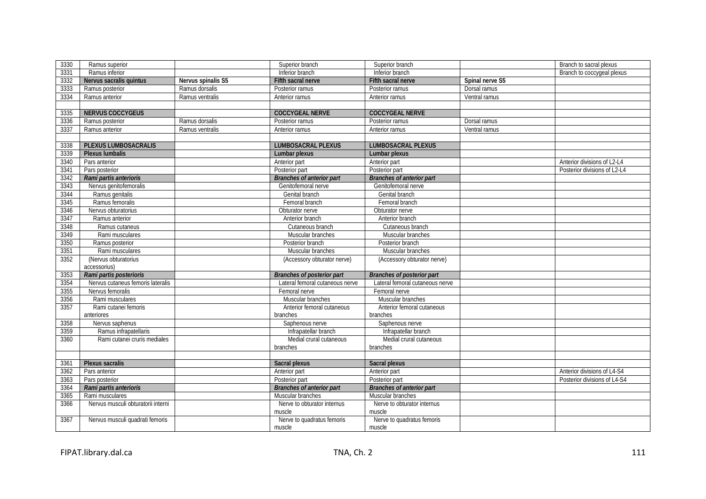| 3330 | Ramus superior                     |                    | Superior branch                   | Superior branch                  |                 | Branch to sacral plexus      |
|------|------------------------------------|--------------------|-----------------------------------|----------------------------------|-----------------|------------------------------|
| 3331 | Ramus inferior                     |                    | Inferior branch                   | Inferior branch                  |                 | Branch to coccygeal plexus   |
| 3332 | Nervus sacralis quintus            | Nervus spinalis S5 | Fifth sacral nerve                | Fifth sacral nerve               | Spinal nerve S5 |                              |
| 3333 | Ramus posterior                    | Ramus dorsalis     | Posterior ramus                   | Posterior ramus                  | Dorsal ramus    |                              |
| 3334 | Ramus anterior                     | Ramus ventralis    | Anterior ramus                    | Anterior ramus                   | Ventral ramus   |                              |
|      |                                    |                    |                                   |                                  |                 |                              |
| 3335 | <b>NERVUS COCCYGEUS</b>            |                    | <b>COCCYGEAL NERVE</b>            | <b>COCCYGEAL NERVE</b>           |                 |                              |
| 3336 | Ramus posterior                    | Ramus dorsalis     | Posterior ramus                   | Posterior ramus                  | Dorsal ramus    |                              |
| 3337 | Ramus anterior                     | Ramus ventralis    | Anterior ramus                    | Anterior ramus                   | Ventral ramus   |                              |
|      |                                    |                    |                                   |                                  |                 |                              |
| 3338 | <b>PLEXUS LUMBOSACRALIS</b>        |                    | <b>LUMBOSACRAL PLEXUS</b>         | <b>LUMBOSACRAL PLEXUS</b>        |                 |                              |
| 3339 | <b>Plexus lumbalis</b>             |                    | Lumbar plexus                     | Lumbar plexus                    |                 |                              |
| 3340 | Pars anterior                      |                    | Anterior part                     | Anterior part                    |                 | Anterior divisions of L2-L4  |
| 3341 | Pars posterior                     |                    | Posterior part                    | Posterior part                   |                 | Posterior divisions of L2-L4 |
| 3342 | Rami partis anterioris             |                    | <b>Branches of anterior part</b>  | <b>Branches of anterior part</b> |                 |                              |
| 3343 | Nervus genitofemoralis             |                    | Genitofemoral nerve               | Genitofemoral nerve              |                 |                              |
| 3344 | Ramus genitalis                    |                    | Genital branch                    | Genital branch                   |                 |                              |
| 3345 | Ramus femoralis                    |                    | Femoral branch                    | Femoral branch                   |                 |                              |
| 3346 | Nervus obturatorius                |                    | Obturator nerve                   | Obturator nerve                  |                 |                              |
| 3347 | Ramus anterior                     |                    | Anterior branch                   | Anterior branch                  |                 |                              |
| 3348 | Ramus cutaneus                     |                    | Cutaneous branch                  | Cutaneous branch                 |                 |                              |
| 3349 | Rami musculares                    |                    | Muscular branches                 | Muscular branches                |                 |                              |
| 3350 | Ramus posterior                    |                    | Posterior branch                  | Posterior branch                 |                 |                              |
| 3351 | Rami musculares                    |                    | Muscular branches                 | Muscular branches                |                 |                              |
| 3352 | (Nervus obturatorius               |                    | (Accessory obturator nerve)       | (Accessory obturator nerve)      |                 |                              |
|      | accessorius)                       |                    |                                   |                                  |                 |                              |
| 3353 | Rami partis posterioris            |                    | <b>Branches of posterior part</b> | Branches of posterior part       |                 |                              |
| 3354 | Nervus cutaneus femoris lateralis  |                    | Lateral femoral cutaneous nerve   | Lateral femoral cutaneous nerve  |                 |                              |
| 3355 | Nervus femoralis                   |                    | Femoral nerve                     | Femoral nerve                    |                 |                              |
| 3356 | Rami musculares                    |                    | Muscular branches                 | Muscular branches                |                 |                              |
| 3357 | Rami cutanei femoris               |                    | Anterior femoral cutaneous        | Anterior femoral cutaneous       |                 |                              |
|      | anteriores                         |                    | branches                          | branches                         |                 |                              |
| 3358 | Nervus saphenus                    |                    | Saphenous nerve                   | Saphenous nerve                  |                 |                              |
| 3359 | Ramus infrapatellaris              |                    | Infrapatellar branch              | Infrapatellar branch             |                 |                              |
| 3360 | Rami cutanei cruris mediales       |                    | Medial crural cutaneous           | Medial crural cutaneous          |                 |                              |
|      |                                    |                    | branches                          | branches                         |                 |                              |
|      |                                    |                    |                                   |                                  |                 |                              |
| 3361 | Plexus sacralis                    |                    | Sacral plexus                     | Sacral plexus                    |                 |                              |
| 3362 | Pars anterior                      |                    | Anterior part                     | Anterior part                    |                 | Anterior divisions of L4-S4  |
| 3363 | Pars posterior                     |                    | Posterior part                    | Posterior part                   |                 | Posterior divisions of L4-S4 |
| 3364 | Rami partis anterioris             |                    | <b>Branches of anterior part</b>  | <b>Branches of anterior part</b> |                 |                              |
| 3365 | Rami musculares                    |                    | Muscular branches                 | Muscular branches                |                 |                              |
| 3366 | Nervus musculi obturatorii interni |                    | Nerve to obturator internus       | Nerve to obturator internus      |                 |                              |
|      |                                    |                    | muscle                            | muscle                           |                 |                              |
| 3367 | Nervus musculi quadrati femoris    |                    | Nerve to quadratus femoris        | Nerve to quadratus femoris       |                 |                              |
|      |                                    |                    | muscle                            | muscle                           |                 |                              |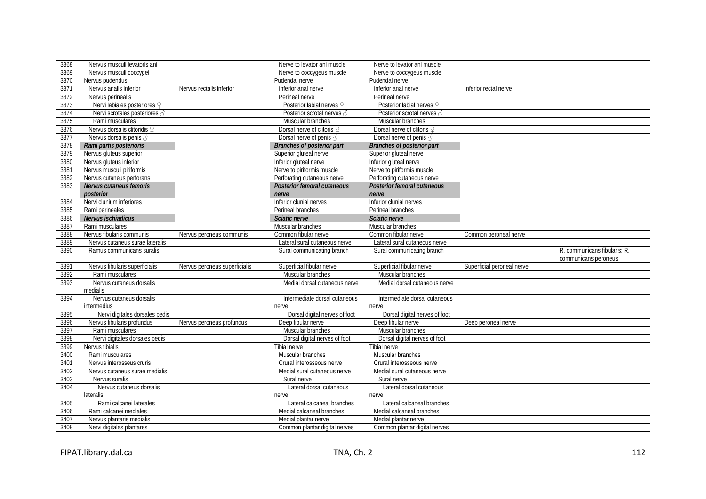| 3368         | Nervus musculi levatoris ani                      |                               | Nerve to levator ani muscle                           | Nerve to levator ani muscle                           |                            |                              |
|--------------|---------------------------------------------------|-------------------------------|-------------------------------------------------------|-------------------------------------------------------|----------------------------|------------------------------|
| 3369         | Nervus musculi coccygei                           |                               | Nerve to coccygeus muscle                             | Nerve to coccygeus muscle                             |                            |                              |
| 3370         | Nervus pudendus                                   |                               | Pudendal nerve                                        | Pudendal nerve                                        |                            |                              |
| 3371         | Nervus analis inferior                            | Nervus rectalis inferior      | Inferior anal nerve                                   | Inferior anal nerve                                   | Inferior rectal nerve      |                              |
| 3372         | Nervus perinealis                                 |                               | Perineal nerve                                        | Perineal nerve                                        |                            |                              |
| 3373         | Nervi labiales posteriores 9                      |                               | Posterior labial nerves 9                             | Posterior labial nerves 9                             |                            |                              |
| 3374         | Nervi scrotales posteriores 3                     |                               | Posterior scrotal nerves 3                            | Posterior scrotal nerves 3                            |                            |                              |
| 3375         | Rami musculares                                   |                               | Muscular branches                                     | Muscular branches                                     |                            |                              |
| 3376         | Nervus dorsalis clitoridis 9                      |                               | Dorsal nerve of clitoris 9                            | Dorsal nerve of clitoris 9                            |                            |                              |
| 3377         | Nervus dorsalis penis 3                           |                               | Dorsal nerve of penis 3                               | Dorsal nerve of penis 3                               |                            |                              |
| 3378         | Rami partis posterioris                           |                               | <b>Branches of posterior part</b>                     | <b>Branches of posterior part</b>                     |                            |                              |
| 3379         | Nervus gluteus superior                           |                               | Superior gluteal nerve                                | Superior gluteal nerve                                |                            |                              |
| 3380         | Nervus gluteus inferior                           |                               | Inferior gluteal nerve                                | Inferior gluteal nerve                                |                            |                              |
| 3381         | Nervus musculi piriformis                         |                               | Nerve to piriformis muscle                            | Nerve to piriformis muscle                            |                            |                              |
| 3382         | Nervus cutaneus perforans                         |                               | Perforating cutaneous nerve                           | Perforating cutaneous nerve                           |                            |                              |
| 3383         | Nervus cutaneus femoris                           |                               | <b>Posterior femoral cutaneous</b>                    | <b>Posterior femoral cutaneous</b>                    |                            |                              |
|              | posterior                                         |                               | nerve                                                 | nerve                                                 |                            |                              |
| 3384         | Nervi clunium inferiores                          |                               | Inferior clunial nerves                               | Inferior clunial nerves                               |                            |                              |
| 3385         | Rami perineales                                   |                               | Perineal branches                                     | Perineal branches                                     |                            |                              |
| 3386         | Nervus ischiadicus                                |                               | Sciatic nerve                                         | Sciatic nerve                                         |                            |                              |
| 3387         | Rami musculares                                   |                               | Muscular branches                                     | Muscular branches                                     |                            |                              |
| 3388         | Nervus fibularis communis                         | Nervus peroneus communis      | Common fibular nerve                                  | Common fibular nerve                                  | Common peroneal nerve      |                              |
| 3389         | Nervus cutaneus surae lateralis                   |                               | Lateral sural cutaneous nerve                         | Lateral sural cutaneous nerve                         |                            |                              |
|              |                                                   |                               |                                                       |                                                       |                            |                              |
| 3390         | Ramus communicans suralis                         |                               | Sural communicating branch                            | Sural communicating branch                            |                            | R. communicans fibularis; R. |
| 3391         |                                                   | Nervus peroneus superficialis |                                                       |                                                       | Superficial peroneal nerve | communicans peroneus         |
| 3392         | Nervus fibularis superficialis<br>Rami musculares |                               | Superficial fibular nerve<br>Muscular branches        | Superficial fibular nerve<br>Muscular branches        |                            |                              |
| 3393         | Nervus cutaneus dorsalis                          |                               | Medial dorsal cutaneous nerve                         | Medial dorsal cutaneous nerve                         |                            |                              |
|              | medialis                                          |                               |                                                       |                                                       |                            |                              |
| 3394         | Nervus cutaneus dorsalis                          |                               | Intermediate dorsal cutaneous                         | Intermediate dorsal cutaneous                         |                            |                              |
|              | intermedius<br>Nervi digitales dorsales pedis     |                               | nerve<br>Dorsal digital nerves of foot                | nerve<br>Dorsal digital nerves of foot                |                            |                              |
| 3395<br>3396 |                                                   | Nervus peroneus profundus     | Deep fibular nerve                                    | Deep fibular nerve                                    |                            |                              |
| 3397         | Nervus fibularis profundus<br>Rami musculares     |                               | Muscular branches                                     | Muscular branches                                     | Deep peroneal nerve        |                              |
| 3398         | Nervi digitales dorsales pedis                    |                               | Dorsal digital nerves of foot                         | Dorsal digital nerves of foot                         |                            |                              |
| 3399         | Nervus tibialis                                   |                               | <b>Tibial nerve</b>                                   | <b>Tibial nerve</b>                                   |                            |                              |
| 3400         | Rami musculares                                   |                               | Muscular branches                                     | Muscular branches                                     |                            |                              |
| 3401         | Nervus interosseus cruris                         |                               | Crural interosseous nerve                             | Crural interosseous nerve                             |                            |                              |
| 3402         | Nervus cutaneus surae medialis                    |                               | Medial sural cutaneous nerve                          | Medial sural cutaneous nerve                          |                            |                              |
| 3403         | Nervus suralis                                    |                               | Sural nerve                                           | Sural nerve                                           |                            |                              |
| 3404         | Nervus cutaneus dorsalis                          |                               | Lateral dorsal cutaneous                              | Lateral dorsal cutaneous                              |                            |                              |
|              | lateralis                                         |                               | nerve                                                 | nerve                                                 |                            |                              |
| 3405         | Rami calcanei laterales                           |                               | Lateral calcaneal branches                            | Lateral calcaneal branches                            |                            |                              |
| 3406         | Rami calcanei mediales                            |                               | Medial calcaneal branches                             | Medial calcaneal branches                             |                            |                              |
| 3407         | Nervus plantaris medialis                         |                               | Medial plantar nerve<br>Common plantar digital nerves | Medial plantar nerve<br>Common plantar digital nerves |                            |                              |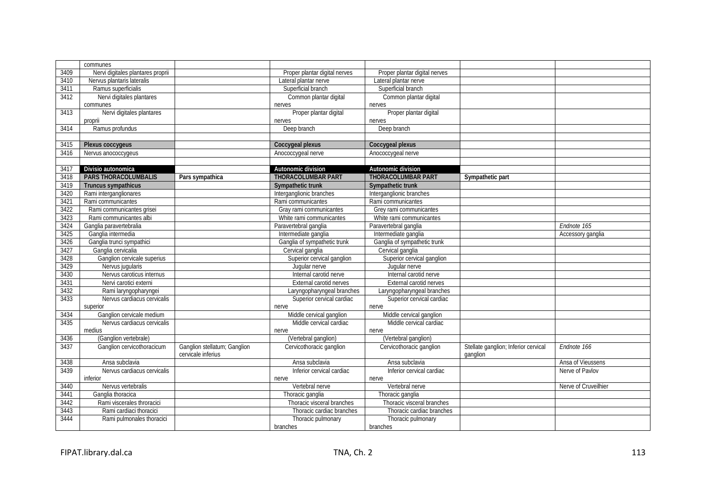|      | communes                          |                                                    |                               |                               |                                                  |                      |
|------|-----------------------------------|----------------------------------------------------|-------------------------------|-------------------------------|--------------------------------------------------|----------------------|
| 3409 | Nervi digitales plantares proprii |                                                    | Proper plantar digital nerves | Proper plantar digital nerves |                                                  |                      |
| 3410 | Nervus plantaris lateralis        |                                                    | Lateral plantar nerve         | Lateral plantar nerve         |                                                  |                      |
| 3411 | Ramus superficialis               |                                                    | Superficial branch            | Superficial branch            |                                                  |                      |
| 3412 | Nervi digitales plantares         |                                                    | Common plantar digital        | Common plantar digital        |                                                  |                      |
|      | communes                          |                                                    | nerves                        | nerves                        |                                                  |                      |
| 3413 | Nervi digitales plantares         |                                                    | Proper plantar digital        | Proper plantar digital        |                                                  |                      |
|      | proprii                           |                                                    | nerves                        | nerves                        |                                                  |                      |
| 3414 | Ramus profundus                   |                                                    | Deep branch                   | Deep branch                   |                                                  |                      |
|      |                                   |                                                    |                               |                               |                                                  |                      |
| 3415 | Plexus coccygeus                  |                                                    | Coccygeal plexus              | Coccygeal plexus              |                                                  |                      |
| 3416 | Nervus anococcygeus               |                                                    | Anococcygeal nerve            | Anococcygeal nerve            |                                                  |                      |
|      |                                   |                                                    |                               |                               |                                                  |                      |
| 3417 | Divisio autonomica                |                                                    | Autonomic division            | Autonomic division            |                                                  |                      |
| 3418 | <b>PARS THORACOLUMBALIS</b>       | Pars sympathica                                    | <b>THORACOLUMBAR PART</b>     | <b>THORACOLUMBAR PART</b>     | Sympathetic part                                 |                      |
| 3419 | <b>Truncus sympathicus</b>        |                                                    | Sympathetic trunk             | Sympathetic trunk             |                                                  |                      |
| 3420 | Rami interganglionares            |                                                    | Interganglionic branches      | Interganglionic branches      |                                                  |                      |
| 3421 | Rami communicantes                |                                                    | Rami communicantes            | Rami communicantes            |                                                  |                      |
|      |                                   |                                                    |                               |                               |                                                  |                      |
| 3422 | Rami communicantes grisei         |                                                    | Gray rami communicantes       | Grey rami communicantes       |                                                  |                      |
| 3423 | Rami communicantes albi           |                                                    | White rami communicantes      | White rami communicantes      |                                                  |                      |
| 3424 | Ganglia paravertebralia           |                                                    | Paravertebral ganglia         | Paravertebral ganglia         |                                                  | Endnote 165          |
| 3425 | Ganglia intermedia                |                                                    | Intermediate ganglia          | Intermediate ganglia          |                                                  | Accessory ganglia    |
| 3426 | Ganglia trunci sympathici         |                                                    | Ganglia of sympathetic trunk  | Ganglia of sympathetic trunk  |                                                  |                      |
| 3427 | Ganglia cervicalia                |                                                    | Cervical ganglia              | Cervical ganglia              |                                                  |                      |
| 3428 | Ganglion cervicale superius       |                                                    | Superior cervical ganglion    | Superior cervical ganglion    |                                                  |                      |
| 3429 | Nervus jugularis                  |                                                    | Juqular nerve                 | Juqular nerve                 |                                                  |                      |
| 3430 | Nervus caroticus internus         |                                                    | Internal carotid nerve        | Internal carotid nerve        |                                                  |                      |
| 3431 | Nervi carotici externi            |                                                    | External carotid nerves       | External carotid nerves       |                                                  |                      |
| 3432 | Rami laryngopharyngei             |                                                    | Laryngopharyngeal branches    | Laryngopharyngeal branches    |                                                  |                      |
| 3433 | Nervus cardiacus cervicalis       |                                                    | Superior cervical cardiac     | Superior cervical cardiac     |                                                  |                      |
|      | superior                          |                                                    | nerve                         | nerve                         |                                                  |                      |
| 3434 | Ganglion cervicale medium         |                                                    | Middle cervical ganglion      | Middle cervical ganglion      |                                                  |                      |
| 3435 | Nervus cardiacus cervicalis       |                                                    | Middle cervical cardiac       | Middle cervical cardiac       |                                                  |                      |
|      | medius                            |                                                    | nerve                         | nerve                         |                                                  |                      |
| 3436 | (Ganglion vertebrale)             |                                                    | (Vertebral ganglion)          | (Vertebral ganglion)          |                                                  |                      |
| 3437 | Ganglion cervicothoracicum        | Ganglion stellatum; Ganglion<br>cervicale inferius | Cervicothoracic ganglion      | Cervicothoracic ganglion      | Stellate ganglion; Inferior cervical<br>ganglion | Endnote 166          |
| 3438 | Ansa subclavia                    |                                                    | Ansa subclavia                | Ansa subclavia                |                                                  | Ansa of Vieussens    |
| 3439 | Nervus cardiacus cervicalis       |                                                    | Inferior cervical cardiac     | Inferior cervical cardiac     |                                                  | Nerve of Pavlov      |
|      | inferior                          |                                                    | nerve                         | nerve                         |                                                  |                      |
| 3440 | Nervus vertebralis                |                                                    | Vertebral nerve               | Vertebral nerve               |                                                  | Nerve of Cruveilhier |
| 3441 | Ganglia thoracica                 |                                                    | Thoracic ganglia              | Thoracic ganglia              |                                                  |                      |
| 3442 | Rami viscerales throracici        |                                                    | Thoracic visceral branches    | Thoracic visceral branches    |                                                  |                      |
| 3443 | Rami cardiaci thoracici           |                                                    | Thoracic cardiac branches     | Thoracic cardiac branches     |                                                  |                      |
| 3444 | Rami pulmonales thoracici         |                                                    | Thoracic pulmonary            | Thoracic pulmonary            |                                                  |                      |
|      |                                   |                                                    | branches                      | branches                      |                                                  |                      |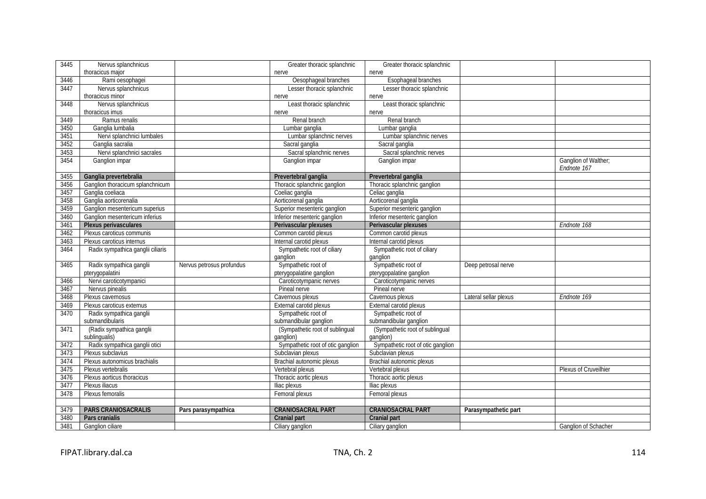| 3445 | Nervus splanchnicus               |                           | Greater thoracic splanchnic       | Greater thoracic splanchnic       |                       |                                     |
|------|-----------------------------------|---------------------------|-----------------------------------|-----------------------------------|-----------------------|-------------------------------------|
|      | thoracicus major                  |                           | nerve                             | nerve                             |                       |                                     |
| 3446 | Rami oesophagei                   |                           | Oesophageal branches              | Esophageal branches               |                       |                                     |
| 3447 | Nervus splanchnicus               |                           | Lesser thoracic splanchnic        | Lesser thoracic splanchnic        |                       |                                     |
|      | thoracicus minor                  |                           | nerve                             | nerve                             |                       |                                     |
| 3448 | Nervus splanchnicus               |                           | Least thoracic splanchnic         | Least thoracic splanchnic         |                       |                                     |
|      | thoracicus imus                   |                           | nerve                             | nerve                             |                       |                                     |
| 3449 | Ramus renalis                     |                           | Renal branch                      | Renal branch                      |                       |                                     |
| 3450 | Ganglia lumbalia                  |                           | Lumbar ganglia                    | Lumbar ganglia                    |                       |                                     |
| 3451 | Nervi splanchnici lumbales        |                           | Lumbar splanchnic nerves          | Lumbar splanchnic nerves          |                       |                                     |
| 3452 | Ganglia sacralia                  |                           | Sacral ganglia                    | Sacral ganglia                    |                       |                                     |
| 3453 | Nervi splanchnici sacrales        |                           | Sacral splanchnic nerves          | Sacral splanchnic nerves          |                       |                                     |
| 3454 | Ganglion impar                    |                           | Ganglion impar                    | Ganglion impar                    |                       | Ganglion of Walther;<br>Endnote 167 |
| 3455 | Ganglia prevertebralia            |                           | Prevertebral ganglia              | Prevertebral ganglia              |                       |                                     |
| 3456 | Ganglion thoracicum splanchnicum  |                           | Thoracic splanchnic ganglion      | Thoracic splanchnic ganglion      |                       |                                     |
| 3457 | Ganglia coeliaca                  |                           | Coeliac ganglia                   | Celiac ganglia                    |                       |                                     |
| 3458 | Ganglia aorticorenalia            |                           | Aorticorenal ganglia              | Aorticorenal ganglia              |                       |                                     |
| 3459 | Ganglion mesentericum superius    |                           | Superior mesenteric ganglion      | Superior mesenteric ganglion      |                       |                                     |
| 3460 | Ganglion mesentericum inferius    |                           | Inferior mesenteric ganglion      | Inferior mesenteric ganglion      |                       |                                     |
| 3461 | Plexus perivasculares             |                           | Perivascular plexuses             | Perivascular plexuses             |                       | Endnote 168                         |
| 3462 | Plexus caroticus communis         |                           | Common carotid plexus             | Common carotid plexus             |                       |                                     |
| 3463 | Plexus caroticus internus         |                           | Internal carotid plexus           | Internal carotid plexus           |                       |                                     |
| 3464 | Radix sympathica ganglii ciliaris |                           | Sympathetic root of ciliary       | Sympathetic root of ciliary       |                       |                                     |
|      |                                   |                           | ganglion                          | ganglion                          |                       |                                     |
| 3465 | Radix sympathica ganglii          | Nervus petrosus profundus | Sympathetic root of               | Sympathetic root of               | Deep petrosal nerve   |                                     |
|      | pterygopalatini                   |                           | pterygopalatine ganglion          | pterygopalatine ganglion          |                       |                                     |
| 3466 | Nervi caroticotympanici           |                           | Caroticotympanic nerves           | Caroticotympanic nerves           |                       |                                     |
| 3467 | Nervus pinealis                   |                           | Pineal nerve                      | Pineal nerve                      |                       |                                     |
| 3468 | Plexus cavernosus                 |                           | Cavernous plexus                  | Cavernous plexus                  | Lateral sellar plexus | Endnote 169                         |
| 3469 | Plexus caroticus externus         |                           | External carotid plexus           | External carotid plexus           |                       |                                     |
| 3470 | Radix sympathica ganglii          |                           | Sympathetic root of               | Sympathetic root of               |                       |                                     |
|      | submandibularis                   |                           | submandibular ganglion            | submandibular ganglion            |                       |                                     |
| 3471 | (Radix sympathica ganglii         |                           | (Sympathetic root of sublingual   | (Sympathetic root of sublingual   |                       |                                     |
|      | sublingualis)                     |                           | ganglion)                         | ganglion)                         |                       |                                     |
| 3472 | Radix sympathica ganglii otici    |                           | Sympathetic root of otic ganglion | Sympathetic root of otic ganglion |                       |                                     |
| 3473 | Plexus subclavius                 |                           | Subclavian plexus                 | Subclavian plexus                 |                       |                                     |
| 3474 | Plexus autonomicus brachialis     |                           | Brachial autonomic plexus         | Brachial autonomic plexus         |                       |                                     |
| 3475 | Plexus vertebralis                |                           | Vertebral plexus                  | Vertebral plexus                  |                       | Plexus of Cruveilhier               |
| 3476 | Plexus aorticus thoracicus        |                           | Thoracic aortic plexus            | Thoracic aortic plexus            |                       |                                     |
| 3477 | Plexus iliacus                    |                           | Iliac plexus                      | Iliac plexus                      |                       |                                     |
| 3478 | Plexus femoralis                  |                           | Femoral plexus                    | Femoral plexus                    |                       |                                     |
|      |                                   |                           |                                   |                                   |                       |                                     |
| 3479 | PARS CRANIOSACRALIS               | Pars parasympathica       | <b>CRANIOSACRAL PART</b>          | <b>CRANIOSACRAL PART</b>          | Parasympathetic part  |                                     |
| 3480 | Pars cranialis                    |                           | <b>Cranial part</b>               | <b>Cranial part</b>               |                       |                                     |
| 3481 | Ganglion ciliare                  |                           | Ciliary ganglion                  | Ciliary ganglion                  |                       | <b>Ganglion of Schacher</b>         |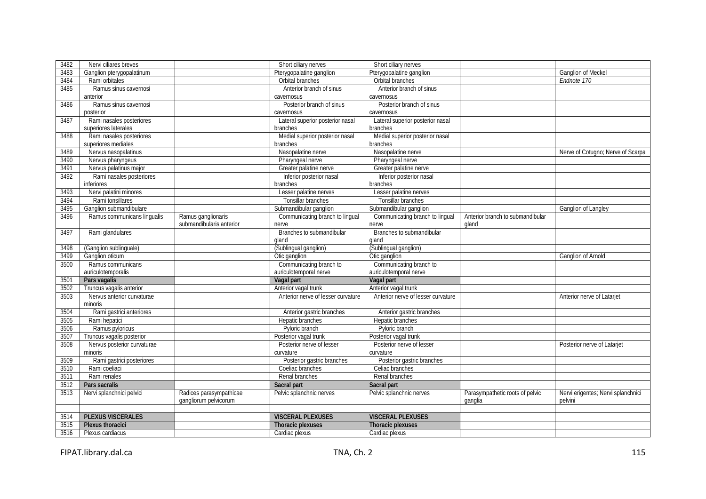| 3482 | Nervi ciliares breves       |                          | Short ciliary nerves               | Short ciliary nerves               |                                  |                                    |
|------|-----------------------------|--------------------------|------------------------------------|------------------------------------|----------------------------------|------------------------------------|
| 3483 | Ganglion pterygopalatinum   |                          | Pterygopalatine ganglion           | Pterygopalatine ganglion           |                                  | Ganglion of Meckel                 |
| 3484 | Rami orbitales              |                          | Orbital branches                   | Orbital branches                   |                                  | Endnote 170                        |
| 3485 | Ramus sinus cavernosi       |                          | Anterior branch of sinus           | Anterior branch of sinus           |                                  |                                    |
|      | anterior                    |                          | cavernosus                         | cavernosus                         |                                  |                                    |
| 3486 | Ramus sinus cavernosi       |                          | Posterior branch of sinus          | Posterior branch of sinus          |                                  |                                    |
|      | posterior                   |                          | cavernosus                         | cavernosus                         |                                  |                                    |
| 3487 | Rami nasales posteriores    |                          | Lateral superior posterior nasal   | Lateral superior posterior nasal   |                                  |                                    |
|      | superiores laterales        |                          | branches                           | branches                           |                                  |                                    |
| 3488 | Rami nasales posteriores    |                          | Medial superior posterior nasal    | Medial superior posterior nasal    |                                  |                                    |
|      | superiores mediales         |                          | branches                           | branches                           |                                  |                                    |
| 3489 | Nervus nasopalatinus        |                          | Nasopalatine nerve                 | Nasopalatine nerve                 |                                  | Nerve of Cotugno; Nerve of Scarpa  |
| 3490 | Nervus pharyngeus           |                          | Pharyngeal nerve                   | Pharyngeal nerve                   |                                  |                                    |
| 3491 | Nervus palatinus major      |                          | Greater palatine nerve             | Greater palatine nerve             |                                  |                                    |
| 3492 | Rami nasales posteriores    |                          | Inferior posterior nasal           | Inferior posterior nasal           |                                  |                                    |
|      | inferiores                  |                          | branches                           | branches                           |                                  |                                    |
| 3493 | Nervi palatini minores      |                          | Lesser palatine nerves             | Lesser palatine nerves             |                                  |                                    |
| 3494 | Rami tonsillares            |                          | Tonsillar branches                 | Tonsillar branches                 |                                  |                                    |
| 3495 | Ganglion submandibulare     |                          | Submandibular ganglion             | Submandibular ganglion             |                                  | Ganglion of Langley                |
| 3496 | Ramus communicans lingualis | Ramus ganglionaris       | Communicating branch to lingual    | Communicating branch to lingual    | Anterior branch to submandibular |                                    |
|      |                             | submandibularis anterior | nerve                              | nerve                              | gland                            |                                    |
| 3497 | Rami glandulares            |                          | Branches to submandibular          | Branches to submandibular          |                                  |                                    |
|      |                             |                          | gland                              | aland                              |                                  |                                    |
| 3498 | (Ganglion sublinguale)      |                          | (Sublingual ganglion)              | (Sublingual ganglion)              |                                  |                                    |
| 3499 | Ganglion oticum             |                          | Otic ganglion                      | Otic ganglion                      |                                  | <b>Ganglion of Arnold</b>          |
| 3500 | Ramus communicans           |                          | Communicating branch to            | Communicating branch to            |                                  |                                    |
|      | auriculotemporalis          |                          | auriculotemporal nerve             | auriculotemporal nerve             |                                  |                                    |
| 3501 | Pars vagalis                |                          | Vagal part                         | Vagal part                         |                                  |                                    |
| 3502 | Truncus vagalis anterior    |                          | Anterior vagal trunk               | Anterior vagal trunk               |                                  |                                    |
| 3503 | Nervus anterior curvaturae  |                          | Anterior nerve of lesser curvature | Anterior nerve of lesser curvature |                                  | Anterior nerve of Latarjet         |
|      | minoris                     |                          |                                    |                                    |                                  |                                    |
| 3504 | Rami gastrici anteriores    |                          | Anterior gastric branches          | Anterior gastric branches          |                                  |                                    |
| 3505 | Rami hepatici               |                          | Hepatic branches                   | Hepatic branches                   |                                  |                                    |
| 3506 | Ramus pyloricus             |                          | Pyloric branch                     | Pyloric branch                     |                                  |                                    |
| 3507 | Truncus vagalis posterior   |                          | Posterior vagal trunk              | Posterior vagal trunk              |                                  |                                    |
| 3508 | Nervus posterior curvaturae |                          | Posterior nerve of lesser          | Posterior nerve of lesser          |                                  | Posterior nerve of Latarjet        |
|      | minoris                     |                          | curvature                          | curvature                          |                                  |                                    |
| 3509 | Rami gastrici posteriores   |                          | Posterior gastric branches         | Posterior gastric branches         |                                  |                                    |
| 3510 | Rami coeliaci               |                          | Coeliac branches                   | Celiac branches                    |                                  |                                    |
| 3511 | Rami renales                |                          | Renal branches                     | Renal branches                     |                                  |                                    |
| 3512 | Pars sacralis               |                          | Sacral part                        | Sacral part                        |                                  |                                    |
| 3513 | Nervi splanchnici pelvici   | Radices parasympathicae  | Pelvic splanchnic nerves           | Pelvic splanchnic nerves           | Parasympathetic roots of pelvic  | Nervi erigentes; Nervi splanchnici |
|      |                             | gangliorum pelvicorum    |                                    |                                    | ganglia                          | pelvini                            |
|      |                             |                          |                                    |                                    |                                  |                                    |
| 3514 | <b>PLEXUS VISCERALES</b>    |                          | <b>VISCERAL PLEXUSES</b>           | <b>VISCERAL PLEXUSES</b>           |                                  |                                    |
| 3515 |                             |                          |                                    |                                    |                                  |                                    |
|      | <b>Plexus thoracici</b>     |                          | Thoracic plexuses                  | <b>Thoracic plexuses</b>           |                                  |                                    |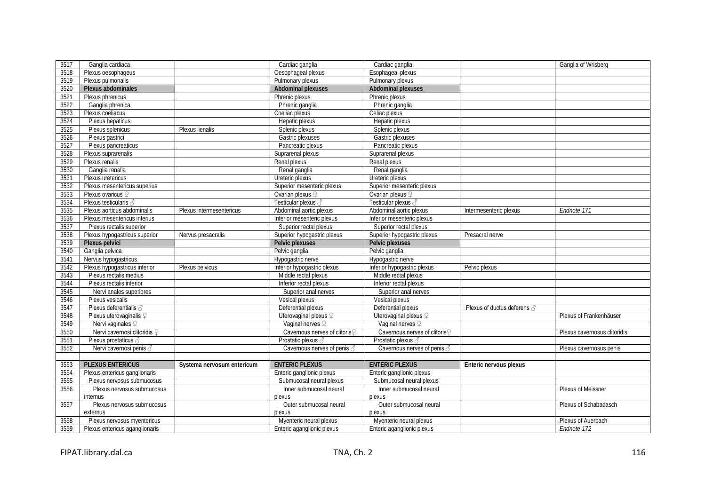| 3517 | Ganglia cardiaca               |                            | Cardiac ganglia                | Cardiac ganglia                |                             | Ganglia of Wrisberg          |
|------|--------------------------------|----------------------------|--------------------------------|--------------------------------|-----------------------------|------------------------------|
| 3518 | Plexus oesophageus             |                            | Oesophageal plexus             | Esophageal plexus              |                             |                              |
| 3519 | Plexus pulmonalis              |                            | Pulmonary plexus               | Pulmonary plexus               |                             |                              |
| 3520 | Plexus abdominales             |                            | <b>Abdominal plexuses</b>      | <b>Abdominal plexuses</b>      |                             |                              |
| 3521 | Plexus phrenicus               |                            | Phrenic plexus                 | Phrenic plexus                 |                             |                              |
| 3522 | Ganglia phrenica               |                            | Phrenic ganglia                | Phrenic ganglia                |                             |                              |
| 3523 | Plexus coeliacus               |                            | Coeliac plexus                 | Celiac plexus                  |                             |                              |
| 3524 | Plexus hepaticus               |                            | Hepatic plexus                 | Hepatic plexus                 |                             |                              |
| 3525 | Plexus splenicus               | Plexus lienalis            | Splenic plexus                 | Splenic plexus                 |                             |                              |
| 3526 | Plexus gastrici                |                            | Gastric plexuses               | Gastric plexuses               |                             |                              |
| 3527 | Plexus pancreaticus            |                            | Pancreatic plexus              | Pancreatic plexus              |                             |                              |
| 3528 | Plexus suprarenalis            |                            | Suprarenal plexus              | Suprarenal plexus              |                             |                              |
| 3529 | Plexus renalis                 |                            | Renal plexus                   | Renal plexus                   |                             |                              |
| 3530 | Ganglia renalia                |                            | Renal ganglia                  | Renal ganglia                  |                             |                              |
| 3531 | Plexus uretericus              |                            | Ureteric plexus                | Ureteric plexus                |                             |                              |
| 3532 | Plexus mesentericus superius   |                            | Superior mesenteric plexus     | Superior mesenteric plexus     |                             |                              |
| 3533 | Plexus ovaricus ?              |                            | Ovarian plexus $\mathcal Q$    | Ovarian plexus $\varphi$       |                             |                              |
| 3534 | Plexus testicularis            |                            | Testicular plexus 3            | Testicular plexus              |                             |                              |
| 3535 | Plexus aorticus abdominalis    | Plexus intermesentericus   | Abdominal aortic plexus        | Abdominal aortic plexus        | Intermesenteric plexus      | Endnote 171                  |
| 3536 | Plexus mesentericus inferius   |                            | Inferior mesenteric plexus     | Inferior mesenteric plexus     |                             |                              |
| 3537 | Plexus rectalis superior       |                            | Superior rectal plexus         | Superior rectal plexus         |                             |                              |
| 3538 | Plexus hypogastricus superior  | Nervus presacralis         | Superior hypogastric plexus    | Superior hypogastric plexus    | Presacral nerve             |                              |
| 3539 | Plexus pelvici                 |                            | <b>Pelvic plexuses</b>         | Pelvic plexuses                |                             |                              |
| 3540 | Ganglia pelvica                |                            | Pelvic ganglia                 | Pelvic ganglia                 |                             |                              |
| 3541 | Nervus hypogastricus           |                            | Hypogastric nerve              | Hypogastric nerve              |                             |                              |
| 3542 | Plexus hypogastricus inferior  | Plexus pelvicus            | Inferior hypogastric plexus    | Inferior hypogastric plexus    | Pelvic plexus               |                              |
| 3543 | Plexus rectalis medius         |                            | Middle rectal plexus           | Middle rectal plexus           |                             |                              |
| 3544 | Plexus rectalis inferior       |                            | Inferior rectal plexus         | Inferior rectal plexus         |                             |                              |
| 3545 | Nervi anales superiores        |                            | Superior anal nerves           | Superior anal nerves           |                             |                              |
| 3546 | Plexus vesicalis               |                            | Vesical plexus                 | Vesical plexus                 |                             |                              |
| 3547 | Plexus deferentialis a         |                            | Deferential plexus             | Deferential plexus             | Plexus of ductus deferens 3 |                              |
| 3548 | Plexus uterovaginalis ?        |                            | Uterovaginal plexus ?          | Uterovaginal plexus ?          |                             | Plexus of Frankenhäuser      |
| 3549 | Nervi vaginales ?              |                            | Vaginal nerves ?               | Vaginal nerves ?               |                             |                              |
| 3550 | Nervi cavernosi clitoridis ?   |                            | Cavernous nerves of clitoris ? | Cavernous nerves of clitoris ? |                             | Plexus cavernosus clitoridis |
| 3551 | Plexus prostaticus 3           |                            | Prostatic plexus 3             | Prostatic plexus 3             |                             |                              |
| 3552 | Nervi cavernosi penis √        |                            | Cavernous nerves of penis a    | Cavernous nerves of penis 3    |                             | Plexus cavernosus penis      |
|      |                                |                            |                                |                                |                             |                              |
| 3553 | <b>PLEXUS ENTERICUS</b>        | Systema nervosum entericum | <b>ENTERIC PLEXUS</b>          | <b>ENTERIC PLEXUS</b>          | Enteric nervous plexus      |                              |
| 3554 | Plexus entericus ganglionaris  |                            | Enteric ganglionic plexus      | Enteric ganglionic plexus      |                             |                              |
| 3555 | Plexus nervosus submucosus     |                            | Submucosal neural plexus       | Submucosal neural plexus       |                             |                              |
| 3556 | Plexus nervosus submucosus     |                            | Inner submucosal neural        | Inner submucosal neural        |                             | Plexus of Meissner           |
|      | internus                       |                            | plexus                         | plexus                         |                             |                              |
| 3557 | Plexus nervosus submucosus     |                            | Outer submucosal neural        | Outer submucosal neural        |                             | Plexus of Schabadasch        |
|      | externus                       |                            | plexus                         | plexus                         |                             |                              |
| 3558 | Plexus nervosus myentericus    |                            | Myenteric neural plexus        | Myenteric neural plexus        |                             | Plexus of Auerbach           |
| 3559 | Plexus entericus aganglionaris |                            | Enteric aganglionic plexus     | Enteric aganglionic plexus     |                             | Endnote 172                  |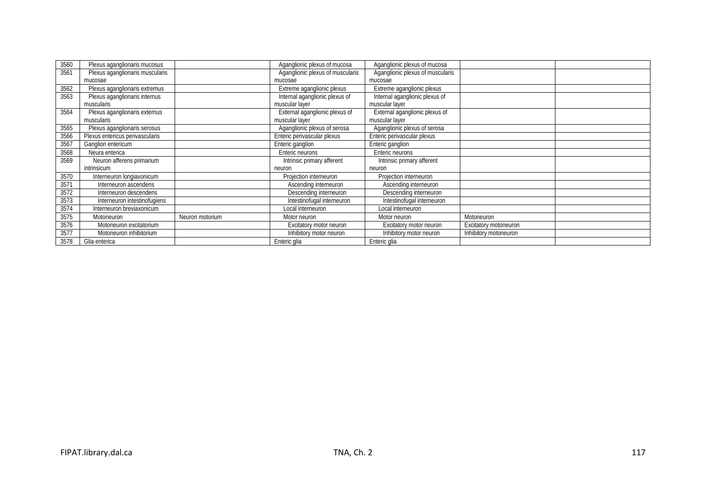| 3560 | Plexus aganglionaris mucosus    |                 | Aganglionic plexus of mucosa     | Aganglionic plexus of mucosa     |                       |  |
|------|---------------------------------|-----------------|----------------------------------|----------------------------------|-----------------------|--|
| 3561 | Plexus aganglionaris muscularis |                 | Aganglionic plexus of muscularis | Aganglionic plexus of muscularis |                       |  |
|      | mucosae                         |                 | mucosae                          | mucosae                          |                       |  |
| 3562 | Plexus aganglionaris extremus   |                 | Extreme aganglionic plexus       | Extreme aganglionic plexus       |                       |  |
| 3563 | Plexus aganglionaris internus   |                 | Internal aganglionic plexus of   | Internal aganglionic plexus of   |                       |  |
|      | muscularis                      |                 | muscular layer                   | muscular layer                   |                       |  |
| 3564 | Plexus aganglionaris externus   |                 | External aganglionic plexus of   | External aganglionic plexus of   |                       |  |
|      | muscularis                      |                 | muscular layer                   | muscular layer                   |                       |  |
| 3565 | Plexus aganglionaris serosus    |                 | Aganglionic plexus of serosa     | Aganglionic plexus of serosa     |                       |  |
| 3566 | Plexus entericus perivascularis |                 | Enteric perivascular plexus      | Enteric perivascular plexus      |                       |  |
| 3567 | Ganglion entericum              |                 | Enteric ganglion                 | Enteric ganglion                 |                       |  |
| 3568 | Neura enterica                  |                 | Enteric neurons                  | Enteric neurons                  |                       |  |
| 3569 | Neuron afferens primarium       |                 | Intrinsic primary afferent       | Intrinsic primary afferent       |                       |  |
|      | intrinsicum                     |                 | neuron                           | neuron                           |                       |  |
| 3570 | Interneuron longiaxonicum       |                 | Projection interneuron           | Projection interneuron           |                       |  |
| 3571 | Interneuron ascendens           |                 | Ascending interneuron            | Ascending interneuron            |                       |  |
| 3572 | Interneuron descendens          |                 | Descending interneuron           | Descending interneuron           |                       |  |
| 3573 | Interneuron intestinofugiens    |                 | Intestinofugal interneuron       | Intestinofugal interneuron       |                       |  |
| 3574 | Interneuron breviaxonicum       |                 | Local interneuron                | Local interneuron                |                       |  |
| 3575 | Motoneuron                      | Neuron motorium | Motor neuron                     | Motor neuron                     | Motoneuron            |  |
| 3576 | Motoneuron excitatorium         |                 | Excitatory motor neuron          | Excitatory motor neuron          | Excitatory motoneuron |  |
| 3577 | Motoneuron inhibitorium         |                 | Inhibitory motor neuron          | Inhibitory motor neuron          | Inhibitory motoneuron |  |
| 3578 | Glia enterica                   |                 | Enteric glia                     | Enteric glia                     |                       |  |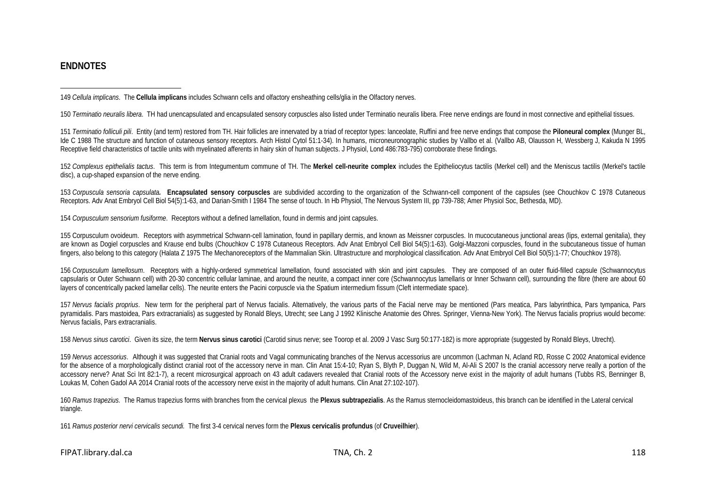#### <span id="page-26-12"></span><span id="page-26-11"></span><span id="page-26-10"></span><span id="page-26-9"></span><span id="page-26-8"></span><span id="page-26-7"></span><span id="page-26-6"></span><span id="page-26-5"></span><span id="page-26-4"></span><span id="page-26-3"></span><span id="page-26-2"></span><span id="page-26-1"></span><span id="page-26-0"></span>**ENDNOTES**

 $\overline{a}$ 149 *Cellula implicans*. The **Cellula implicans** includes Schwann cells and olfactory ensheathing cells/glia in the Olfactory nerves.

150 *Terminatio neuralis libera*. TH had unencapsulated and encapsulated sensory corpuscles also listed under Terminatio neuralis libera. Free nerve endings are found in most connective and epithelial tissues.

151 Terminatio folliculi pili. Entity (and term) restored from TH. Hair follicles are innervated by a triad of receptor types: lanceolate, Ruffini and free nerve endings that compose the Piloneural complex (Munger BL, Ide C 1988 The structure and function of cutaneous sensory receptors. Arch Histol Cytol 51:1-34). In humans, microneuronographic studies by Vallbo et al. (Vallbo AB, Olausson H, Wessberg J, Kakuda N 1995 Receptive field characteristics of tactile units with myelinated afferents in hairy skin of human subjects. J Physiol, Lond 486:783-795) corroborate these findings.

152 *Complexus epithelialis tactus*. This term is from Integumentum commune of TH. The **Merkel cell-neurite complex** includes the Epitheliocytus tactilis (Merkel cell) and the Meniscus tactilis (Merkel's tactile disc), a cup-shaped expansion of the nerve ending.

153 *Corpuscula sensoria capsulata.* **Encapsulated sensory corpuscles** are subdivided according to the organization of the Schwann-cell component of the capsules (see Chouchkov C 1978 Cutaneous Receptors. Adv Anat Embryol Cell Biol 54(5):1-63, and Darian-Smith I 1984 The sense of touch. In Hb Physiol, The Nervous System III, pp 739-788; Amer Physiol Soc, Bethesda, MD).

154 *Corpusculum sensorium fusiforme*. Receptors without a defined lamellation, found in dermis and joint capsules.

155 Corpusculum ovoideum.Receptors with asymmetrical Schwann-cell lamination, found in papillary dermis, and known as Meissner corpuscles. In mucocutaneous junctional areas (lips, external genitalia), they are known as Dogiel corpuscles and Krause end bulbs (Chouchkov C 1978 Cutaneous Receptors. Adv Anat Embryol Cell Biol 54(5):1-63). Golgi-Mazzoni corpuscles, found in the subcutaneous tissue of human fingers, also belong to this category (Halata Z 1975 The Mechanoreceptors of the Mammalian Skin. Ultrastructure and morphological classification. Adv Anat Embryol Cell Biol 50(5):1-77; Chouchkov 1978).

156 *Corpusculum lamellosum*. Receptors with a highly-ordered symmetrical lamellation, found associated with skin and joint capsules. They are composed of an outer fluid-filled capsule (Schwannocytus capsularis or Outer Schwann cell) with 20-30 concentric cellular laminae, and around the neurite, a compact inner core (Schwannocytus lamellaris or Inner Schwann cell), surrounding the fibre (there are about 60 layers of concentrically packed lamellar cells). The neurite enters the Pacini corpuscle via the Spatium intermedium fissum (Cleft intermediate space).

157 Nervus facialis proprius. New term for the peripheral part of Nervus facialis. Alternatively, the various parts of the Facial nerve may be mentioned (Pars meatica, Pars labyrinthica, Pars tympanica, Pars pyramidalis. Pars mastoidea, Pars extracranialis) as suggested by Ronald Bleys, Utrecht; see Lang J 1992 Klinische Anatomie des Ohres. Springer, Vienna-New York). The Nervus facialis proprius would become: Nervus facialis, Pars extracranialis.

158 Nervus sinus carotici. Given its size, the term Nervus sinus carotici (Carotid sinus nerve; see Toorop et al. 2009 J Vasc Surg 50:177-182) is more appropriate (suggested by Ronald Bleys, Utrecht).

159 *Nervus accessorius*.Although it was suggested that Cranial roots and Vagal communicating branches of the Nervus accessorius are uncommon (Lachman N, Acland RD, Rosse C 2002 Anatomical evidence for the absence of a morphologically distinct cranial root of the accessory nerve in man. Clin Anat 15:4-10; Ryan S, Blyth P, Duggan N, Wild M, Al-Ali S 2007 Is the cranial accessory nerve really a portion of the accessory nerve? Anat Sci Int 82:1-7), a recent microsurgical approach on 43 adult cadavers revealed that Cranial roots of the Accessory nerve exist in the majority of adult humans (Tubbs RS, Benninger B, Loukas M, Cohen Gadol AA 2014 Cranial roots of the accessory nerve exist in the majority of adult humans. Clin Anat 27:102-107).

160 *Ramus trapezius.* The Ramus trapezius forms with branches from the cervical plexus the **Plexus subtrapezialis**. As the Ramus sternocleidomastoideus, this branch can be identified in the Lateral cervical triangle.

161 *Ramus posterior nervi cervicalis secundi.* The first 3-4 cervical nerves form the **Plexus cervicalis profundus** (of **Cruveilhier**).

FIPAT.library.dal.ca TNA, Ch. 2 118